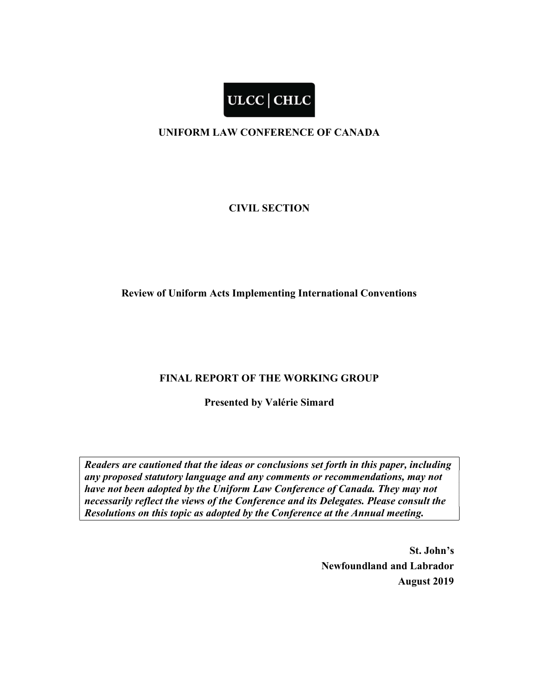# ULCC | CHLC

### UNIFORM LAW CONFERENCE OF CANADA

#### CIVIL SECTION

#### Review of Uniform Acts Implementing International Conventions

#### FINAL REPORT OF THE WORKING GROUP

Presented by Valérie Simard

Readers are cautioned that the ideas or conclusions set forth in this paper, including any proposed statutory language and any comments or recommendations, may not have not been adopted by the Uniform Law Conference of Canada. They may not necessarily reflect the views of the Conference and its Delegates. Please consult the Resolutions on this topic as adopted by the Conference at the Annual meeting.

> St. John's Newfoundland and Labrador August 2019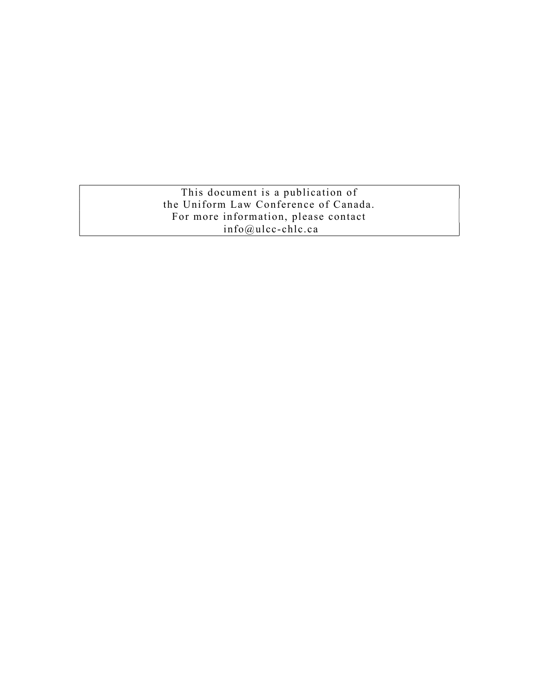This document is a publication of the Uniform Law Conference of Canada. For more information, please contact info@ulcc-chlc.ca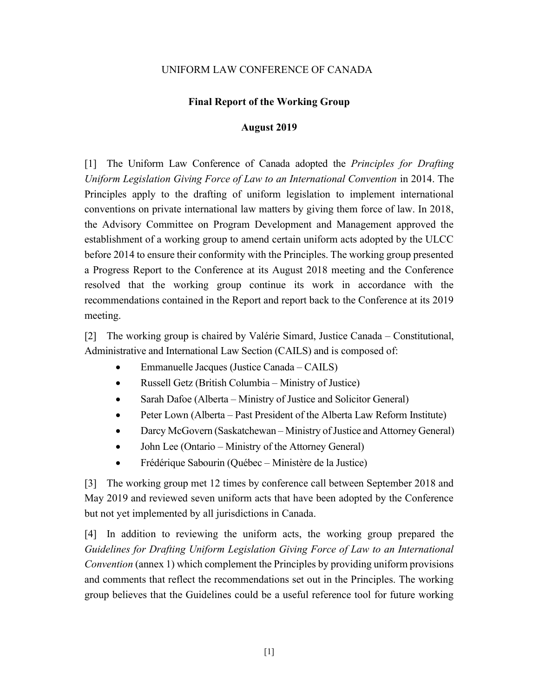#### Final Report of the Working Group

#### August 2019

[1] The Uniform Law Conference of Canada adopted the Principles for Drafting Uniform Legislation Giving Force of Law to an International Convention in 2014. The Principles apply to the drafting of uniform legislation to implement international conventions on private international law matters by giving them force of law. In 2018, the Advisory Committee on Program Development and Management approved the establishment of a working group to amend certain uniform acts adopted by the ULCC before 2014 to ensure their conformity with the Principles. The working group presented a Progress Report to the Conference at its August 2018 meeting and the Conference resolved that the working group continue its work in accordance with the recommendations contained in the Report and report back to the Conference at its 2019 meeting.

[2] The working group is chaired by Valérie Simard, Justice Canada – Constitutional, Administrative and International Law Section (CAILS) and is composed of:

- Emmanuelle Jacques (Justice Canada CAILS)
- Russell Getz (British Columbia Ministry of Justice)
- Sarah Dafoe (Alberta Ministry of Justice and Solicitor General)
- Peter Lown (Alberta Past President of the Alberta Law Reform Institute)
- Darcy McGovern (Saskatchewan Ministry of Justice and Attorney General)
- John Lee (Ontario Ministry of the Attorney General)
- Frédérique Sabourin (Québec Ministère de la Justice)

[3] The working group met 12 times by conference call between September 2018 and May 2019 and reviewed seven uniform acts that have been adopted by the Conference but not yet implemented by all jurisdictions in Canada.

[4] In addition to reviewing the uniform acts, the working group prepared the Guidelines for Drafting Uniform Legislation Giving Force of Law to an International Convention (annex 1) which complement the Principles by providing uniform provisions and comments that reflect the recommendations set out in the Principles. The working group believes that the Guidelines could be a useful reference tool for future working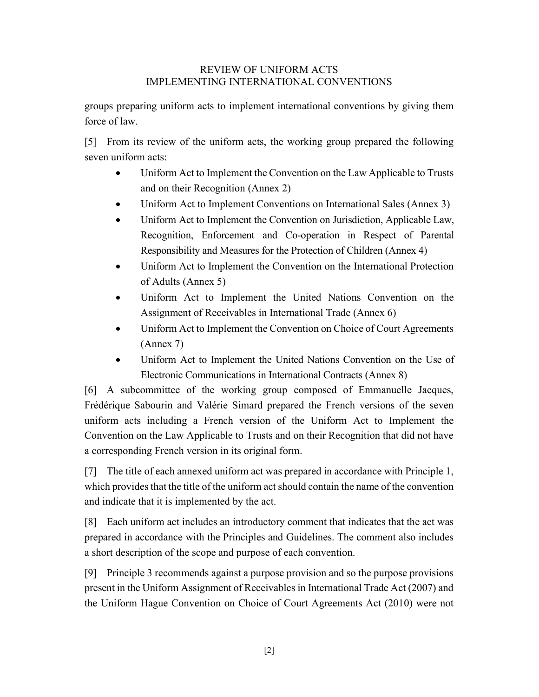#### REVIEW OF UNIFORM ACTS IMPLEMENTING INTERNATIONAL CONVENTIONS

groups preparing uniform acts to implement international conventions by giving them force of law.

[5] From its review of the uniform acts, the working group prepared the following seven uniform acts:

- Uniform Act to Implement the Convention on the Law Applicable to Trusts and on their Recognition (Annex 2)
- Uniform Act to Implement Conventions on International Sales (Annex 3)
- Uniform Act to Implement the Convention on Jurisdiction, Applicable Law, Recognition, Enforcement and Co-operation in Respect of Parental Responsibility and Measures for the Protection of Children (Annex 4)
- Uniform Act to Implement the Convention on the International Protection of Adults (Annex 5)
- Uniform Act to Implement the United Nations Convention on the Assignment of Receivables in International Trade (Annex 6)
- Uniform Act to Implement the Convention on Choice of Court Agreements (Annex 7)
- Uniform Act to Implement the United Nations Convention on the Use of Electronic Communications in International Contracts (Annex 8)

[6] A subcommittee of the working group composed of Emmanuelle Jacques, Frédérique Sabourin and Valérie Simard prepared the French versions of the seven uniform acts including a French version of the Uniform Act to Implement the Convention on the Law Applicable to Trusts and on their Recognition that did not have a corresponding French version in its original form.

[7] The title of each annexed uniform act was prepared in accordance with Principle 1, which provides that the title of the uniform act should contain the name of the convention and indicate that it is implemented by the act.

[8] Each uniform act includes an introductory comment that indicates that the act was prepared in accordance with the Principles and Guidelines. The comment also includes a short description of the scope and purpose of each convention.

[9] Principle 3 recommends against a purpose provision and so the purpose provisions present in the Uniform Assignment of Receivables in International Trade Act (2007) and the Uniform Hague Convention on Choice of Court Agreements Act (2010) were not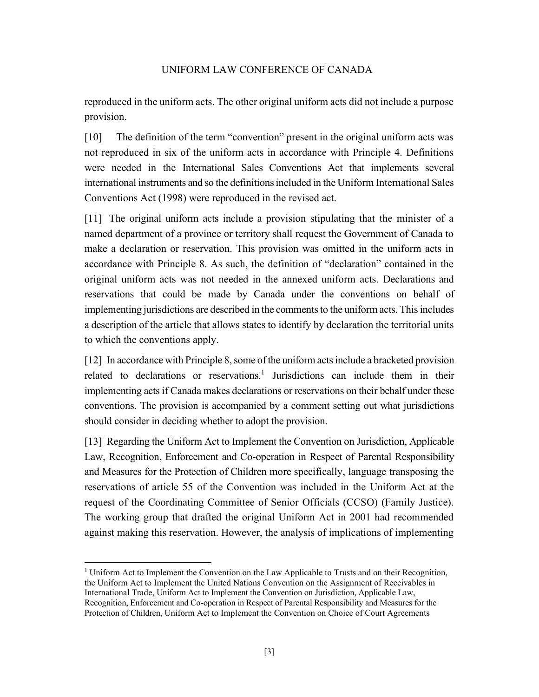reproduced in the uniform acts. The other original uniform acts did not include a purpose provision.

[10] The definition of the term "convention" present in the original uniform acts was not reproduced in six of the uniform acts in accordance with Principle 4. Definitions were needed in the International Sales Conventions Act that implements several international instruments and so the definitions included in the Uniform International Sales Conventions Act (1998) were reproduced in the revised act.

[11] The original uniform acts include a provision stipulating that the minister of a named department of a province or territory shall request the Government of Canada to make a declaration or reservation. This provision was omitted in the uniform acts in accordance with Principle 8. As such, the definition of "declaration" contained in the original uniform acts was not needed in the annexed uniform acts. Declarations and reservations that could be made by Canada under the conventions on behalf of implementing jurisdictions are described in the comments to the uniform acts. This includes a description of the article that allows states to identify by declaration the territorial units to which the conventions apply.

[12] In accordance with Principle 8, some of the uniform acts include a bracketed provision related to declarations or reservations.<sup>1</sup> Jurisdictions can include them in their implementing acts if Canada makes declarations or reservations on their behalf under these conventions. The provision is accompanied by a comment setting out what jurisdictions should consider in deciding whether to adopt the provision.

[13] Regarding the Uniform Act to Implement the Convention on Jurisdiction, Applicable Law, Recognition, Enforcement and Co-operation in Respect of Parental Responsibility and Measures for the Protection of Children more specifically, language transposing the reservations of article 55 of the Convention was included in the Uniform Act at the request of the Coordinating Committee of Senior Officials (CCSO) (Family Justice). The working group that drafted the original Uniform Act in 2001 had recommended against making this reservation. However, the analysis of implications of implementing

<sup>&</sup>lt;sup>1</sup> Uniform Act to Implement the Convention on the Law Applicable to Trusts and on their Recognition, the Uniform Act to Implement the United Nations Convention on the Assignment of Receivables in International Trade, Uniform Act to Implement the Convention on Jurisdiction, Applicable Law, Recognition, Enforcement and Co-operation in Respect of Parental Responsibility and Measures for the Protection of Children, Uniform Act to Implement the Convention on Choice of Court Agreements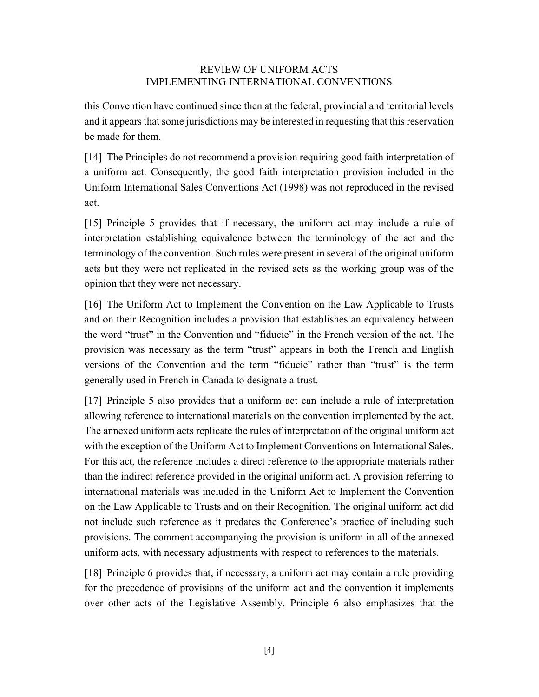#### REVIEW OF UNIFORM ACTS IMPLEMENTING INTERNATIONAL CONVENTIONS

this Convention have continued since then at the federal, provincial and territorial levels and it appears that some jurisdictions may be interested in requesting that this reservation be made for them.

[14] The Principles do not recommend a provision requiring good faith interpretation of a uniform act. Consequently, the good faith interpretation provision included in the Uniform International Sales Conventions Act (1998) was not reproduced in the revised act.

[15] Principle 5 provides that if necessary, the uniform act may include a rule of interpretation establishing equivalence between the terminology of the act and the terminology of the convention. Such rules were present in several of the original uniform acts but they were not replicated in the revised acts as the working group was of the opinion that they were not necessary.

[16] The Uniform Act to Implement the Convention on the Law Applicable to Trusts and on their Recognition includes a provision that establishes an equivalency between the word "trust" in the Convention and "fiducie" in the French version of the act. The provision was necessary as the term "trust" appears in both the French and English versions of the Convention and the term "fiducie" rather than "trust" is the term generally used in French in Canada to designate a trust.

[17] Principle 5 also provides that a uniform act can include a rule of interpretation allowing reference to international materials on the convention implemented by the act. The annexed uniform acts replicate the rules of interpretation of the original uniform act with the exception of the Uniform Act to Implement Conventions on International Sales. For this act, the reference includes a direct reference to the appropriate materials rather than the indirect reference provided in the original uniform act. A provision referring to international materials was included in the Uniform Act to Implement the Convention on the Law Applicable to Trusts and on their Recognition. The original uniform act did not include such reference as it predates the Conference's practice of including such provisions. The comment accompanying the provision is uniform in all of the annexed uniform acts, with necessary adjustments with respect to references to the materials.

[18] Principle 6 provides that, if necessary, a uniform act may contain a rule providing for the precedence of provisions of the uniform act and the convention it implements over other acts of the Legislative Assembly. Principle 6 also emphasizes that the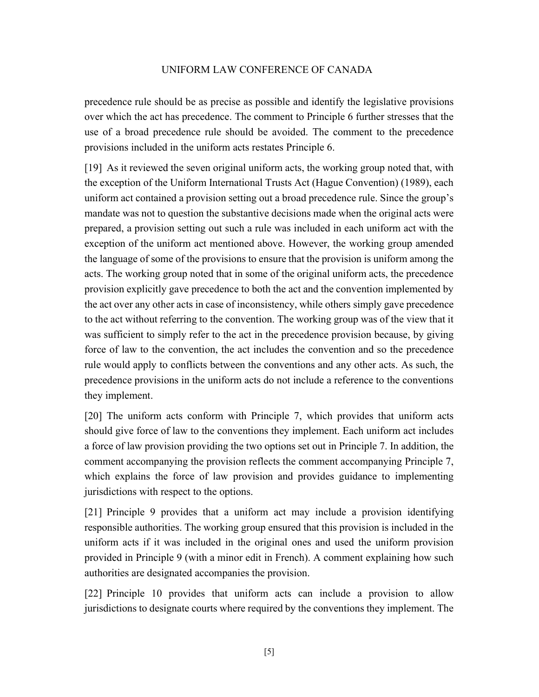precedence rule should be as precise as possible and identify the legislative provisions over which the act has precedence. The comment to Principle 6 further stresses that the use of a broad precedence rule should be avoided. The comment to the precedence provisions included in the uniform acts restates Principle 6.

[19] As it reviewed the seven original uniform acts, the working group noted that, with the exception of the Uniform International Trusts Act (Hague Convention) (1989), each uniform act contained a provision setting out a broad precedence rule. Since the group's mandate was not to question the substantive decisions made when the original acts were prepared, a provision setting out such a rule was included in each uniform act with the exception of the uniform act mentioned above. However, the working group amended the language of some of the provisions to ensure that the provision is uniform among the acts. The working group noted that in some of the original uniform acts, the precedence provision explicitly gave precedence to both the act and the convention implemented by the act over any other acts in case of inconsistency, while others simply gave precedence to the act without referring to the convention. The working group was of the view that it was sufficient to simply refer to the act in the precedence provision because, by giving force of law to the convention, the act includes the convention and so the precedence rule would apply to conflicts between the conventions and any other acts. As such, the precedence provisions in the uniform acts do not include a reference to the conventions they implement.

[20] The uniform acts conform with Principle 7, which provides that uniform acts should give force of law to the conventions they implement. Each uniform act includes a force of law provision providing the two options set out in Principle 7. In addition, the comment accompanying the provision reflects the comment accompanying Principle 7, which explains the force of law provision and provides guidance to implementing jurisdictions with respect to the options.

[21] Principle 9 provides that a uniform act may include a provision identifying responsible authorities. The working group ensured that this provision is included in the uniform acts if it was included in the original ones and used the uniform provision provided in Principle 9 (with a minor edit in French). A comment explaining how such authorities are designated accompanies the provision.

[22] Principle 10 provides that uniform acts can include a provision to allow jurisdictions to designate courts where required by the conventions they implement. The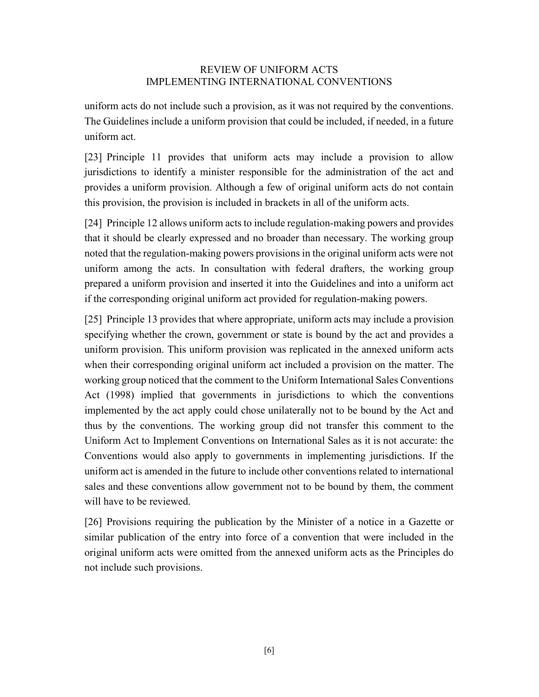#### REVIEW OF UNIFORM ACTS IMPLEMENTING INTERNATIONAL CONVENTIONS

uniform acts do not include such a provision, as it was not required by the conventions. The Guidelines include a uniform provision that could be included, if needed, in a future uniform act.

[23] Principle 11 provides that uniform acts may include a provision to allow jurisdictions to identify a minister responsible for the administration of the act and provides a uniform provision. Although a few of original uniform acts do not contain this provision, the provision is included in brackets in all of the uniform acts.

[24] Principle 12 allows uniform acts to include regulation-making powers and provides that it should be clearly expressed and no broader than necessary. The working group noted that the regulation-making powers provisions in the original uniform acts were not uniform among the acts. In consultation with federal drafters, the working group prepared a uniform provision and inserted it into the Guidelines and into a uniform act if the corresponding original uniform act provided for regulation-making powers.

[25] Principle 13 provides that where appropriate, uniform acts may include a provision specifying whether the crown, government or state is bound by the act and provides a uniform provision. This uniform provision was replicated in the annexed uniform acts when their corresponding original uniform act included a provision on the matter. The working group noticed that the comment to the Uniform International Sales Conventions Act (1998) implied that governments in jurisdictions to which the conventions implemented by the act apply could chose unilaterally not to be bound by the Act and thus by the conventions. The working group did not transfer this comment to the Uniform Act to Implement Conventions on International Sales as it is not accurate: the Conventions would also apply to governments in implementing jurisdictions. If the uniform act is amended in the future to include other conventions related to international sales and these conventions allow government not to be bound by them, the comment will have to be reviewed.

[26] Provisions requiring the publication by the Minister of a notice in a Gazette or similar publication of the entry into force of a convention that were included in the original uniform acts were omitted from the annexed uniform acts as the Principles do not include such provisions.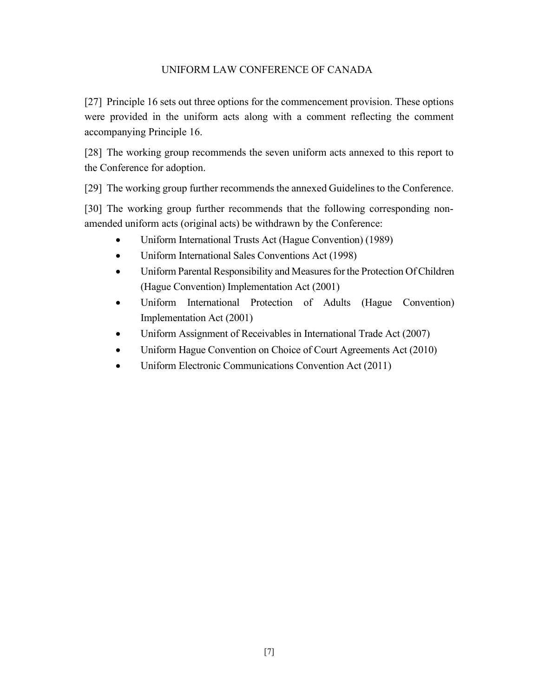[27] Principle 16 sets out three options for the commencement provision. These options were provided in the uniform acts along with a comment reflecting the comment accompanying Principle 16.

[28] The working group recommends the seven uniform acts annexed to this report to the Conference for adoption.

[29] The working group further recommends the annexed Guidelines to the Conference.

[30] The working group further recommends that the following corresponding nonamended uniform acts (original acts) be withdrawn by the Conference:

- Uniform International Trusts Act (Hague Convention) (1989)
- Uniform International Sales Conventions Act (1998)
- Uniform Parental Responsibility and Measures for the Protection Of Children (Hague Convention) Implementation Act (2001)
- Uniform International Protection of Adults (Hague Convention) Implementation Act (2001)
- Uniform Assignment of Receivables in International Trade Act (2007)
- Uniform Hague Convention on Choice of Court Agreements Act (2010)
- Uniform Electronic Communications Convention Act (2011)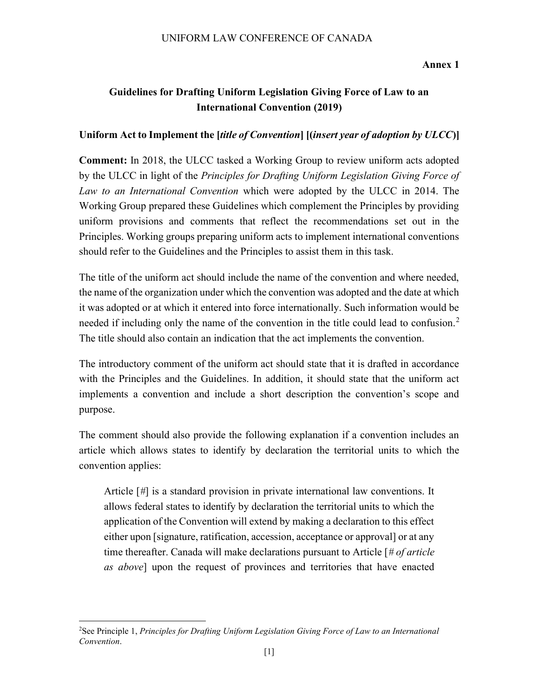#### Annex 1

# Guidelines for Drafting Uniform Legislation Giving Force of Law to an International Convention (2019)

#### Uniform Act to Implement the *[title of Convention] [(insert year of adoption by ULCC)]*

Comment: In 2018, the ULCC tasked a Working Group to review uniform acts adopted by the ULCC in light of the *Principles for Drafting Uniform Legislation Giving Force of* Law to an International Convention which were adopted by the ULCC in 2014. The Working Group prepared these Guidelines which complement the Principles by providing uniform provisions and comments that reflect the recommendations set out in the Principles. Working groups preparing uniform acts to implement international conventions should refer to the Guidelines and the Principles to assist them in this task.

The title of the uniform act should include the name of the convention and where needed, the name of the organization under which the convention was adopted and the date at which it was adopted or at which it entered into force internationally. Such information would be needed if including only the name of the convention in the title could lead to confusion.<sup>2</sup> The title should also contain an indication that the act implements the convention.

The introductory comment of the uniform act should state that it is drafted in accordance with the Principles and the Guidelines. In addition, it should state that the uniform act implements a convention and include a short description the convention's scope and purpose.

The comment should also provide the following explanation if a convention includes an article which allows states to identify by declaration the territorial units to which the convention applies:

Article [#] is a standard provision in private international law conventions. It allows federal states to identify by declaration the territorial units to which the application of the Convention will extend by making a declaration to this effect either upon [signature, ratification, accession, acceptance or approval] or at any time thereafter. Canada will make declarations pursuant to Article  $\left[\frac{\text{# of article}}{\text{# of article}}\right]$ as above] upon the request of provinces and territories that have enacted

<sup>&</sup>lt;sup>2</sup>See Principle 1, Principles for Drafting Uniform Legislation Giving Force of Law to an International Convention.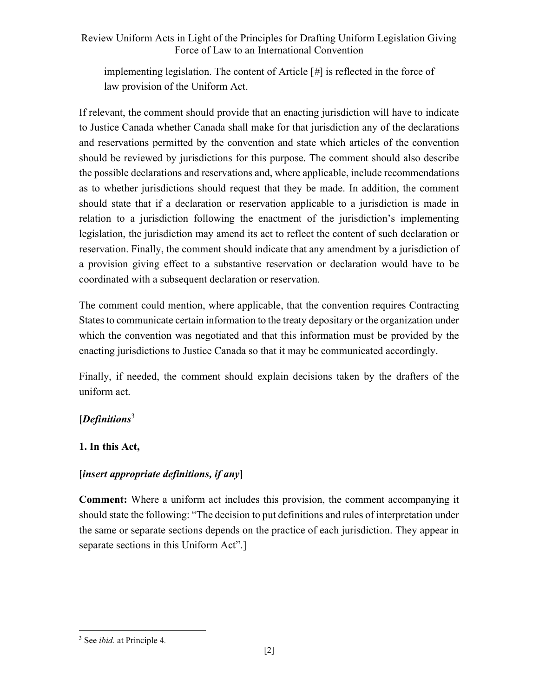implementing legislation. The content of Article [#] is reflected in the force of law provision of the Uniform Act.

If relevant, the comment should provide that an enacting jurisdiction will have to indicate to Justice Canada whether Canada shall make for that jurisdiction any of the declarations and reservations permitted by the convention and state which articles of the convention should be reviewed by jurisdictions for this purpose. The comment should also describe the possible declarations and reservations and, where applicable, include recommendations as to whether jurisdictions should request that they be made. In addition, the comment should state that if a declaration or reservation applicable to a jurisdiction is made in relation to a jurisdiction following the enactment of the jurisdiction's implementing legislation, the jurisdiction may amend its act to reflect the content of such declaration or reservation. Finally, the comment should indicate that any amendment by a jurisdiction of a provision giving effect to a substantive reservation or declaration would have to be coordinated with a subsequent declaration or reservation.

The comment could mention, where applicable, that the convention requires Contracting States to communicate certain information to the treaty depositary or the organization under which the convention was negotiated and that this information must be provided by the enacting jurisdictions to Justice Canada so that it may be communicated accordingly.

Finally, if needed, the comment should explain decisions taken by the drafters of the uniform act.

# [Definitions<sup>3</sup>

# 1. In this Act,

# [insert appropriate definitions, if any]

Comment: Where a uniform act includes this provision, the comment accompanying it should state the following: "The decision to put definitions and rules of interpretation under the same or separate sections depends on the practice of each jurisdiction. They appear in separate sections in this Uniform Act".]

<sup>&</sup>lt;sup>3</sup> See *ibid*. at Principle 4.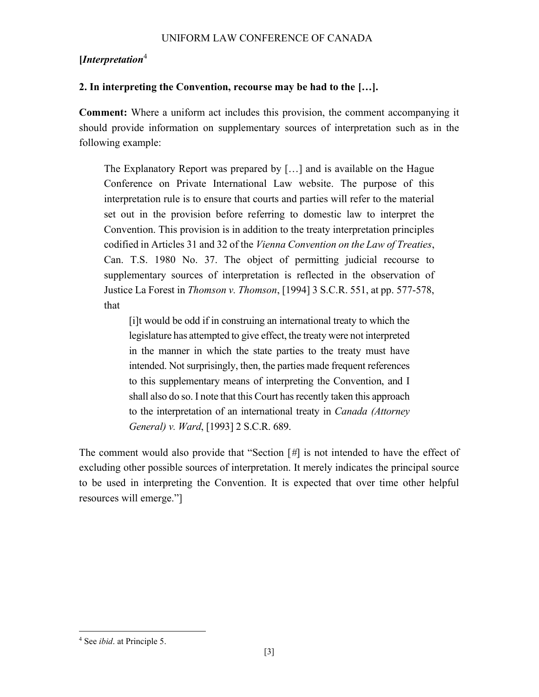# [Interpretation<sup>4</sup>

# 2. In interpreting the Convention, recourse may be had to the […].

Comment: Where a uniform act includes this provision, the comment accompanying it should provide information on supplementary sources of interpretation such as in the following example:

The Explanatory Report was prepared by […] and is available on the Hague Conference on Private International Law website. The purpose of this interpretation rule is to ensure that courts and parties will refer to the material set out in the provision before referring to domestic law to interpret the Convention. This provision is in addition to the treaty interpretation principles codified in Articles 31 and 32 of the Vienna Convention on the Law of Treaties, Can. T.S. 1980 No. 37. The object of permitting judicial recourse to supplementary sources of interpretation is reflected in the observation of Justice La Forest in Thomson v. Thomson, [1994] 3 S.C.R. 551, at pp. 577-578, that

[i]t would be odd if in construing an international treaty to which the legislature has attempted to give effect, the treaty were not interpreted in the manner in which the state parties to the treaty must have intended. Not surprisingly, then, the parties made frequent references to this supplementary means of interpreting the Convention, and I shall also do so. I note that this Court has recently taken this approach to the interpretation of an international treaty in Canada (Attorney General) v. Ward, [1993] 2 S.C.R. 689.

The comment would also provide that "Section [#] is not intended to have the effect of excluding other possible sources of interpretation. It merely indicates the principal source to be used in interpreting the Convention. It is expected that over time other helpful resources will emerge."]

<sup>&</sup>lt;sup>4</sup> See *ibid*. at Principle 5.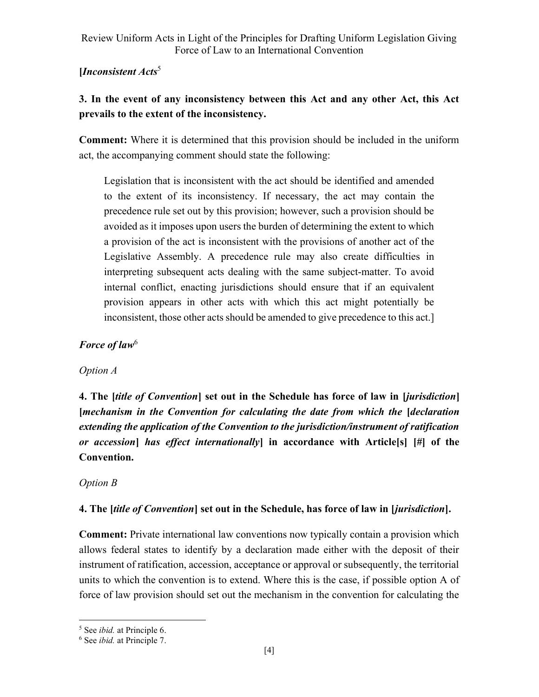# [Inconsistent  $Acts<sup>5</sup>$

# 3. In the event of any inconsistency between this Act and any other Act, this Act prevails to the extent of the inconsistency.

Comment: Where it is determined that this provision should be included in the uniform act, the accompanying comment should state the following:

Legislation that is inconsistent with the act should be identified and amended to the extent of its inconsistency. If necessary, the act may contain the precedence rule set out by this provision; however, such a provision should be avoided as it imposes upon users the burden of determining the extent to which a provision of the act is inconsistent with the provisions of another act of the Legislative Assembly. A precedence rule may also create difficulties in interpreting subsequent acts dealing with the same subject-matter. To avoid internal conflict, enacting jurisdictions should ensure that if an equivalent provision appears in other acts with which this act might potentially be inconsistent, those other acts should be amended to give precedence to this act.]

# Force of law $<sup>6</sup>$ </sup>

# Option A

4. The *little of Convention* set out in the Schedule has force of law in *[jurisdiction]* [mechanism in the Convention for calculating the date from which the [declaration extending the application of the Convention to the jurisdiction/instrument of ratification or accession] has effect internationally] in accordance with Article[s]  $[\#]$  of the Convention.

# Option B

# 4. The *[title of Convention]* set out in the Schedule, has force of law in *[jurisdiction]*.

Comment: Private international law conventions now typically contain a provision which allows federal states to identify by a declaration made either with the deposit of their instrument of ratification, accession, acceptance or approval or subsequently, the territorial units to which the convention is to extend. Where this is the case, if possible option A of force of law provision should set out the mechanism in the convention for calculating the

<sup>&</sup>lt;sup>5</sup> See *ibid*. at Principle 6.

<sup>&</sup>lt;sup>6</sup> See *ibid*. at Principle 7.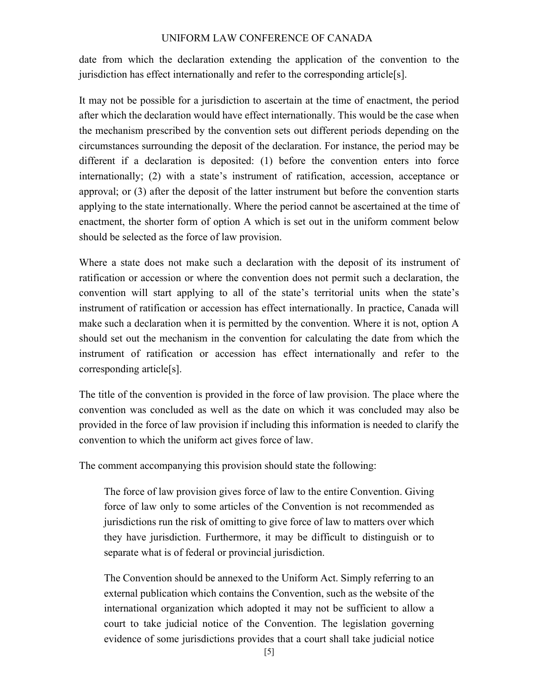date from which the declaration extending the application of the convention to the jurisdiction has effect internationally and refer to the corresponding article<sup>[s]</sup>.

It may not be possible for a jurisdiction to ascertain at the time of enactment, the period after which the declaration would have effect internationally. This would be the case when the mechanism prescribed by the convention sets out different periods depending on the circumstances surrounding the deposit of the declaration. For instance, the period may be different if a declaration is deposited: (1) before the convention enters into force internationally; (2) with a state's instrument of ratification, accession, acceptance or approval; or (3) after the deposit of the latter instrument but before the convention starts applying to the state internationally. Where the period cannot be ascertained at the time of enactment, the shorter form of option A which is set out in the uniform comment below should be selected as the force of law provision.

Where a state does not make such a declaration with the deposit of its instrument of ratification or accession or where the convention does not permit such a declaration, the convention will start applying to all of the state's territorial units when the state's instrument of ratification or accession has effect internationally. In practice, Canada will make such a declaration when it is permitted by the convention. Where it is not, option A should set out the mechanism in the convention for calculating the date from which the instrument of ratification or accession has effect internationally and refer to the corresponding article[s].

The title of the convention is provided in the force of law provision. The place where the convention was concluded as well as the date on which it was concluded may also be provided in the force of law provision if including this information is needed to clarify the convention to which the uniform act gives force of law.

The comment accompanying this provision should state the following:

The force of law provision gives force of law to the entire Convention. Giving force of law only to some articles of the Convention is not recommended as jurisdictions run the risk of omitting to give force of law to matters over which they have jurisdiction. Furthermore, it may be difficult to distinguish or to separate what is of federal or provincial jurisdiction.

The Convention should be annexed to the Uniform Act. Simply referring to an external publication which contains the Convention, such as the website of the international organization which adopted it may not be sufficient to allow a court to take judicial notice of the Convention. The legislation governing evidence of some jurisdictions provides that a court shall take judicial notice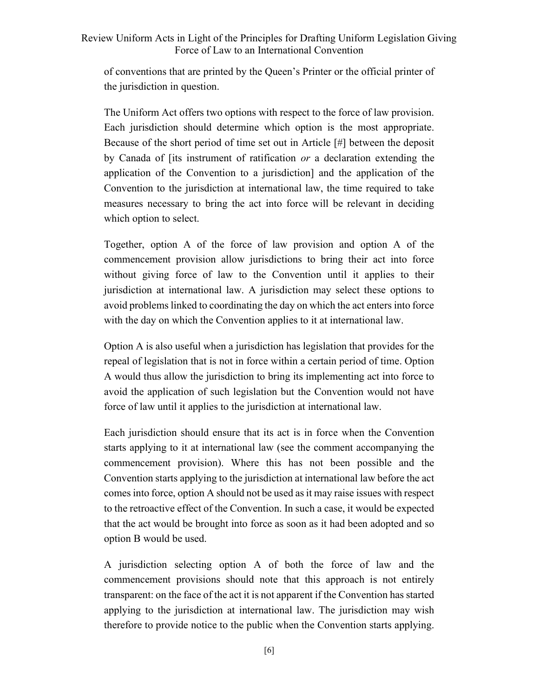of conventions that are printed by the Queen's Printer or the official printer of the jurisdiction in question.

The Uniform Act offers two options with respect to the force of law provision. Each jurisdiction should determine which option is the most appropriate. Because of the short period of time set out in Article [#] between the deposit by Canada of [its instrument of ratification or a declaration extending the application of the Convention to a jurisdiction] and the application of the Convention to the jurisdiction at international law, the time required to take measures necessary to bring the act into force will be relevant in deciding which option to select.

Together, option A of the force of law provision and option A of the commencement provision allow jurisdictions to bring their act into force without giving force of law to the Convention until it applies to their jurisdiction at international law. A jurisdiction may select these options to avoid problems linked to coordinating the day on which the act enters into force with the day on which the Convention applies to it at international law.

Option A is also useful when a jurisdiction has legislation that provides for the repeal of legislation that is not in force within a certain period of time. Option A would thus allow the jurisdiction to bring its implementing act into force to avoid the application of such legislation but the Convention would not have force of law until it applies to the jurisdiction at international law.

Each jurisdiction should ensure that its act is in force when the Convention starts applying to it at international law (see the comment accompanying the commencement provision). Where this has not been possible and the Convention starts applying to the jurisdiction at international law before the act comes into force, option A should not be used as it may raise issues with respect to the retroactive effect of the Convention. In such a case, it would be expected that the act would be brought into force as soon as it had been adopted and so option B would be used.

A jurisdiction selecting option A of both the force of law and the commencement provisions should note that this approach is not entirely transparent: on the face of the act it is not apparent if the Convention has started applying to the jurisdiction at international law. The jurisdiction may wish therefore to provide notice to the public when the Convention starts applying.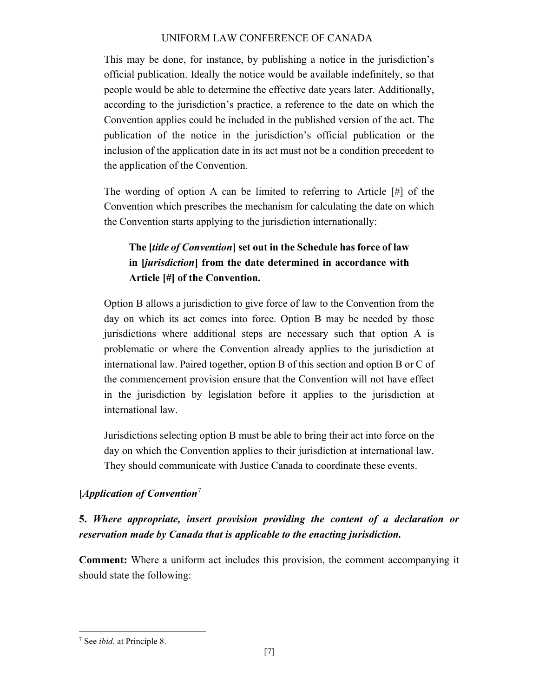This may be done, for instance, by publishing a notice in the jurisdiction's official publication. Ideally the notice would be available indefinitely, so that people would be able to determine the effective date years later. Additionally, according to the jurisdiction's practice, a reference to the date on which the Convention applies could be included in the published version of the act. The publication of the notice in the jurisdiction's official publication or the inclusion of the application date in its act must not be a condition precedent to the application of the Convention.

The wording of option A can be limited to referring to Article [#] of the Convention which prescribes the mechanism for calculating the date on which the Convention starts applying to the jurisdiction internationally:

# The *[title of Convention]* set out in the Schedule has force of law in [jurisdiction] from the date determined in accordance with Article [#] of the Convention.

Option B allows a jurisdiction to give force of law to the Convention from the day on which its act comes into force. Option B may be needed by those jurisdictions where additional steps are necessary such that option A is problematic or where the Convention already applies to the jurisdiction at international law. Paired together, option B of this section and option B or C of the commencement provision ensure that the Convention will not have effect in the jurisdiction by legislation before it applies to the jurisdiction at international law.

Jurisdictions selecting option B must be able to bring their act into force on the day on which the Convention applies to their jurisdiction at international law. They should communicate with Justice Canada to coordinate these events.

# [*Application of Convention*<sup>7</sup>

# 5. Where appropriate, insert provision providing the content of a declaration or reservation made by Canada that is applicable to the enacting jurisdiction.

Comment: Where a uniform act includes this provision, the comment accompanying it should state the following:

<sup>&</sup>lt;sup>7</sup> See *ibid*. at Principle 8.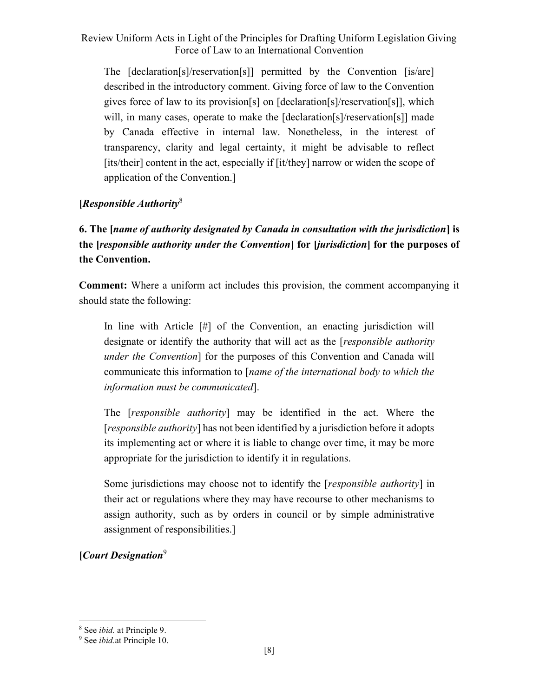The [declaration[s]/reservation[s]] permitted by the Convention [is/are] described in the introductory comment. Giving force of law to the Convention gives force of law to its provision[s] on [declaration[s]/reservation[s]], which will, in many cases, operate to make the [declaration[s]/reservation[s]] made by Canada effective in internal law. Nonetheless, in the interest of transparency, clarity and legal certainty, it might be advisable to reflect [its/their] content in the act, especially if [it/they] narrow or widen the scope of application of the Convention.]

### [Responsible Authority<sup>8</sup>]

6. The [name of authority designated by Canada in consultation with the jurisdiction] is the [responsible authority under the Convention] for [jurisdiction] for the purposes of the Convention.

Comment: Where a uniform act includes this provision, the comment accompanying it should state the following:

In line with Article [#] of the Convention, an enacting jurisdiction will designate or identify the authority that will act as the *[responsible authority* under the Convention] for the purposes of this Convention and Canada will communicate this information to [name of the international body to which the information must be communicated].

The [responsible authority] may be identified in the act. Where the [responsible *authority*] has not been identified by a jurisdiction before it adopts its implementing act or where it is liable to change over time, it may be more appropriate for the jurisdiction to identify it in regulations.

Some jurisdictions may choose not to identify the [*responsible authority*] in their act or regulations where they may have recourse to other mechanisms to assign authority, such as by orders in council or by simple administrative assignment of responsibilities.]

 $[Ca$ art Designation<sup>9</sup>

<sup>&</sup>lt;sup>8</sup> See *ibid*. at Principle 9.

<sup>&</sup>lt;sup>9</sup> See *ibid*.at Principle 10.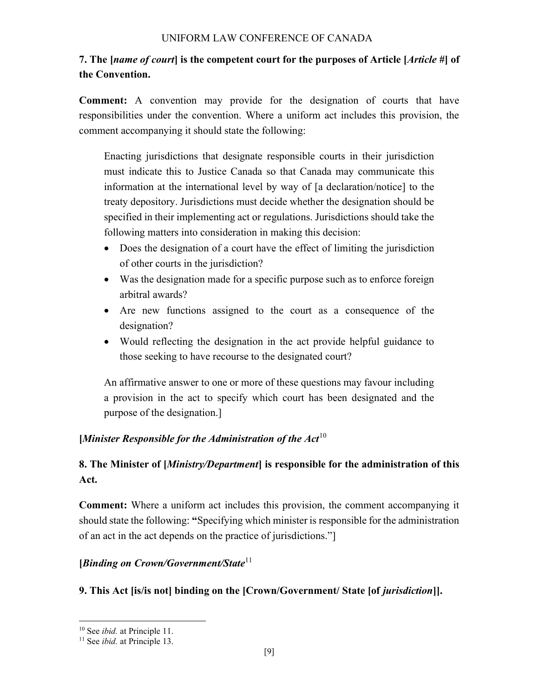# 7. The [name of court] is the competent court for the purposes of Article [Article #] of the Convention.

Comment: A convention may provide for the designation of courts that have responsibilities under the convention. Where a uniform act includes this provision, the comment accompanying it should state the following:

Enacting jurisdictions that designate responsible courts in their jurisdiction must indicate this to Justice Canada so that Canada may communicate this information at the international level by way of [a declaration/notice] to the treaty depository. Jurisdictions must decide whether the designation should be specified in their implementing act or regulations. Jurisdictions should take the following matters into consideration in making this decision:

- Does the designation of a court have the effect of limiting the jurisdiction of other courts in the jurisdiction?
- Was the designation made for a specific purpose such as to enforce foreign arbitral awards?
- Are new functions assigned to the court as a consequence of the designation?
- Would reflecting the designation in the act provide helpful guidance to those seeking to have recourse to the designated court?

An affirmative answer to one or more of these questions may favour including a provision in the act to specify which court has been designated and the purpose of the designation.]

# [Minister Responsible for the Administration of the  $Act^{10}$

# 8. The Minister of [Ministry/Department] is responsible for the administration of this Act.

Comment: Where a uniform act includes this provision, the comment accompanying it should state the following: "Specifying which minister is responsible for the administration of an act in the act depends on the practice of jurisdictions."]

#### [Binding on Crown/Government/State<sup>11</sup>]

# 9. This Act [is/is not] binding on the [Crown/Government/ State [of *jurisdiction*]].

<sup>&</sup>lt;sup>10</sup> See *ibid*. at Principle 11.

 $11$  See *ibid.* at Principle 13.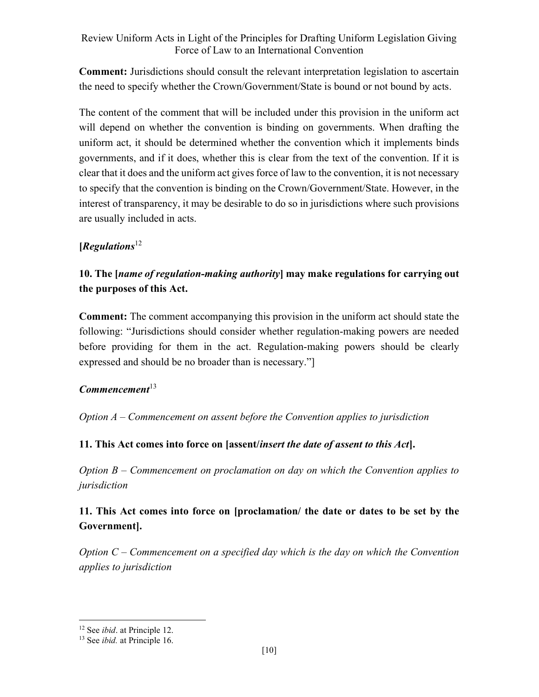Comment: Jurisdictions should consult the relevant interpretation legislation to ascertain the need to specify whether the Crown/Government/State is bound or not bound by acts.

The content of the comment that will be included under this provision in the uniform act will depend on whether the convention is binding on governments. When drafting the uniform act, it should be determined whether the convention which it implements binds governments, and if it does, whether this is clear from the text of the convention. If it is clear that it does and the uniform act gives force of law to the convention, it is not necessary to specify that the convention is binding on the Crown/Government/State. However, in the interest of transparency, it may be desirable to do so in jurisdictions where such provisions are usually included in acts.

### $[Regulations<sup>12</sup>]$

# 10. The [name of regulation-making authority] may make regulations for carrying out the purposes of this Act.

Comment: The comment accompanying this provision in the uniform act should state the following: "Jurisdictions should consider whether regulation-making powers are needed before providing for them in the act. Regulation-making powers should be clearly expressed and should be no broader than is necessary."]

#### $$

Option A – Commencement on assent before the Convention applies to jurisdiction

#### 11. This Act comes into force on [assent/insert the date of assent to this Act].

Option B – Commencement on proclamation on day on which the Convention applies to jurisdiction

# 11. This Act comes into force on [proclamation/ the date or dates to be set by the Government].

Option  $C$  – Commencement on a specified day which is the day on which the Convention applies to jurisdiction

<sup>&</sup>lt;sup>12</sup> See *ibid*. at Principle 12.

<sup>&</sup>lt;sup>13</sup> See *ibid.* at Principle 16.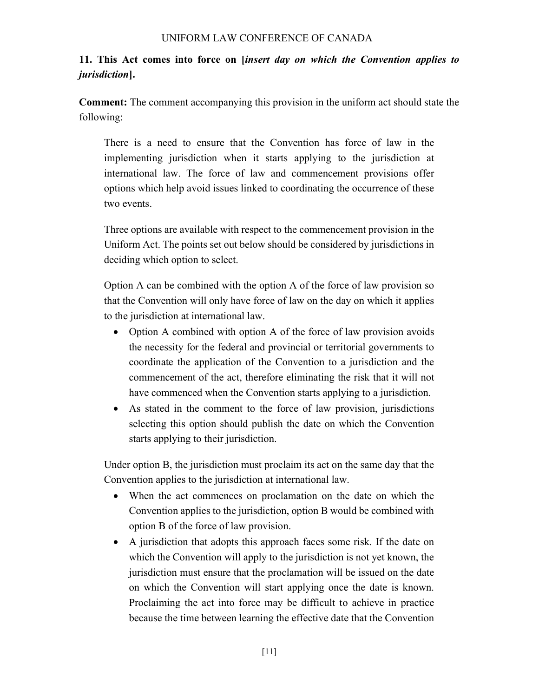# 11. This Act comes into force on [insert day on which the Convention applies to jurisdiction].

Comment: The comment accompanying this provision in the uniform act should state the following:

There is a need to ensure that the Convention has force of law in the implementing jurisdiction when it starts applying to the jurisdiction at international law. The force of law and commencement provisions offer options which help avoid issues linked to coordinating the occurrence of these two events.

Three options are available with respect to the commencement provision in the Uniform Act. The points set out below should be considered by jurisdictions in deciding which option to select.

Option A can be combined with the option A of the force of law provision so that the Convention will only have force of law on the day on which it applies to the jurisdiction at international law.

- Option A combined with option A of the force of law provision avoids the necessity for the federal and provincial or territorial governments to coordinate the application of the Convention to a jurisdiction and the commencement of the act, therefore eliminating the risk that it will not have commenced when the Convention starts applying to a jurisdiction.
- As stated in the comment to the force of law provision, jurisdictions selecting this option should publish the date on which the Convention starts applying to their jurisdiction.

Under option B, the jurisdiction must proclaim its act on the same day that the Convention applies to the jurisdiction at international law.

- When the act commences on proclamation on the date on which the Convention applies to the jurisdiction, option B would be combined with option B of the force of law provision.
- A jurisdiction that adopts this approach faces some risk. If the date on which the Convention will apply to the jurisdiction is not yet known, the jurisdiction must ensure that the proclamation will be issued on the date on which the Convention will start applying once the date is known. Proclaiming the act into force may be difficult to achieve in practice because the time between learning the effective date that the Convention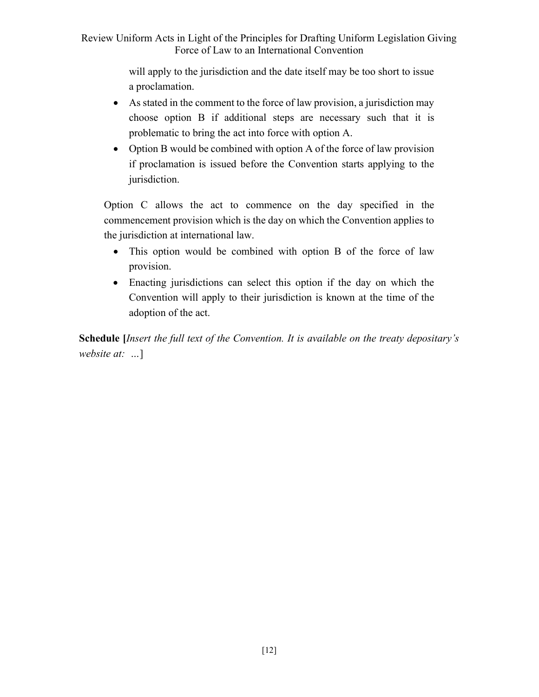> will apply to the jurisdiction and the date itself may be too short to issue a proclamation.

- As stated in the comment to the force of law provision, a jurisdiction may choose option B if additional steps are necessary such that it is problematic to bring the act into force with option A.
- Option B would be combined with option A of the force of law provision if proclamation is issued before the Convention starts applying to the jurisdiction.

Option C allows the act to commence on the day specified in the commencement provision which is the day on which the Convention applies to the jurisdiction at international law.

- This option would be combined with option B of the force of law provision.
- Enacting jurisdictions can select this option if the day on which the Convention will apply to their jurisdiction is known at the time of the adoption of the act.

Schedule *[Insert the full text of the Convention. It is available on the treaty depositary's* website at: ...]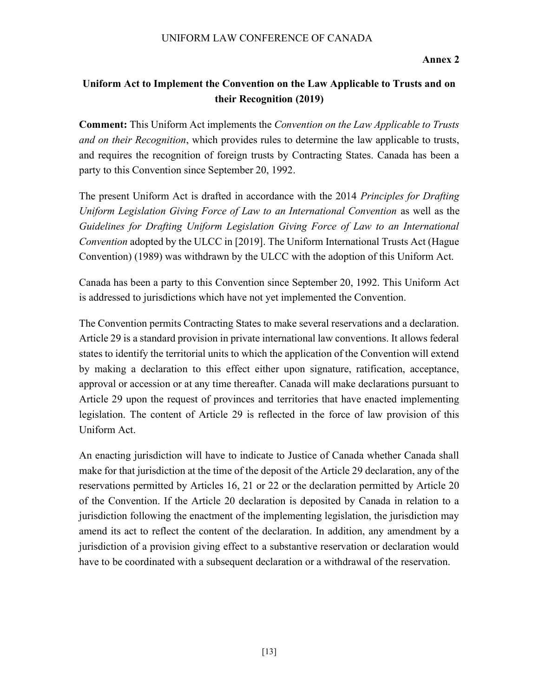Annex 2

# Uniform Act to Implement the Convention on the Law Applicable to Trusts and on their Recognition (2019)

**Comment:** This Uniform Act implements the *Convention on the Law Applicable to Trusts* and on their Recognition, which provides rules to determine the law applicable to trusts, and requires the recognition of foreign trusts by Contracting States. Canada has been a party to this Convention since September 20, 1992.

The present Uniform Act is drafted in accordance with the 2014 *Principles for Drafting* Uniform Legislation Giving Force of Law to an International Convention as well as the Guidelines for Drafting Uniform Legislation Giving Force of Law to an International Convention adopted by the ULCC in [2019]. The Uniform International Trusts Act (Hague Convention) (1989) was withdrawn by the ULCC with the adoption of this Uniform Act.

Canada has been a party to this Convention since September 20, 1992. This Uniform Act is addressed to jurisdictions which have not yet implemented the Convention.

The Convention permits Contracting States to make several reservations and a declaration. Article 29 is a standard provision in private international law conventions. It allows federal states to identify the territorial units to which the application of the Convention will extend by making a declaration to this effect either upon signature, ratification, acceptance, approval or accession or at any time thereafter. Canada will make declarations pursuant to Article 29 upon the request of provinces and territories that have enacted implementing legislation. The content of Article 29 is reflected in the force of law provision of this Uniform Act.

An enacting jurisdiction will have to indicate to Justice of Canada whether Canada shall make for that jurisdiction at the time of the deposit of the Article 29 declaration, any of the reservations permitted by Articles 16, 21 or 22 or the declaration permitted by Article 20 of the Convention. If the Article 20 declaration is deposited by Canada in relation to a jurisdiction following the enactment of the implementing legislation, the jurisdiction may amend its act to reflect the content of the declaration. In addition, any amendment by a jurisdiction of a provision giving effect to a substantive reservation or declaration would have to be coordinated with a subsequent declaration or a withdrawal of the reservation.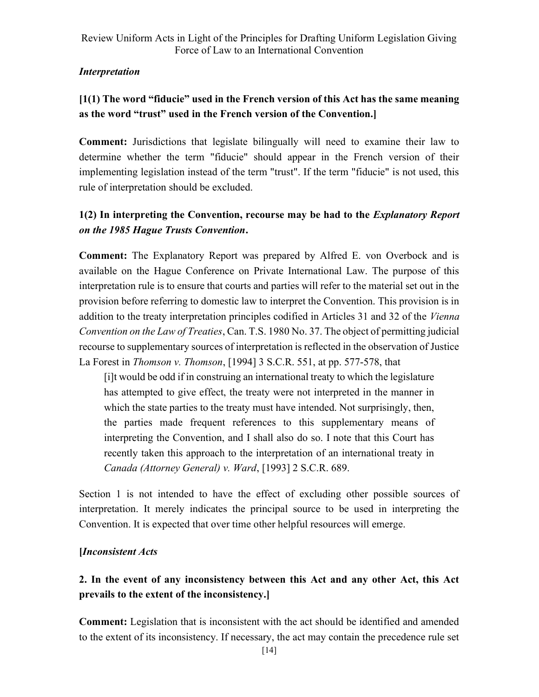# Interpretation

# [1(1) The word "fiducie" used in the French version of this Act has the same meaning as the word "trust" used in the French version of the Convention.]

Comment: Jurisdictions that legislate bilingually will need to examine their law to determine whether the term "fiducie" should appear in the French version of their implementing legislation instead of the term "trust". If the term "fiducie" is not used, this rule of interpretation should be excluded.

# 1(2) In interpreting the Convention, recourse may be had to the Explanatory Report on the 1985 Hague Trusts Convention.

Comment: The Explanatory Report was prepared by Alfred E. von Overbock and is available on the Hague Conference on Private International Law. The purpose of this interpretation rule is to ensure that courts and parties will refer to the material set out in the provision before referring to domestic law to interpret the Convention. This provision is in addition to the treaty interpretation principles codified in Articles 31 and 32 of the Vienna Convention on the Law of Treaties, Can. T.S. 1980 No. 37. The object of permitting judicial recourse to supplementary sources of interpretation is reflected in the observation of Justice La Forest in Thomson v. Thomson, [1994] 3 S.C.R. 551, at pp. 577-578, that

[i]t would be odd if in construing an international treaty to which the legislature has attempted to give effect, the treaty were not interpreted in the manner in which the state parties to the treaty must have intended. Not surprisingly, then, the parties made frequent references to this supplementary means of interpreting the Convention, and I shall also do so. I note that this Court has recently taken this approach to the interpretation of an international treaty in Canada (Attorney General) v. Ward, [1993] 2 S.C.R. 689.

Section 1 is not intended to have the effect of excluding other possible sources of interpretation. It merely indicates the principal source to be used in interpreting the Convention. It is expected that over time other helpful resources will emerge.

# [Inconsistent Acts

# 2. In the event of any inconsistency between this Act and any other Act, this Act prevails to the extent of the inconsistency.]

Comment: Legislation that is inconsistent with the act should be identified and amended to the extent of its inconsistency. If necessary, the act may contain the precedence rule set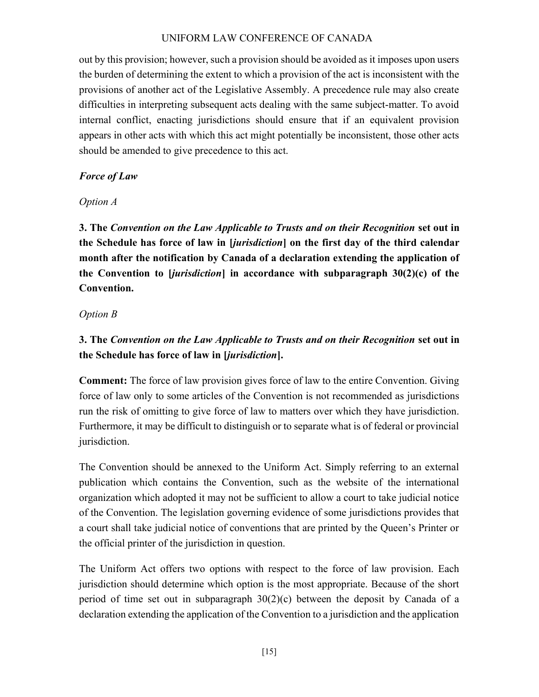out by this provision; however, such a provision should be avoided as it imposes upon users the burden of determining the extent to which a provision of the act is inconsistent with the provisions of another act of the Legislative Assembly. A precedence rule may also create difficulties in interpreting subsequent acts dealing with the same subject-matter. To avoid internal conflict, enacting jurisdictions should ensure that if an equivalent provision appears in other acts with which this act might potentially be inconsistent, those other acts should be amended to give precedence to this act.

### Force of Law

### Option A

3. The Convention on the Law Applicable to Trusts and on their Recognition set out in the Schedule has force of law in *[jurisdiction*] on the first day of the third calendar month after the notification by Canada of a declaration extending the application of the Convention to  $|*justiction*|$  in accordance with subparagraph  $30(2)(c)$  of the Convention.

### Option B

# 3. The Convention on the Law Applicable to Trusts and on their Recognition set out in the Schedule has force of law in [jurisdiction].

Comment: The force of law provision gives force of law to the entire Convention. Giving force of law only to some articles of the Convention is not recommended as jurisdictions run the risk of omitting to give force of law to matters over which they have jurisdiction. Furthermore, it may be difficult to distinguish or to separate what is of federal or provincial jurisdiction.

The Convention should be annexed to the Uniform Act. Simply referring to an external publication which contains the Convention, such as the website of the international organization which adopted it may not be sufficient to allow a court to take judicial notice of the Convention. The legislation governing evidence of some jurisdictions provides that a court shall take judicial notice of conventions that are printed by the Queen's Printer or the official printer of the jurisdiction in question.

The Uniform Act offers two options with respect to the force of law provision. Each jurisdiction should determine which option is the most appropriate. Because of the short period of time set out in subparagraph  $30(2)(c)$  between the deposit by Canada of a declaration extending the application of the Convention to a jurisdiction and the application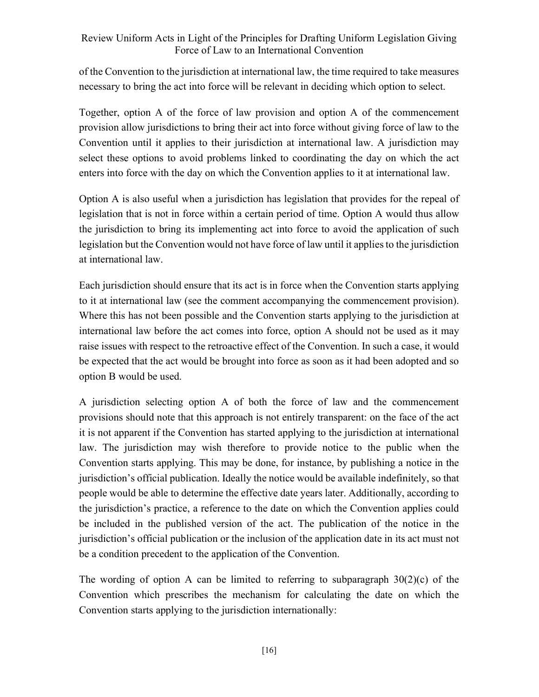of the Convention to the jurisdiction at international law, the time required to take measures necessary to bring the act into force will be relevant in deciding which option to select.

Together, option A of the force of law provision and option A of the commencement provision allow jurisdictions to bring their act into force without giving force of law to the Convention until it applies to their jurisdiction at international law. A jurisdiction may select these options to avoid problems linked to coordinating the day on which the act enters into force with the day on which the Convention applies to it at international law.

Option A is also useful when a jurisdiction has legislation that provides for the repeal of legislation that is not in force within a certain period of time. Option A would thus allow the jurisdiction to bring its implementing act into force to avoid the application of such legislation but the Convention would not have force of law until it applies to the jurisdiction at international law.

Each jurisdiction should ensure that its act is in force when the Convention starts applying to it at international law (see the comment accompanying the commencement provision). Where this has not been possible and the Convention starts applying to the jurisdiction at international law before the act comes into force, option A should not be used as it may raise issues with respect to the retroactive effect of the Convention. In such a case, it would be expected that the act would be brought into force as soon as it had been adopted and so option B would be used.

A jurisdiction selecting option A of both the force of law and the commencement provisions should note that this approach is not entirely transparent: on the face of the act it is not apparent if the Convention has started applying to the jurisdiction at international law. The jurisdiction may wish therefore to provide notice to the public when the Convention starts applying. This may be done, for instance, by publishing a notice in the jurisdiction's official publication. Ideally the notice would be available indefinitely, so that people would be able to determine the effective date years later. Additionally, according to the jurisdiction's practice, a reference to the date on which the Convention applies could be included in the published version of the act. The publication of the notice in the jurisdiction's official publication or the inclusion of the application date in its act must not be a condition precedent to the application of the Convention.

The wording of option A can be limited to referring to subparagraph  $30(2)(c)$  of the Convention which prescribes the mechanism for calculating the date on which the Convention starts applying to the jurisdiction internationally: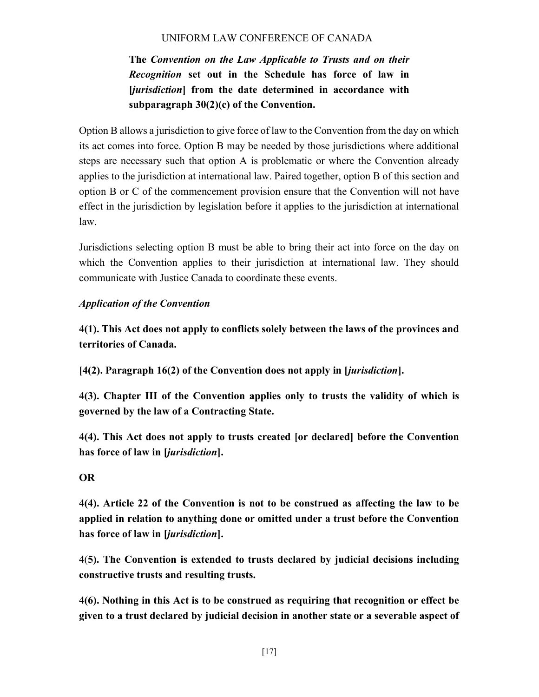The Convention on the Law Applicable to Trusts and on their Recognition set out in the Schedule has force of law in [*jurisdiction*] from the date determined in accordance with subparagraph 30(2)(c) of the Convention.

Option B allows a jurisdiction to give force of law to the Convention from the day on which its act comes into force. Option B may be needed by those jurisdictions where additional steps are necessary such that option A is problematic or where the Convention already applies to the jurisdiction at international law. Paired together, option B of this section and option B or C of the commencement provision ensure that the Convention will not have effect in the jurisdiction by legislation before it applies to the jurisdiction at international law.

Jurisdictions selecting option B must be able to bring their act into force on the day on which the Convention applies to their jurisdiction at international law. They should communicate with Justice Canada to coordinate these events.

# Application of the Convention

4(1). This Act does not apply to conflicts solely between the laws of the provinces and territories of Canada.

[4(2). Paragraph 16(2) of the Convention does not apply in [jurisdiction].

4(3). Chapter III of the Convention applies only to trusts the validity of which is governed by the law of a Contracting State.

4(4). This Act does not apply to trusts created [or declared] before the Convention has force of law in [jurisdiction].

# OR

4(4). Article 22 of the Convention is not to be construed as affecting the law to be applied in relation to anything done or omitted under a trust before the Convention has force of law in [*jurisdiction*].

4(5). The Convention is extended to trusts declared by judicial decisions including constructive trusts and resulting trusts.

4(6). Nothing in this Act is to be construed as requiring that recognition or effect be given to a trust declared by judicial decision in another state or a severable aspect of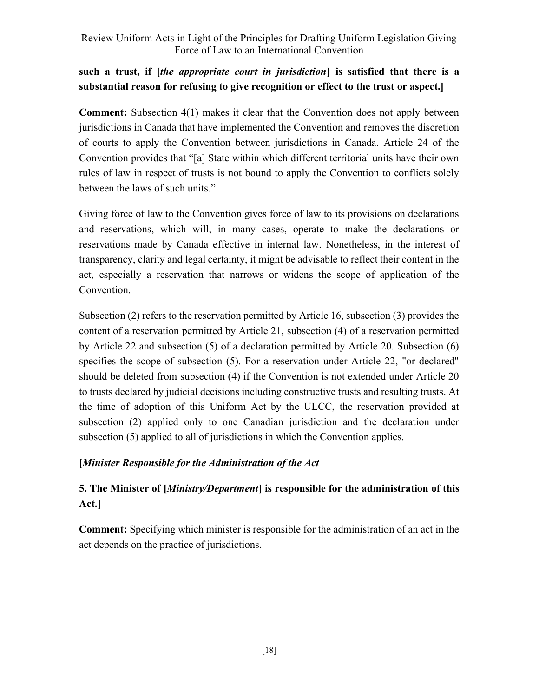# such a trust, if *[the appropriate court in jurisdiction*] is satisfied that there is a substantial reason for refusing to give recognition or effect to the trust or aspect.]

Comment: Subsection 4(1) makes it clear that the Convention does not apply between jurisdictions in Canada that have implemented the Convention and removes the discretion of courts to apply the Convention between jurisdictions in Canada. Article 24 of the Convention provides that "[a] State within which different territorial units have their own rules of law in respect of trusts is not bound to apply the Convention to conflicts solely between the laws of such units."

Giving force of law to the Convention gives force of law to its provisions on declarations and reservations, which will, in many cases, operate to make the declarations or reservations made by Canada effective in internal law. Nonetheless, in the interest of transparency, clarity and legal certainty, it might be advisable to reflect their content in the act, especially a reservation that narrows or widens the scope of application of the Convention.

Subsection (2) refers to the reservation permitted by Article 16, subsection (3) provides the content of a reservation permitted by Article 21, subsection (4) of a reservation permitted by Article 22 and subsection (5) of a declaration permitted by Article 20. Subsection (6) specifies the scope of subsection (5). For a reservation under Article 22, "or declared" should be deleted from subsection (4) if the Convention is not extended under Article 20 to trusts declared by judicial decisions including constructive trusts and resulting trusts. At the time of adoption of this Uniform Act by the ULCC, the reservation provided at subsection (2) applied only to one Canadian jurisdiction and the declaration under subsection (5) applied to all of jurisdictions in which the Convention applies.

# [Minister Responsible for the Administration of the Act

# 5. The Minister of [*Ministry/Department*] is responsible for the administration of this Act.]

Comment: Specifying which minister is responsible for the administration of an act in the act depends on the practice of jurisdictions.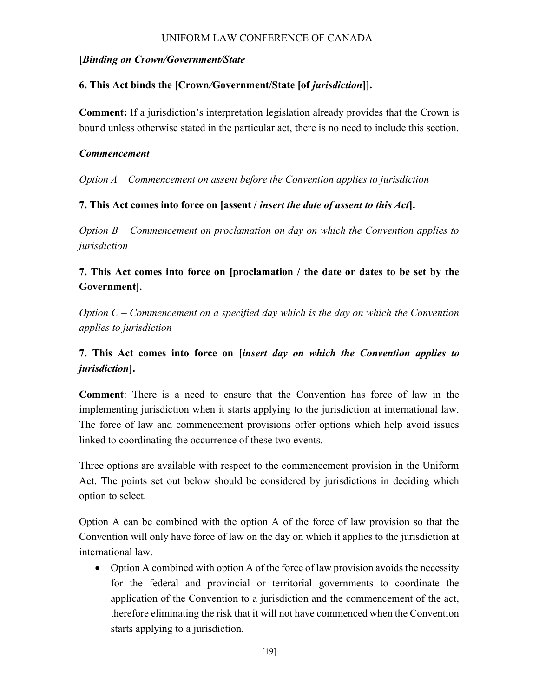#### [Binding on Crown/Government/State

### 6. This Act binds the [Crown/Government/State [of jurisdiction]].

Comment: If a jurisdiction's interpretation legislation already provides that the Crown is bound unless otherwise stated in the particular act, there is no need to include this section.

#### Commencement

Option  $A -$  Commencement on assent before the Convention applies to jurisdiction

### 7. This Act comes into force on [assent / insert the date of assent to this Act].

Option  $B$  – Commencement on proclamation on day on which the Convention applies to jurisdiction

# 7. This Act comes into force on [proclamation / the date or dates to be set by the Government].

Option  $C$  – Commencement on a specified day which is the day on which the Convention applies to jurisdiction

# 7. This Act comes into force on [insert day on which the Convention applies to jurisdiction].

Comment: There is a need to ensure that the Convention has force of law in the implementing jurisdiction when it starts applying to the jurisdiction at international law. The force of law and commencement provisions offer options which help avoid issues linked to coordinating the occurrence of these two events.

Three options are available with respect to the commencement provision in the Uniform Act. The points set out below should be considered by jurisdictions in deciding which option to select.

Option A can be combined with the option A of the force of law provision so that the Convention will only have force of law on the day on which it applies to the jurisdiction at international law.

 Option A combined with option A of the force of law provision avoids the necessity for the federal and provincial or territorial governments to coordinate the application of the Convention to a jurisdiction and the commencement of the act, therefore eliminating the risk that it will not have commenced when the Convention starts applying to a jurisdiction.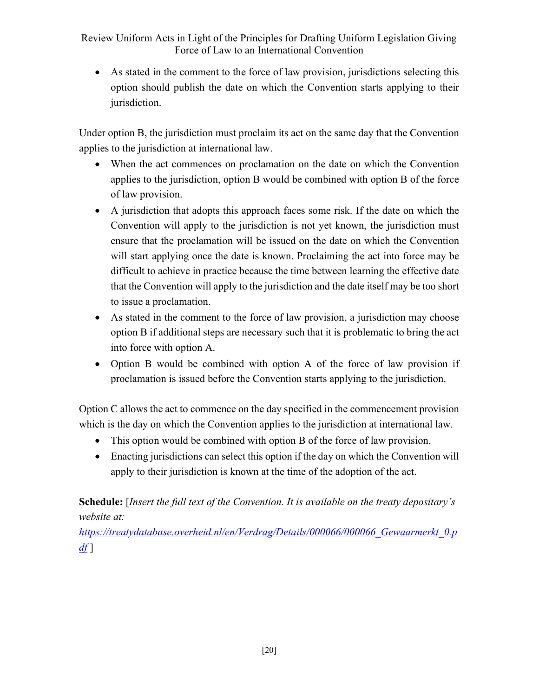As stated in the comment to the force of law provision, jurisdictions selecting this option should publish the date on which the Convention starts applying to their jurisdiction.

Under option B, the jurisdiction must proclaim its act on the same day that the Convention applies to the jurisdiction at international law.

- When the act commences on proclamation on the date on which the Convention applies to the jurisdiction, option B would be combined with option B of the force of law provision.
- A jurisdiction that adopts this approach faces some risk. If the date on which the Convention will apply to the jurisdiction is not yet known, the jurisdiction must ensure that the proclamation will be issued on the date on which the Convention will start applying once the date is known. Proclaiming the act into force may be difficult to achieve in practice because the time between learning the effective date that the Convention will apply to the jurisdiction and the date itself may be too short to issue a proclamation.
- As stated in the comment to the force of law provision, a jurisdiction may choose option B if additional steps are necessary such that it is problematic to bring the act into force with option A.
- Option B would be combined with option A of the force of law provision if proclamation is issued before the Convention starts applying to the jurisdiction.

Option C allows the act to commence on the day specified in the commencement provision which is the day on which the Convention applies to the jurisdiction at international law.

- This option would be combined with option B of the force of law provision.
- Enacting jurisdictions can select this option if the day on which the Convention will apply to their jurisdiction is known at the time of the adoption of the act.

# Schedule: [Insert the full text of the Convention. It is available on the treaty depositary's website at:

https://treatydatabase.overheid.nl/en/Verdrag/Details/000066/000066 Gewaarmerkt 0.p  $df$ ]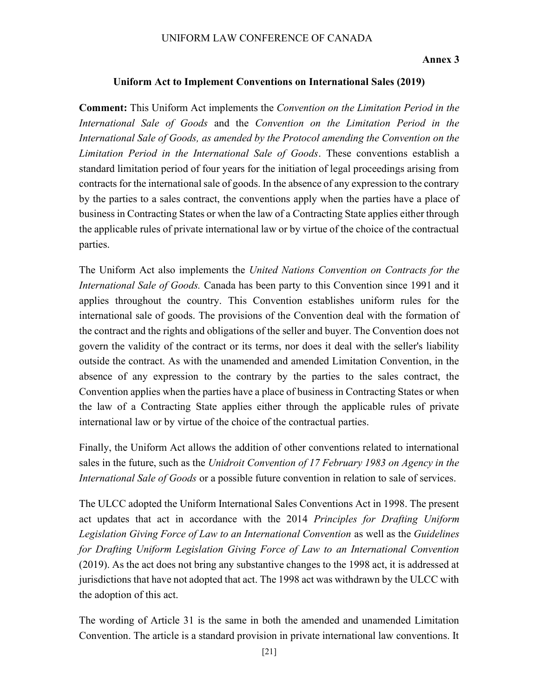#### Annex 3

#### Uniform Act to Implement Conventions on International Sales (2019)

Comment: This Uniform Act implements the Convention on the Limitation Period in the International Sale of Goods and the Convention on the Limitation Period in the International Sale of Goods, as amended by the Protocol amending the Convention on the Limitation Period in the International Sale of Goods. These conventions establish a standard limitation period of four years for the initiation of legal proceedings arising from contracts for the international sale of goods. In the absence of any expression to the contrary by the parties to a sales contract, the conventions apply when the parties have a place of business in Contracting States or when the law of a Contracting State applies either through the applicable rules of private international law or by virtue of the choice of the contractual parties.

The Uniform Act also implements the United Nations Convention on Contracts for the International Sale of Goods. Canada has been party to this Convention since 1991 and it applies throughout the country. This Convention establishes uniform rules for the international sale of goods. The provisions of the Convention deal with the formation of the contract and the rights and obligations of the seller and buyer. The Convention does not govern the validity of the contract or its terms, nor does it deal with the seller's liability outside the contract. As with the unamended and amended Limitation Convention, in the absence of any expression to the contrary by the parties to the sales contract, the Convention applies when the parties have a place of business in Contracting States or when the law of a Contracting State applies either through the applicable rules of private international law or by virtue of the choice of the contractual parties.

Finally, the Uniform Act allows the addition of other conventions related to international sales in the future, such as the Unidroit Convention of 17 February 1983 on Agency in the International Sale of Goods or a possible future convention in relation to sale of services.

The ULCC adopted the Uniform International Sales Conventions Act in 1998. The present act updates that act in accordance with the 2014 Principles for Drafting Uniform Legislation Giving Force of Law to an International Convention as well as the Guidelines for Drafting Uniform Legislation Giving Force of Law to an International Convention (2019). As the act does not bring any substantive changes to the 1998 act, it is addressed at jurisdictions that have not adopted that act. The 1998 act was withdrawn by the ULCC with the adoption of this act.

The wording of Article 31 is the same in both the amended and unamended Limitation Convention. The article is a standard provision in private international law conventions. It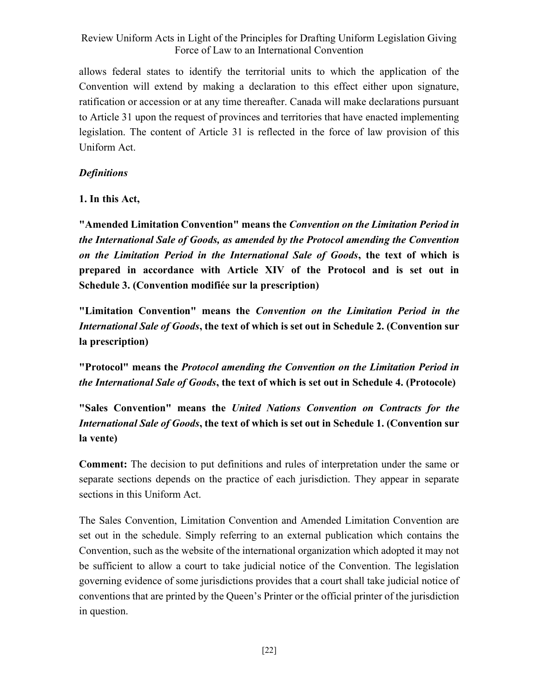allows federal states to identify the territorial units to which the application of the Convention will extend by making a declaration to this effect either upon signature, ratification or accession or at any time thereafter. Canada will make declarations pursuant to Article 31 upon the request of provinces and territories that have enacted implementing legislation. The content of Article 31 is reflected in the force of law provision of this Uniform Act.

#### **Definitions**

1. In this Act,

"Amended Limitation Convention" means the Convention on the Limitation Period in the International Sale of Goods, as amended by the Protocol amending the Convention on the Limitation Period in the International Sale of Goods, the text of which is prepared in accordance with Article XIV of the Protocol and is set out in Schedule 3. (Convention modifiée sur la prescription)

"Limitation Convention" means the Convention on the Limitation Period in the International Sale of Goods, the text of which is set out in Schedule 2. (Convention sur la prescription)

"Protocol" means the Protocol amending the Convention on the Limitation Period in the International Sale of Goods, the text of which is set out in Schedule 4. (Protocole)

"Sales Convention" means the United Nations Convention on Contracts for the International Sale of Goods, the text of which is set out in Schedule 1. (Convention sur la vente)

Comment: The decision to put definitions and rules of interpretation under the same or separate sections depends on the practice of each jurisdiction. They appear in separate sections in this Uniform Act.

The Sales Convention, Limitation Convention and Amended Limitation Convention are set out in the schedule. Simply referring to an external publication which contains the Convention, such as the website of the international organization which adopted it may not be sufficient to allow a court to take judicial notice of the Convention. The legislation governing evidence of some jurisdictions provides that a court shall take judicial notice of conventions that are printed by the Queen's Printer or the official printer of the jurisdiction in question.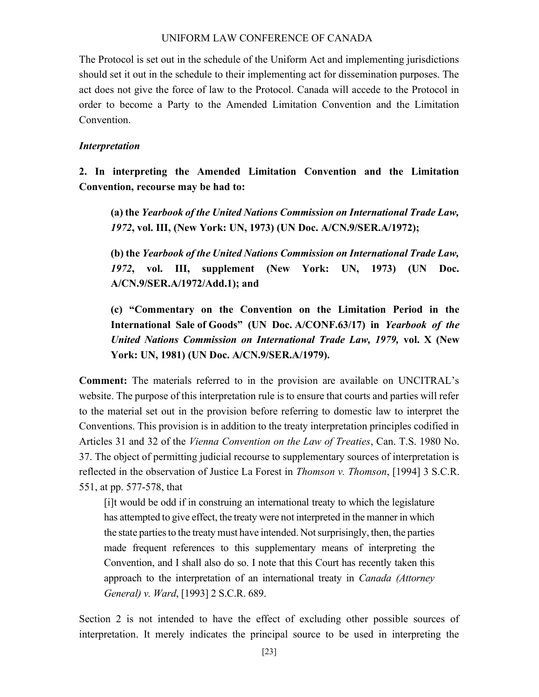The Protocol is set out in the schedule of the Uniform Act and implementing jurisdictions should set it out in the schedule to their implementing act for dissemination purposes. The act does not give the force of law to the Protocol. Canada will accede to the Protocol in order to become a Party to the Amended Limitation Convention and the Limitation Convention.

#### Interpretation

2. In interpreting the Amended Limitation Convention and the Limitation Convention, recourse may be had to:

(a) the Yearbook of the United Nations Commission on International Trade Law, 1972, vol. III, (New York: UN, 1973) (UN Doc. A/CN.9/SER.A/1972);

(b) the Yearbook of the United Nations Commission on International Trade Law, 1972, vol. III, supplement (New York: UN, 1973) (UN Doc. A/CN.9/SER.A/1972/Add.1); and

(c) "Commentary on the Convention on the Limitation Period in the International Sale of Goods" (UN Doc. A/CONF.63/17) in Yearbook of the United Nations Commission on International Trade Law, 1979, vol. X (New York: UN, 1981) (UN Doc. A/CN.9/SER.A/1979).

Comment: The materials referred to in the provision are available on UNCITRAL's website. The purpose of this interpretation rule is to ensure that courts and parties will refer to the material set out in the provision before referring to domestic law to interpret the Conventions. This provision is in addition to the treaty interpretation principles codified in Articles 31 and 32 of the Vienna Convention on the Law of Treaties, Can. T.S. 1980 No. 37. The object of permitting judicial recourse to supplementary sources of interpretation is reflected in the observation of Justice La Forest in *Thomson v. Thomson*, [1994] 3 S.C.R. 551, at pp. 577-578, that

[i]t would be odd if in construing an international treaty to which the legislature has attempted to give effect, the treaty were not interpreted in the manner in which the state parties to the treaty must have intended. Not surprisingly, then, the parties made frequent references to this supplementary means of interpreting the Convention, and I shall also do so. I note that this Court has recently taken this approach to the interpretation of an international treaty in *Canada (Attorney*) General) v. Ward, [1993] 2 S.C.R. 689.

Section 2 is not intended to have the effect of excluding other possible sources of interpretation. It merely indicates the principal source to be used in interpreting the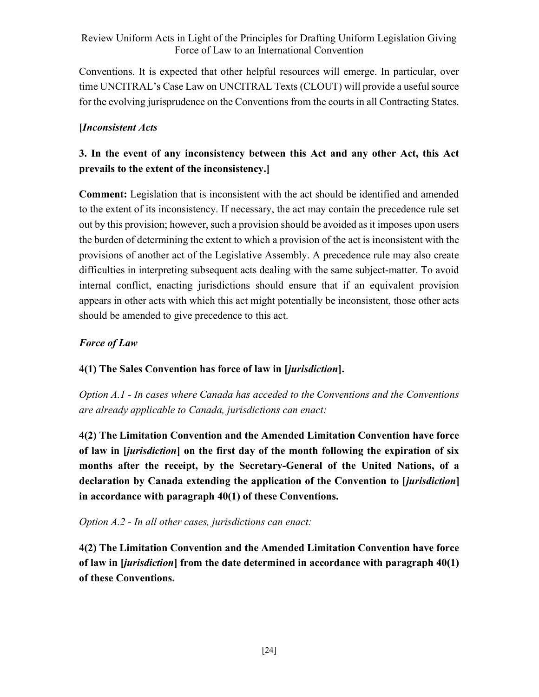Conventions. It is expected that other helpful resources will emerge. In particular, over time UNCITRAL's Case Law on UNCITRAL Texts (CLOUT) will provide a useful source for the evolving jurisprudence on the Conventions from the courts in all Contracting States.

# [Inconsistent Acts

# 3. In the event of any inconsistency between this Act and any other Act, this Act prevails to the extent of the inconsistency.]

Comment: Legislation that is inconsistent with the act should be identified and amended to the extent of its inconsistency. If necessary, the act may contain the precedence rule set out by this provision; however, such a provision should be avoided as it imposes upon users the burden of determining the extent to which a provision of the act is inconsistent with the provisions of another act of the Legislative Assembly. A precedence rule may also create difficulties in interpreting subsequent acts dealing with the same subject-matter. To avoid internal conflict, enacting jurisdictions should ensure that if an equivalent provision appears in other acts with which this act might potentially be inconsistent, those other acts should be amended to give precedence to this act.

# Force of Law

# 4(1) The Sales Convention has force of law in [jurisdiction].

Option A.1 - In cases where Canada has acceded to the Conventions and the Conventions are already applicable to Canada, jurisdictions can enact:

4(2) The Limitation Convention and the Amended Limitation Convention have force of law in [jurisdiction] on the first day of the month following the expiration of six months after the receipt, by the Secretary-General of the United Nations, of a declaration by Canada extending the application of the Convention to [jurisdiction] in accordance with paragraph 40(1) of these Conventions.

Option A.2 - In all other cases, jurisdictions can enact:

4(2) The Limitation Convention and the Amended Limitation Convention have force of law in [jurisdiction] from the date determined in accordance with paragraph 40(1) of these Conventions.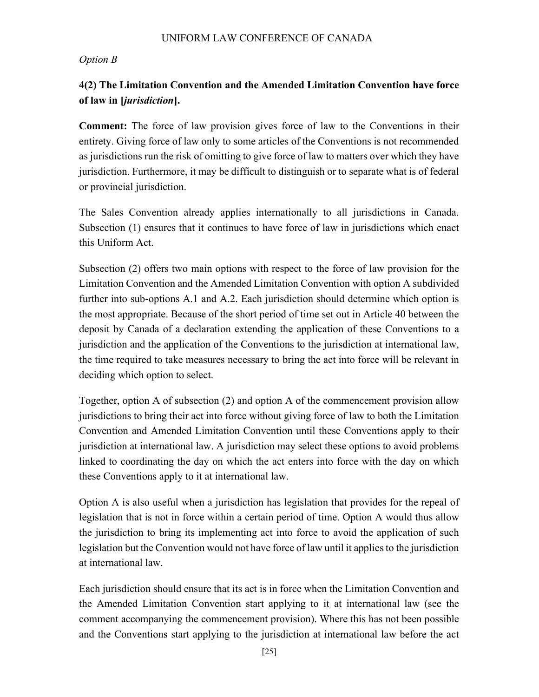#### Option B

# 4(2) The Limitation Convention and the Amended Limitation Convention have force of law in [jurisdiction].

Comment: The force of law provision gives force of law to the Conventions in their entirety. Giving force of law only to some articles of the Conventions is not recommended as jurisdictions run the risk of omitting to give force of law to matters over which they have jurisdiction. Furthermore, it may be difficult to distinguish or to separate what is of federal or provincial jurisdiction.

The Sales Convention already applies internationally to all jurisdictions in Canada. Subsection (1) ensures that it continues to have force of law in jurisdictions which enact this Uniform Act.

Subsection (2) offers two main options with respect to the force of law provision for the Limitation Convention and the Amended Limitation Convention with option A subdivided further into sub-options A.1 and A.2. Each jurisdiction should determine which option is the most appropriate. Because of the short period of time set out in Article 40 between the deposit by Canada of a declaration extending the application of these Conventions to a jurisdiction and the application of the Conventions to the jurisdiction at international law, the time required to take measures necessary to bring the act into force will be relevant in deciding which option to select.

Together, option A of subsection (2) and option A of the commencement provision allow jurisdictions to bring their act into force without giving force of law to both the Limitation Convention and Amended Limitation Convention until these Conventions apply to their jurisdiction at international law. A jurisdiction may select these options to avoid problems linked to coordinating the day on which the act enters into force with the day on which these Conventions apply to it at international law.

Option A is also useful when a jurisdiction has legislation that provides for the repeal of legislation that is not in force within a certain period of time. Option A would thus allow the jurisdiction to bring its implementing act into force to avoid the application of such legislation but the Convention would not have force of law until it applies to the jurisdiction at international law.

Each jurisdiction should ensure that its act is in force when the Limitation Convention and the Amended Limitation Convention start applying to it at international law (see the comment accompanying the commencement provision). Where this has not been possible and the Conventions start applying to the jurisdiction at international law before the act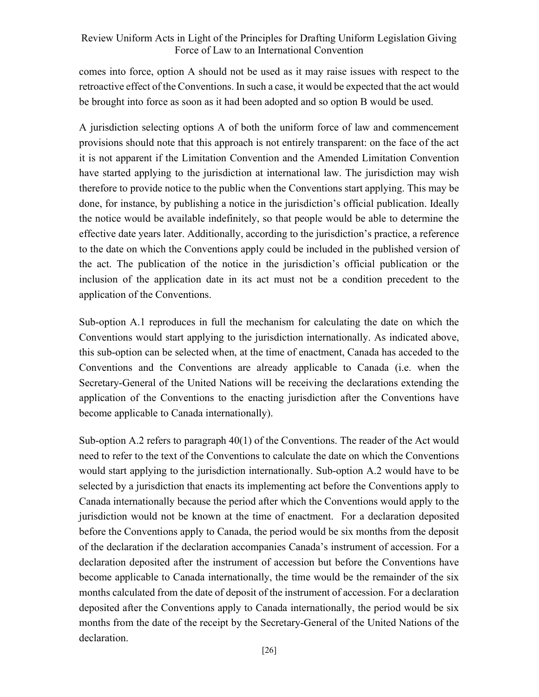comes into force, option A should not be used as it may raise issues with respect to the retroactive effect of the Conventions. In such a case, it would be expected that the act would be brought into force as soon as it had been adopted and so option B would be used.

A jurisdiction selecting options A of both the uniform force of law and commencement provisions should note that this approach is not entirely transparent: on the face of the act it is not apparent if the Limitation Convention and the Amended Limitation Convention have started applying to the jurisdiction at international law. The jurisdiction may wish therefore to provide notice to the public when the Conventions start applying. This may be done, for instance, by publishing a notice in the jurisdiction's official publication. Ideally the notice would be available indefinitely, so that people would be able to determine the effective date years later. Additionally, according to the jurisdiction's practice, a reference to the date on which the Conventions apply could be included in the published version of the act. The publication of the notice in the jurisdiction's official publication or the inclusion of the application date in its act must not be a condition precedent to the application of the Conventions.

Sub-option A.1 reproduces in full the mechanism for calculating the date on which the Conventions would start applying to the jurisdiction internationally. As indicated above, this sub-option can be selected when, at the time of enactment, Canada has acceded to the Conventions and the Conventions are already applicable to Canada (i.e. when the Secretary-General of the United Nations will be receiving the declarations extending the application of the Conventions to the enacting jurisdiction after the Conventions have become applicable to Canada internationally).

Sub-option A.2 refers to paragraph 40(1) of the Conventions. The reader of the Act would need to refer to the text of the Conventions to calculate the date on which the Conventions would start applying to the jurisdiction internationally. Sub-option A.2 would have to be selected by a jurisdiction that enacts its implementing act before the Conventions apply to Canada internationally because the period after which the Conventions would apply to the jurisdiction would not be known at the time of enactment. For a declaration deposited before the Conventions apply to Canada, the period would be six months from the deposit of the declaration if the declaration accompanies Canada's instrument of accession. For a declaration deposited after the instrument of accession but before the Conventions have become applicable to Canada internationally, the time would be the remainder of the six months calculated from the date of deposit of the instrument of accession. For a declaration deposited after the Conventions apply to Canada internationally, the period would be six months from the date of the receipt by the Secretary-General of the United Nations of the declaration.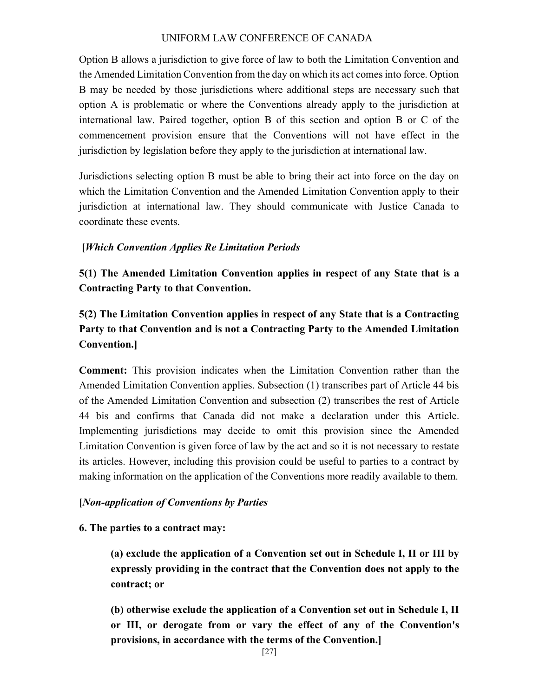Option B allows a jurisdiction to give force of law to both the Limitation Convention and the Amended Limitation Convention from the day on which its act comes into force. Option B may be needed by those jurisdictions where additional steps are necessary such that option A is problematic or where the Conventions already apply to the jurisdiction at international law. Paired together, option B of this section and option B or C of the commencement provision ensure that the Conventions will not have effect in the jurisdiction by legislation before they apply to the jurisdiction at international law.

Jurisdictions selecting option B must be able to bring their act into force on the day on which the Limitation Convention and the Amended Limitation Convention apply to their jurisdiction at international law. They should communicate with Justice Canada to coordinate these events.

### [Which Convention Applies Re Limitation Periods

5(1) The Amended Limitation Convention applies in respect of any State that is a Contracting Party to that Convention.

5(2) The Limitation Convention applies in respect of any State that is a Contracting Party to that Convention and is not a Contracting Party to the Amended Limitation Convention.]

Comment: This provision indicates when the Limitation Convention rather than the Amended Limitation Convention applies. Subsection (1) transcribes part of Article 44 bis of the Amended Limitation Convention and subsection (2) transcribes the rest of Article 44 bis and confirms that Canada did not make a declaration under this Article. Implementing jurisdictions may decide to omit this provision since the Amended Limitation Convention is given force of law by the act and so it is not necessary to restate its articles. However, including this provision could be useful to parties to a contract by making information on the application of the Conventions more readily available to them.

#### [Non-application of Conventions by Parties

#### 6. The parties to a contract may:

(a) exclude the application of a Convention set out in Schedule I, II or III by expressly providing in the contract that the Convention does not apply to the contract; or

(b) otherwise exclude the application of a Convention set out in Schedule I, II or III, or derogate from or vary the effect of any of the Convention's provisions, in accordance with the terms of the Convention.]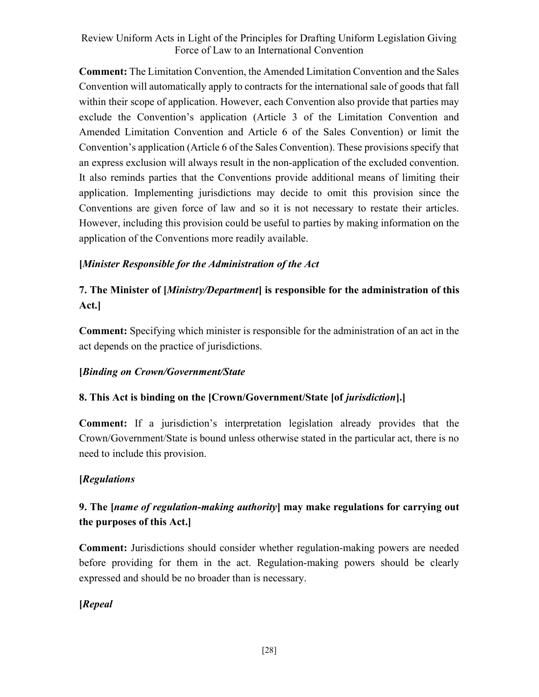Comment: The Limitation Convention, the Amended Limitation Convention and the Sales Convention will automatically apply to contracts for the international sale of goods that fall within their scope of application. However, each Convention also provide that parties may exclude the Convention's application (Article 3 of the Limitation Convention and Amended Limitation Convention and Article 6 of the Sales Convention) or limit the Convention's application (Article 6 of the Sales Convention). These provisions specify that an express exclusion will always result in the non-application of the excluded convention. It also reminds parties that the Conventions provide additional means of limiting their application. Implementing jurisdictions may decide to omit this provision since the Conventions are given force of law and so it is not necessary to restate their articles. However, including this provision could be useful to parties by making information on the application of the Conventions more readily available.

### [Minister Responsible for the Administration of the Act

# 7. The Minister of [*Ministry/Department*] is responsible for the administration of this Act.]

Comment: Specifying which minister is responsible for the administration of an act in the act depends on the practice of jurisdictions.

### [Binding on Crown/Government/State

## 8. This Act is binding on the [Crown/Government/State [of jurisdiction].]

Comment: If a jurisdiction's interpretation legislation already provides that the Crown/Government/State is bound unless otherwise stated in the particular act, there is no need to include this provision.

### [Regulations

# 9. The [name of regulation-making authority] may make regulations for carrying out the purposes of this Act.]

Comment: Jurisdictions should consider whether regulation-making powers are needed before providing for them in the act. Regulation-making powers should be clearly expressed and should be no broader than is necessary.

## [Repeal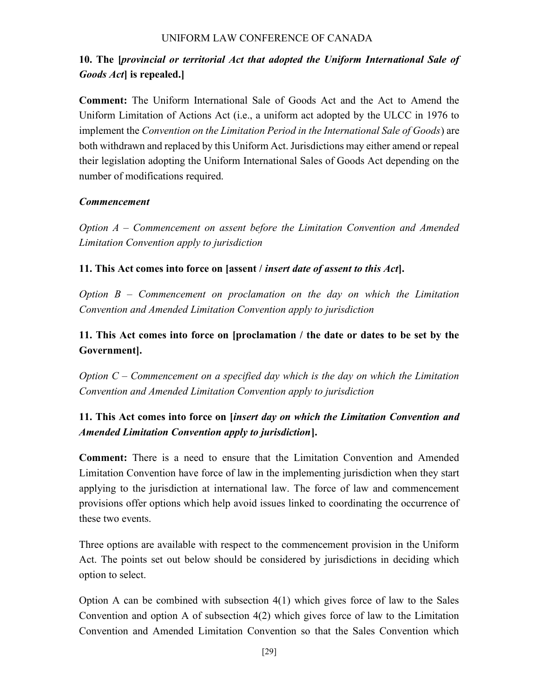# 10. The [provincial or territorial Act that adopted the Uniform International Sale of Goods Act is repealed.

Comment: The Uniform International Sale of Goods Act and the Act to Amend the Uniform Limitation of Actions Act (i.e., a uniform act adopted by the ULCC in 1976 to implement the Convention on the Limitation Period in the International Sale of Goods) are both withdrawn and replaced by this Uniform Act. Jurisdictions may either amend or repeal their legislation adopting the Uniform International Sales of Goods Act depending on the number of modifications required.

### Commencement

Option A – Commencement on assent before the Limitation Convention and Amended Limitation Convention apply to jurisdiction

### 11. This Act comes into force on [assent / insert date of assent to this Act].

Option  $B -$  Commencement on proclamation on the day on which the Limitation Convention and Amended Limitation Convention apply to jurisdiction

# 11. This Act comes into force on [proclamation / the date or dates to be set by the Government].

Option  $C$  – Commencement on a specified day which is the day on which the Limitation Convention and Amended Limitation Convention apply to jurisdiction

# 11. This Act comes into force on [insert day on which the Limitation Convention and Amended Limitation Convention apply to jurisdiction].

Comment: There is a need to ensure that the Limitation Convention and Amended Limitation Convention have force of law in the implementing jurisdiction when they start applying to the jurisdiction at international law. The force of law and commencement provisions offer options which help avoid issues linked to coordinating the occurrence of these two events.

Three options are available with respect to the commencement provision in the Uniform Act. The points set out below should be considered by jurisdictions in deciding which option to select.

Option A can be combined with subsection 4(1) which gives force of law to the Sales Convention and option A of subsection 4(2) which gives force of law to the Limitation Convention and Amended Limitation Convention so that the Sales Convention which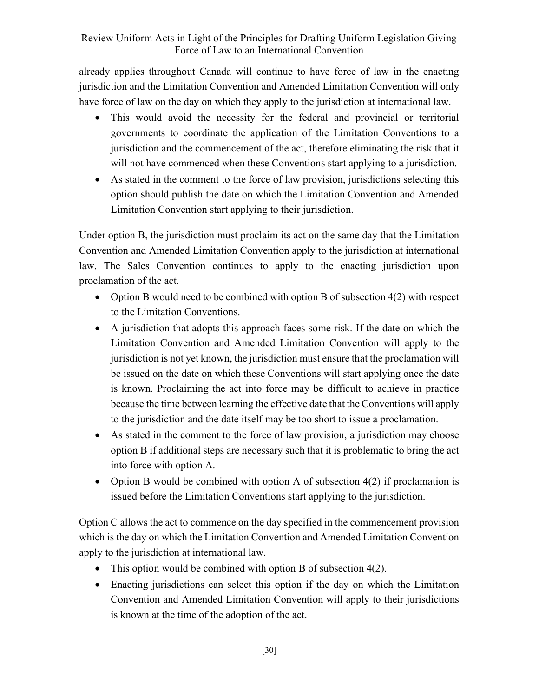already applies throughout Canada will continue to have force of law in the enacting jurisdiction and the Limitation Convention and Amended Limitation Convention will only have force of law on the day on which they apply to the jurisdiction at international law.

- This would avoid the necessity for the federal and provincial or territorial governments to coordinate the application of the Limitation Conventions to a jurisdiction and the commencement of the act, therefore eliminating the risk that it will not have commenced when these Conventions start applying to a jurisdiction.
- As stated in the comment to the force of law provision, jurisdictions selecting this option should publish the date on which the Limitation Convention and Amended Limitation Convention start applying to their jurisdiction.

Under option B, the jurisdiction must proclaim its act on the same day that the Limitation Convention and Amended Limitation Convention apply to the jurisdiction at international law. The Sales Convention continues to apply to the enacting jurisdiction upon proclamation of the act.

- Option B would need to be combined with option B of subsection  $4(2)$  with respect to the Limitation Conventions.
- A jurisdiction that adopts this approach faces some risk. If the date on which the Limitation Convention and Amended Limitation Convention will apply to the jurisdiction is not yet known, the jurisdiction must ensure that the proclamation will be issued on the date on which these Conventions will start applying once the date is known. Proclaiming the act into force may be difficult to achieve in practice because the time between learning the effective date that the Conventions will apply to the jurisdiction and the date itself may be too short to issue a proclamation.
- As stated in the comment to the force of law provision, a jurisdiction may choose option B if additional steps are necessary such that it is problematic to bring the act into force with option A.
- Option B would be combined with option A of subsection 4(2) if proclamation is issued before the Limitation Conventions start applying to the jurisdiction.

Option C allows the act to commence on the day specified in the commencement provision which is the day on which the Limitation Convention and Amended Limitation Convention apply to the jurisdiction at international law.

- This option would be combined with option B of subsection 4(2).
- Enacting jurisdictions can select this option if the day on which the Limitation Convention and Amended Limitation Convention will apply to their jurisdictions is known at the time of the adoption of the act.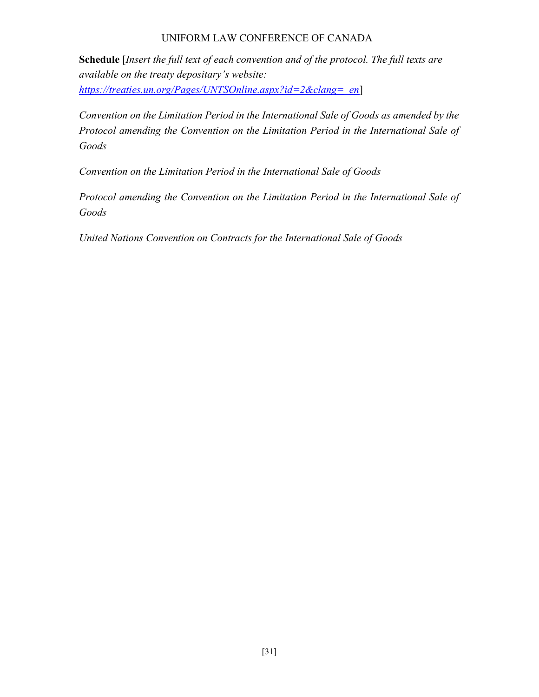Schedule [Insert the full text of each convention and of the protocol. The full texts are available on the treaty depositary's website: https://treaties.un.org/Pages/UNTSOnline.aspx?id=2&clang=\_en]

Convention on the Limitation Period in the International Sale of Goods as amended by the Protocol amending the Convention on the Limitation Period in the International Sale of Goods

Convention on the Limitation Period in the International Sale of Goods

Protocol amending the Convention on the Limitation Period in the International Sale of Goods

United Nations Convention on Contracts for the International Sale of Goods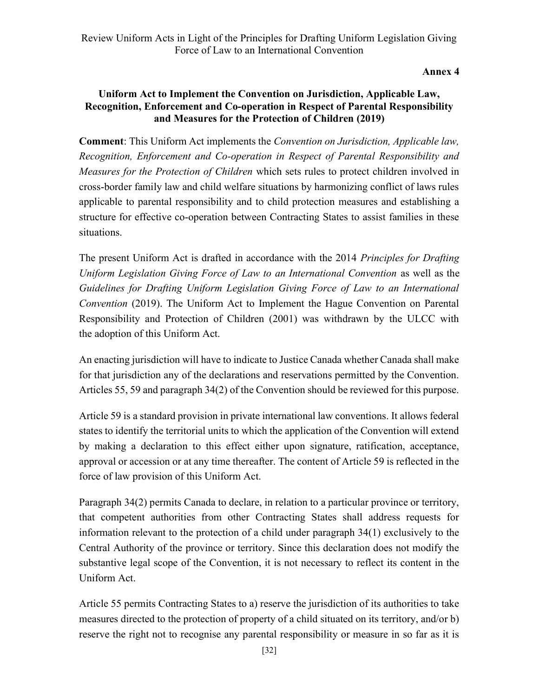Annex 4

### Uniform Act to Implement the Convention on Jurisdiction, Applicable Law, Recognition, Enforcement and Co-operation in Respect of Parental Responsibility and Measures for the Protection of Children (2019)

Comment: This Uniform Act implements the Convention on Jurisdiction, Applicable law, Recognition, Enforcement and Co-operation in Respect of Parental Responsibility and Measures for the Protection of Children which sets rules to protect children involved in cross-border family law and child welfare situations by harmonizing conflict of laws rules applicable to parental responsibility and to child protection measures and establishing a structure for effective co-operation between Contracting States to assist families in these situations.

The present Uniform Act is drafted in accordance with the 2014 *Principles for Drafting* Uniform Legislation Giving Force of Law to an International Convention as well as the Guidelines for Drafting Uniform Legislation Giving Force of Law to an International Convention (2019). The Uniform Act to Implement the Hague Convention on Parental Responsibility and Protection of Children (2001) was withdrawn by the ULCC with the adoption of this Uniform Act.

An enacting jurisdiction will have to indicate to Justice Canada whether Canada shall make for that jurisdiction any of the declarations and reservations permitted by the Convention. Articles 55, 59 and paragraph 34(2) of the Convention should be reviewed for this purpose.

Article 59 is a standard provision in private international law conventions. It allows federal states to identify the territorial units to which the application of the Convention will extend by making a declaration to this effect either upon signature, ratification, acceptance, approval or accession or at any time thereafter. The content of Article 59 is reflected in the force of law provision of this Uniform Act.

Paragraph 34(2) permits Canada to declare, in relation to a particular province or territory, that competent authorities from other Contracting States shall address requests for information relevant to the protection of a child under paragraph 34(1) exclusively to the Central Authority of the province or territory. Since this declaration does not modify the substantive legal scope of the Convention, it is not necessary to reflect its content in the Uniform Act.

Article 55 permits Contracting States to a) reserve the jurisdiction of its authorities to take measures directed to the protection of property of a child situated on its territory, and/or b) reserve the right not to recognise any parental responsibility or measure in so far as it is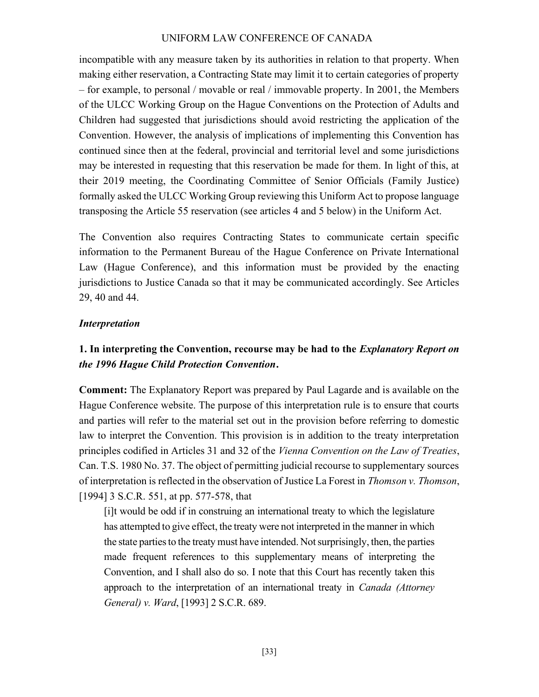incompatible with any measure taken by its authorities in relation to that property. When making either reservation, a Contracting State may limit it to certain categories of property – for example, to personal / movable or real / immovable property. In 2001, the Members of the ULCC Working Group on the Hague Conventions on the Protection of Adults and Children had suggested that jurisdictions should avoid restricting the application of the Convention. However, the analysis of implications of implementing this Convention has continued since then at the federal, provincial and territorial level and some jurisdictions may be interested in requesting that this reservation be made for them. In light of this, at their 2019 meeting, the Coordinating Committee of Senior Officials (Family Justice) formally asked the ULCC Working Group reviewing this Uniform Act to propose language transposing the Article 55 reservation (see articles 4 and 5 below) in the Uniform Act.

The Convention also requires Contracting States to communicate certain specific information to the Permanent Bureau of the Hague Conference on Private International Law (Hague Conference), and this information must be provided by the enacting jurisdictions to Justice Canada so that it may be communicated accordingly. See Articles 29, 40 and 44.

#### Interpretation

## 1. In interpreting the Convention, recourse may be had to the *Explanatory Report on* the 1996 Hague Child Protection Convention.

Comment: The Explanatory Report was prepared by Paul Lagarde and is available on the Hague Conference website. The purpose of this interpretation rule is to ensure that courts and parties will refer to the material set out in the provision before referring to domestic law to interpret the Convention. This provision is in addition to the treaty interpretation principles codified in Articles 31 and 32 of the Vienna Convention on the Law of Treaties, Can. T.S. 1980 No. 37. The object of permitting judicial recourse to supplementary sources of interpretation is reflected in the observation of Justice La Forest in Thomson v. Thomson, [1994] 3 S.C.R. 551, at pp. 577-578, that

[i]t would be odd if in construing an international treaty to which the legislature has attempted to give effect, the treaty were not interpreted in the manner in which the state parties to the treaty must have intended. Not surprisingly, then, the parties made frequent references to this supplementary means of interpreting the Convention, and I shall also do so. I note that this Court has recently taken this approach to the interpretation of an international treaty in *Canada (Attorney* General) v. Ward, [1993] 2 S.C.R. 689.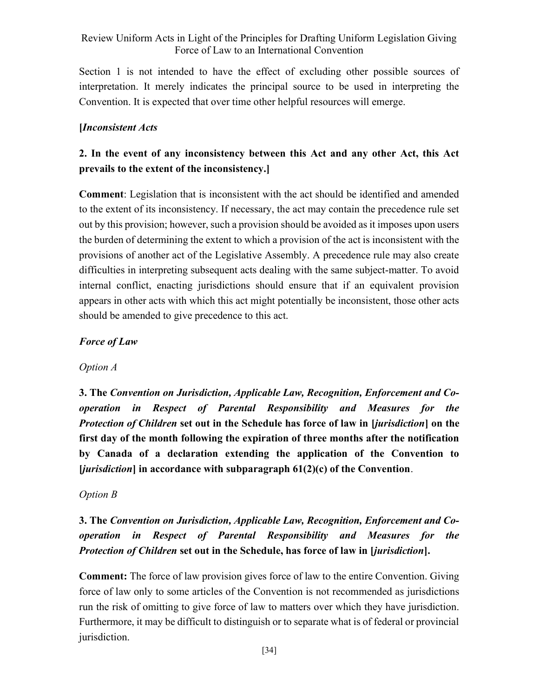Section 1 is not intended to have the effect of excluding other possible sources of interpretation. It merely indicates the principal source to be used in interpreting the Convention. It is expected that over time other helpful resources will emerge.

### [Inconsistent Acts

# 2. In the event of any inconsistency between this Act and any other Act, this Act prevails to the extent of the inconsistency.]

Comment: Legislation that is inconsistent with the act should be identified and amended to the extent of its inconsistency. If necessary, the act may contain the precedence rule set out by this provision; however, such a provision should be avoided as it imposes upon users the burden of determining the extent to which a provision of the act is inconsistent with the provisions of another act of the Legislative Assembly. A precedence rule may also create difficulties in interpreting subsequent acts dealing with the same subject-matter. To avoid internal conflict, enacting jurisdictions should ensure that if an equivalent provision appears in other acts with which this act might potentially be inconsistent, those other acts should be amended to give precedence to this act.

### Force of Law

#### Option A

3. The Convention on Jurisdiction, Applicable Law, Recognition, Enforcement and Cooperation in Respect of Parental Responsibility and Measures for the Protection of Children set out in the Schedule has force of law in [jurisdiction] on the first day of the month following the expiration of three months after the notification by Canada of a declaration extending the application of the Convention to  $[iurisdiction]$  in accordance with subparagraph  $61(2)(c)$  of the Convention.

#### Option B

# 3. The Convention on Jurisdiction, Applicable Law, Recognition, Enforcement and Cooperation in Respect of Parental Responsibility and Measures for the Protection of Children set out in the Schedule, has force of law in [jurisdiction].

Comment: The force of law provision gives force of law to the entire Convention. Giving force of law only to some articles of the Convention is not recommended as jurisdictions run the risk of omitting to give force of law to matters over which they have jurisdiction. Furthermore, it may be difficult to distinguish or to separate what is of federal or provincial jurisdiction.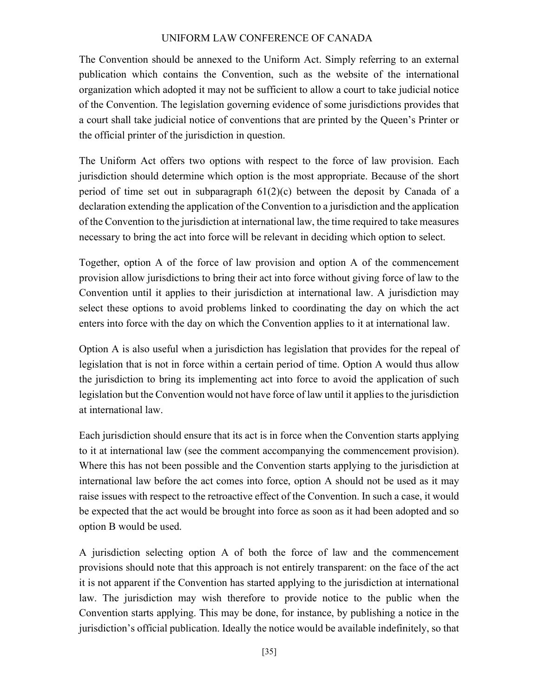The Convention should be annexed to the Uniform Act. Simply referring to an external publication which contains the Convention, such as the website of the international organization which adopted it may not be sufficient to allow a court to take judicial notice of the Convention. The legislation governing evidence of some jurisdictions provides that a court shall take judicial notice of conventions that are printed by the Queen's Printer or the official printer of the jurisdiction in question.

The Uniform Act offers two options with respect to the force of law provision. Each jurisdiction should determine which option is the most appropriate. Because of the short period of time set out in subparagraph  $61(2)(c)$  between the deposit by Canada of a declaration extending the application of the Convention to a jurisdiction and the application of the Convention to the jurisdiction at international law, the time required to take measures necessary to bring the act into force will be relevant in deciding which option to select.

Together, option A of the force of law provision and option A of the commencement provision allow jurisdictions to bring their act into force without giving force of law to the Convention until it applies to their jurisdiction at international law. A jurisdiction may select these options to avoid problems linked to coordinating the day on which the act enters into force with the day on which the Convention applies to it at international law.

Option A is also useful when a jurisdiction has legislation that provides for the repeal of legislation that is not in force within a certain period of time. Option A would thus allow the jurisdiction to bring its implementing act into force to avoid the application of such legislation but the Convention would not have force of law until it applies to the jurisdiction at international law.

Each jurisdiction should ensure that its act is in force when the Convention starts applying to it at international law (see the comment accompanying the commencement provision). Where this has not been possible and the Convention starts applying to the jurisdiction at international law before the act comes into force, option A should not be used as it may raise issues with respect to the retroactive effect of the Convention. In such a case, it would be expected that the act would be brought into force as soon as it had been adopted and so option B would be used.

A jurisdiction selecting option A of both the force of law and the commencement provisions should note that this approach is not entirely transparent: on the face of the act it is not apparent if the Convention has started applying to the jurisdiction at international law. The jurisdiction may wish therefore to provide notice to the public when the Convention starts applying. This may be done, for instance, by publishing a notice in the jurisdiction's official publication. Ideally the notice would be available indefinitely, so that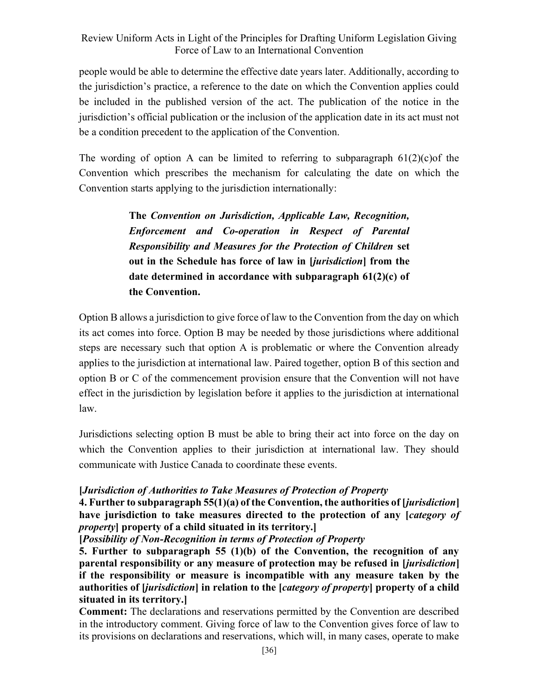people would be able to determine the effective date years later. Additionally, according to the jurisdiction's practice, a reference to the date on which the Convention applies could be included in the published version of the act. The publication of the notice in the jurisdiction's official publication or the inclusion of the application date in its act must not be a condition precedent to the application of the Convention.

The wording of option A can be limited to referring to subparagraph  $61(2)(c)$  of the Convention which prescribes the mechanism for calculating the date on which the Convention starts applying to the jurisdiction internationally:

> The Convention on Jurisdiction, Applicable Law, Recognition, Enforcement and Co-operation in Respect of Parental Responsibility and Measures for the Protection of Children set out in the Schedule has force of law in [jurisdiction] from the date determined in accordance with subparagraph 61(2)(c) of the Convention.

Option B allows a jurisdiction to give force of law to the Convention from the day on which its act comes into force. Option B may be needed by those jurisdictions where additional steps are necessary such that option A is problematic or where the Convention already applies to the jurisdiction at international law. Paired together, option B of this section and option B or C of the commencement provision ensure that the Convention will not have effect in the jurisdiction by legislation before it applies to the jurisdiction at international law.

Jurisdictions selecting option B must be able to bring their act into force on the day on which the Convention applies to their jurisdiction at international law. They should communicate with Justice Canada to coordinate these events.

#### [Jurisdiction of Authorities to Take Measures of Protection of Property

4. Further to subparagraph 55(1)(a) of the Convention, the authorities of [*jurisdiction*] have jurisdiction to take measures directed to the protection of any *category of* property] property of a child situated in its territory.]

#### [Possibility of Non-Recognition in terms of Protection of Property

5. Further to subparagraph 55 (1)(b) of the Convention, the recognition of any parental responsibility or any measure of protection may be refused in [*jurisdiction*] if the responsibility or measure is incompatible with any measure taken by the authorities of *liurisdiction* in relation to the *leategory of property* is property of a child situated in its territory.]

Comment: The declarations and reservations permitted by the Convention are described in the introductory comment. Giving force of law to the Convention gives force of law to its provisions on declarations and reservations, which will, in many cases, operate to make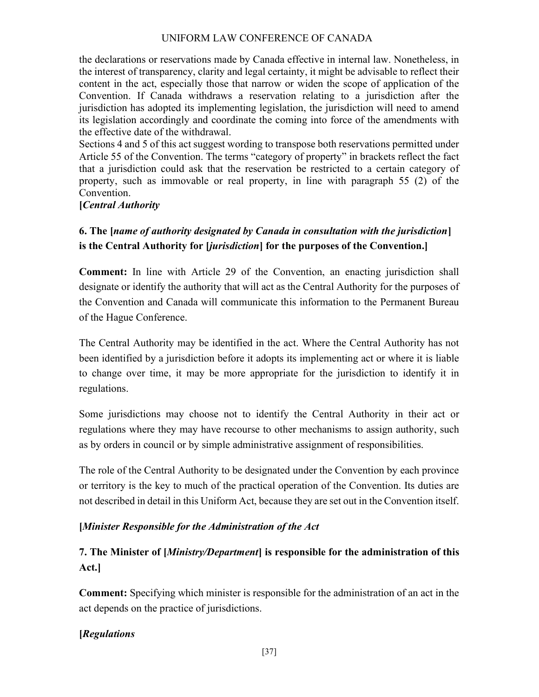the declarations or reservations made by Canada effective in internal law. Nonetheless, in the interest of transparency, clarity and legal certainty, it might be advisable to reflect their content in the act, especially those that narrow or widen the scope of application of the Convention. If Canada withdraws a reservation relating to a jurisdiction after the jurisdiction has adopted its implementing legislation, the jurisdiction will need to amend its legislation accordingly and coordinate the coming into force of the amendments with the effective date of the withdrawal.

Sections 4 and 5 of this act suggest wording to transpose both reservations permitted under Article 55 of the Convention. The terms "category of property" in brackets reflect the fact that a jurisdiction could ask that the reservation be restricted to a certain category of property, such as immovable or real property, in line with paragraph 55 (2) of the Convention.

#### [Central Authority]

# 6. The [name of authority designated by Canada in consultation with the jurisdiction] is the Central Authority for [*jurisdiction*] for the purposes of the Convention.]

Comment: In line with Article 29 of the Convention, an enacting jurisdiction shall designate or identify the authority that will act as the Central Authority for the purposes of the Convention and Canada will communicate this information to the Permanent Bureau of the Hague Conference.

The Central Authority may be identified in the act. Where the Central Authority has not been identified by a jurisdiction before it adopts its implementing act or where it is liable to change over time, it may be more appropriate for the jurisdiction to identify it in regulations.

Some jurisdictions may choose not to identify the Central Authority in their act or regulations where they may have recourse to other mechanisms to assign authority, such as by orders in council or by simple administrative assignment of responsibilities.

The role of the Central Authority to be designated under the Convention by each province or territory is the key to much of the practical operation of the Convention. Its duties are not described in detail in this Uniform Act, because they are set out in the Convention itself.

#### [Minister Responsible for the Administration of the Act

# 7. The Minister of [*Ministry/Department*] is responsible for the administration of this Act.]

Comment: Specifying which minister is responsible for the administration of an act in the act depends on the practice of jurisdictions.

### [Regulations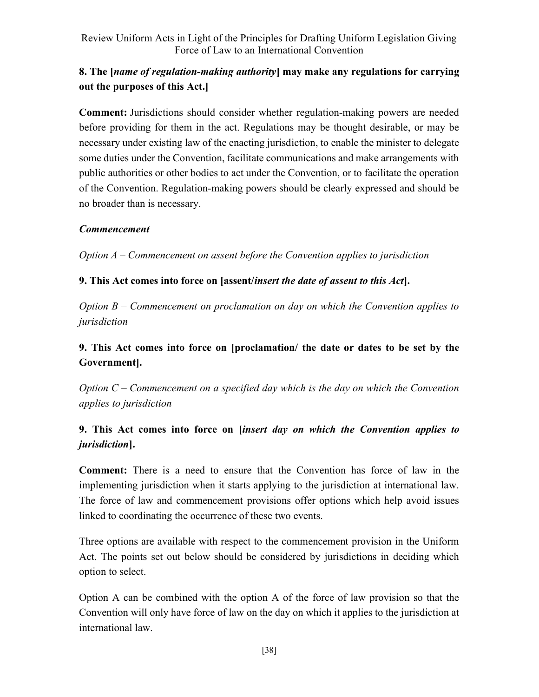# 8. The *[name of regulation-making authority*] may make any regulations for carrying out the purposes of this Act.]

Comment: Jurisdictions should consider whether regulation-making powers are needed before providing for them in the act. Regulations may be thought desirable, or may be necessary under existing law of the enacting jurisdiction, to enable the minister to delegate some duties under the Convention, facilitate communications and make arrangements with public authorities or other bodies to act under the Convention, or to facilitate the operation of the Convention. Regulation-making powers should be clearly expressed and should be no broader than is necessary.

### **Commencement**

Option A – Commencement on assent before the Convention applies to jurisdiction

## 9. This Act comes into force on [assent/insert the date of assent to this Act].

Option  $B -$  Commencement on proclamation on day on which the Convention applies to jurisdiction

# 9. This Act comes into force on [proclamation/ the date or dates to be set by the Government].

Option  $C$  – Commencement on a specified day which is the day on which the Convention applies to jurisdiction

# 9. This Act comes into force on [insert day on which the Convention applies to jurisdiction].

Comment: There is a need to ensure that the Convention has force of law in the implementing jurisdiction when it starts applying to the jurisdiction at international law. The force of law and commencement provisions offer options which help avoid issues linked to coordinating the occurrence of these two events.

Three options are available with respect to the commencement provision in the Uniform Act. The points set out below should be considered by jurisdictions in deciding which option to select.

Option A can be combined with the option A of the force of law provision so that the Convention will only have force of law on the day on which it applies to the jurisdiction at international law.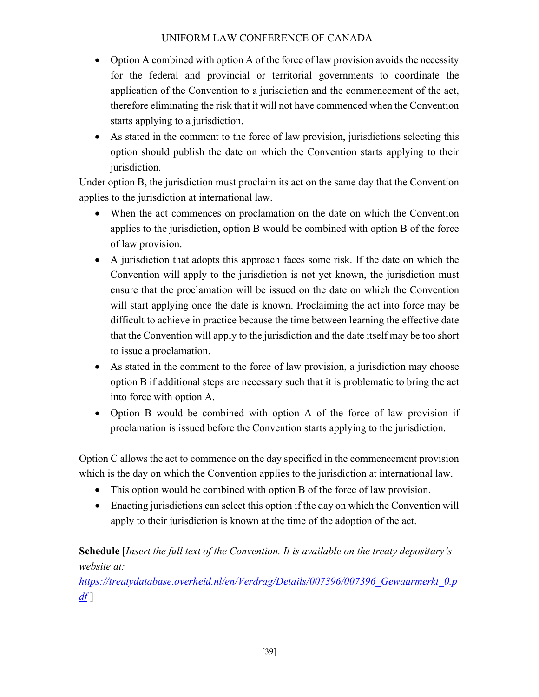- Option A combined with option A of the force of law provision avoids the necessity for the federal and provincial or territorial governments to coordinate the application of the Convention to a jurisdiction and the commencement of the act, therefore eliminating the risk that it will not have commenced when the Convention starts applying to a jurisdiction.
- As stated in the comment to the force of law provision, jurisdictions selecting this option should publish the date on which the Convention starts applying to their jurisdiction.

Under option B, the jurisdiction must proclaim its act on the same day that the Convention applies to the jurisdiction at international law.

- When the act commences on proclamation on the date on which the Convention applies to the jurisdiction, option B would be combined with option B of the force of law provision.
- A jurisdiction that adopts this approach faces some risk. If the date on which the Convention will apply to the jurisdiction is not yet known, the jurisdiction must ensure that the proclamation will be issued on the date on which the Convention will start applying once the date is known. Proclaiming the act into force may be difficult to achieve in practice because the time between learning the effective date that the Convention will apply to the jurisdiction and the date itself may be too short to issue a proclamation.
- As stated in the comment to the force of law provision, a jurisdiction may choose option B if additional steps are necessary such that it is problematic to bring the act into force with option A.
- Option B would be combined with option A of the force of law provision if proclamation is issued before the Convention starts applying to the jurisdiction.

Option C allows the act to commence on the day specified in the commencement provision which is the day on which the Convention applies to the jurisdiction at international law.

- This option would be combined with option B of the force of law provision.
- Enacting jurisdictions can select this option if the day on which the Convention will apply to their jurisdiction is known at the time of the adoption of the act.

# Schedule [Insert the full text of the Convention. It is available on the treaty depositary's website at:

https://treatydatabase.overheid.nl/en/Verdrag/Details/007396/007396 Gewaarmerkt 0.p  $df$ ]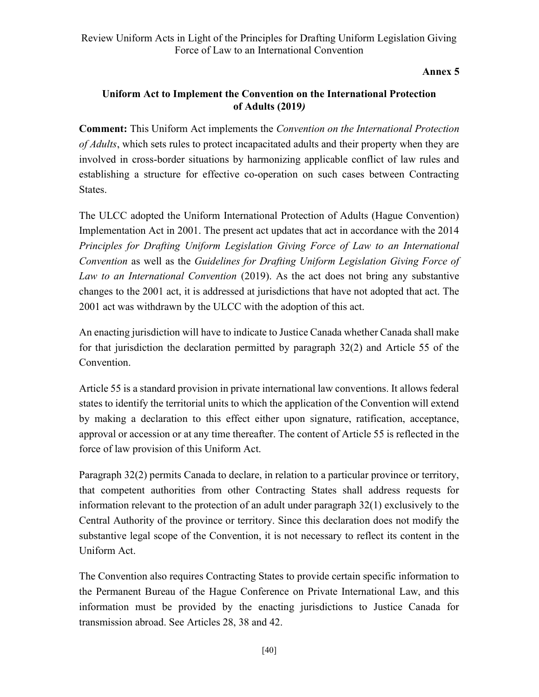Annex 5

### Uniform Act to Implement the Convention on the International Protection of Adults (2019)

Comment: This Uniform Act implements the Convention on the International Protection of Adults, which sets rules to protect incapacitated adults and their property when they are involved in cross-border situations by harmonizing applicable conflict of law rules and establishing a structure for effective co-operation on such cases between Contracting States.

The ULCC adopted the Uniform International Protection of Adults (Hague Convention) Implementation Act in 2001. The present act updates that act in accordance with the 2014 Principles for Drafting Uniform Legislation Giving Force of Law to an International Convention as well as the Guidelines for Drafting Uniform Legislation Giving Force of Law to an International Convention (2019). As the act does not bring any substantive changes to the 2001 act, it is addressed at jurisdictions that have not adopted that act. The 2001 act was withdrawn by the ULCC with the adoption of this act.

An enacting jurisdiction will have to indicate to Justice Canada whether Canada shall make for that jurisdiction the declaration permitted by paragraph 32(2) and Article 55 of the Convention.

Article 55 is a standard provision in private international law conventions. It allows federal states to identify the territorial units to which the application of the Convention will extend by making a declaration to this effect either upon signature, ratification, acceptance, approval or accession or at any time thereafter. The content of Article 55 is reflected in the force of law provision of this Uniform Act.

Paragraph 32(2) permits Canada to declare, in relation to a particular province or territory, that competent authorities from other Contracting States shall address requests for information relevant to the protection of an adult under paragraph 32(1) exclusively to the Central Authority of the province or territory. Since this declaration does not modify the substantive legal scope of the Convention, it is not necessary to reflect its content in the Uniform Act.

The Convention also requires Contracting States to provide certain specific information to the Permanent Bureau of the Hague Conference on Private International Law, and this information must be provided by the enacting jurisdictions to Justice Canada for transmission abroad. See Articles 28, 38 and 42.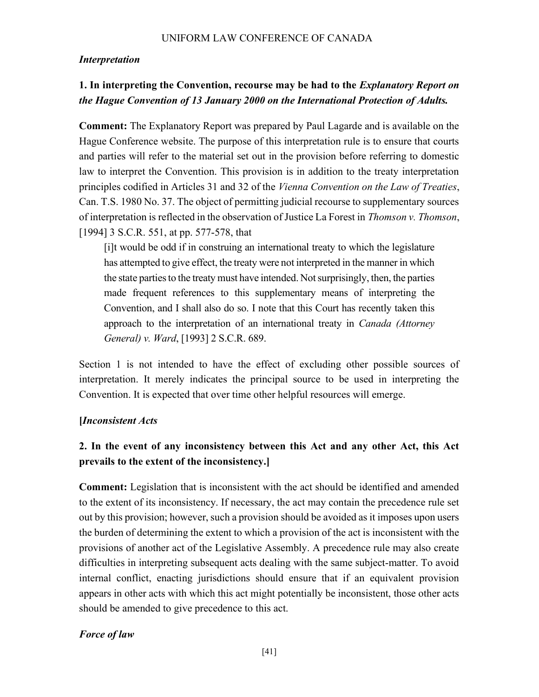### Interpretation

# 1. In interpreting the Convention, recourse may be had to the *Explanatory Report on* the Hague Convention of 13 January 2000 on the International Protection of Adults.

Comment: The Explanatory Report was prepared by Paul Lagarde and is available on the Hague Conference website. The purpose of this interpretation rule is to ensure that courts and parties will refer to the material set out in the provision before referring to domestic law to interpret the Convention. This provision is in addition to the treaty interpretation principles codified in Articles 31 and 32 of the Vienna Convention on the Law of Treaties, Can. T.S. 1980 No. 37. The object of permitting judicial recourse to supplementary sources of interpretation is reflected in the observation of Justice La Forest in Thomson v. Thomson, [1994] 3 S.C.R. 551, at pp. 577-578, that

[i]t would be odd if in construing an international treaty to which the legislature has attempted to give effect, the treaty were not interpreted in the manner in which the state parties to the treaty must have intended. Not surprisingly, then, the parties made frequent references to this supplementary means of interpreting the Convention, and I shall also do so. I note that this Court has recently taken this approach to the interpretation of an international treaty in *Canada (Attorney* General) v. Ward, [1993] 2 S.C.R. 689.

Section 1 is not intended to have the effect of excluding other possible sources of interpretation. It merely indicates the principal source to be used in interpreting the Convention. It is expected that over time other helpful resources will emerge.

### [Inconsistent Acts

# 2. In the event of any inconsistency between this Act and any other Act, this Act prevails to the extent of the inconsistency.]

Comment: Legislation that is inconsistent with the act should be identified and amended to the extent of its inconsistency. If necessary, the act may contain the precedence rule set out by this provision; however, such a provision should be avoided as it imposes upon users the burden of determining the extent to which a provision of the act is inconsistent with the provisions of another act of the Legislative Assembly. A precedence rule may also create difficulties in interpreting subsequent acts dealing with the same subject-matter. To avoid internal conflict, enacting jurisdictions should ensure that if an equivalent provision appears in other acts with which this act might potentially be inconsistent, those other acts should be amended to give precedence to this act.

## Force of law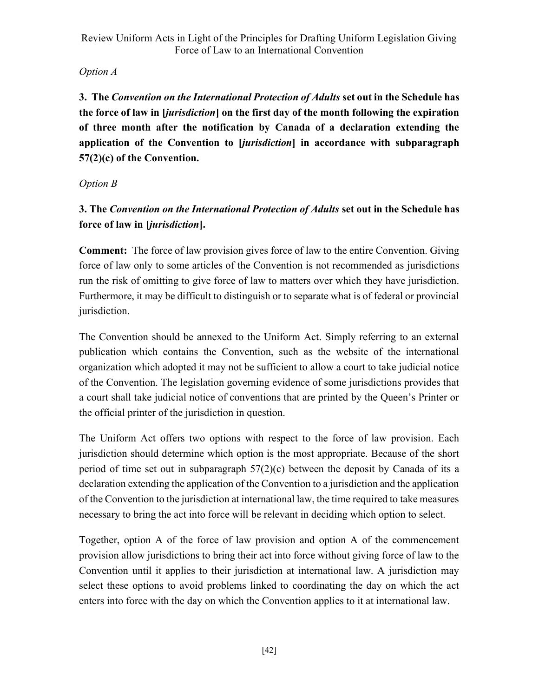# Option A

3. The Convention on the International Protection of Adults set out in the Schedule has the force of law in [jurisdiction] on the first day of the month following the expiration of three month after the notification by Canada of a declaration extending the application of the Convention to [jurisdiction] in accordance with subparagraph 57(2)(c) of the Convention.

# Option B

# 3. The Convention on the International Protection of Adults set out in the Schedule has force of law in [jurisdiction].

Comment: The force of law provision gives force of law to the entire Convention. Giving force of law only to some articles of the Convention is not recommended as jurisdictions run the risk of omitting to give force of law to matters over which they have jurisdiction. Furthermore, it may be difficult to distinguish or to separate what is of federal or provincial jurisdiction.

The Convention should be annexed to the Uniform Act. Simply referring to an external publication which contains the Convention, such as the website of the international organization which adopted it may not be sufficient to allow a court to take judicial notice of the Convention. The legislation governing evidence of some jurisdictions provides that a court shall take judicial notice of conventions that are printed by the Queen's Printer or the official printer of the jurisdiction in question.

The Uniform Act offers two options with respect to the force of law provision. Each jurisdiction should determine which option is the most appropriate. Because of the short period of time set out in subparagraph 57(2)(c) between the deposit by Canada of its a declaration extending the application of the Convention to a jurisdiction and the application of the Convention to the jurisdiction at international law, the time required to take measures necessary to bring the act into force will be relevant in deciding which option to select.

Together, option A of the force of law provision and option A of the commencement provision allow jurisdictions to bring their act into force without giving force of law to the Convention until it applies to their jurisdiction at international law. A jurisdiction may select these options to avoid problems linked to coordinating the day on which the act enters into force with the day on which the Convention applies to it at international law.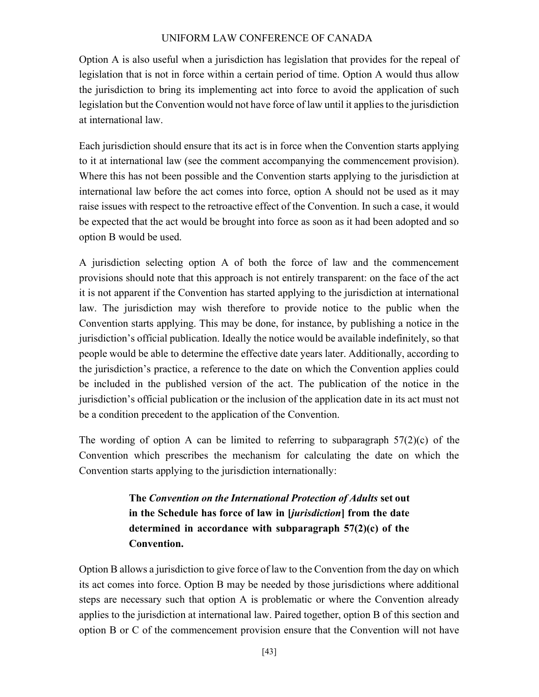Option A is also useful when a jurisdiction has legislation that provides for the repeal of legislation that is not in force within a certain period of time. Option A would thus allow the jurisdiction to bring its implementing act into force to avoid the application of such legislation but the Convention would not have force of law until it applies to the jurisdiction at international law.

Each jurisdiction should ensure that its act is in force when the Convention starts applying to it at international law (see the comment accompanying the commencement provision). Where this has not been possible and the Convention starts applying to the jurisdiction at international law before the act comes into force, option A should not be used as it may raise issues with respect to the retroactive effect of the Convention. In such a case, it would be expected that the act would be brought into force as soon as it had been adopted and so option B would be used.

A jurisdiction selecting option A of both the force of law and the commencement provisions should note that this approach is not entirely transparent: on the face of the act it is not apparent if the Convention has started applying to the jurisdiction at international law. The jurisdiction may wish therefore to provide notice to the public when the Convention starts applying. This may be done, for instance, by publishing a notice in the jurisdiction's official publication. Ideally the notice would be available indefinitely, so that people would be able to determine the effective date years later. Additionally, according to the jurisdiction's practice, a reference to the date on which the Convention applies could be included in the published version of the act. The publication of the notice in the jurisdiction's official publication or the inclusion of the application date in its act must not be a condition precedent to the application of the Convention.

The wording of option A can be limited to referring to subparagraph  $57(2)(c)$  of the Convention which prescribes the mechanism for calculating the date on which the Convention starts applying to the jurisdiction internationally:

> The Convention on the International Protection of Adults set out in the Schedule has force of law in [jurisdiction] from the date determined in accordance with subparagraph 57(2)(c) of the Convention.

Option B allows a jurisdiction to give force of law to the Convention from the day on which its act comes into force. Option B may be needed by those jurisdictions where additional steps are necessary such that option A is problematic or where the Convention already applies to the jurisdiction at international law. Paired together, option B of this section and option B or C of the commencement provision ensure that the Convention will not have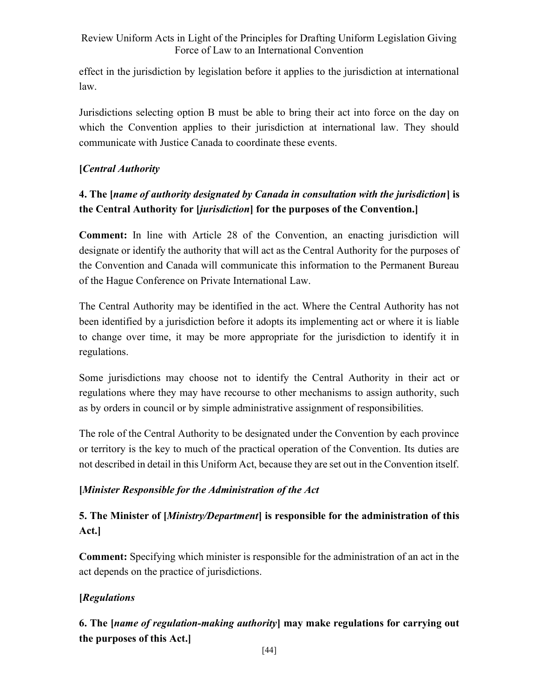effect in the jurisdiction by legislation before it applies to the jurisdiction at international law.

Jurisdictions selecting option B must be able to bring their act into force on the day on which the Convention applies to their jurisdiction at international law. They should communicate with Justice Canada to coordinate these events.

## [Central Authority

# 4. The [name of authority designated by Canada in consultation with the jurisdiction] is the Central Authority for *[jurisdiction]* for the purposes of the Convention.]

Comment: In line with Article 28 of the Convention, an enacting jurisdiction will designate or identify the authority that will act as the Central Authority for the purposes of the Convention and Canada will communicate this information to the Permanent Bureau of the Hague Conference on Private International Law.

The Central Authority may be identified in the act. Where the Central Authority has not been identified by a jurisdiction before it adopts its implementing act or where it is liable to change over time, it may be more appropriate for the jurisdiction to identify it in regulations.

Some jurisdictions may choose not to identify the Central Authority in their act or regulations where they may have recourse to other mechanisms to assign authority, such as by orders in council or by simple administrative assignment of responsibilities.

The role of the Central Authority to be designated under the Convention by each province or territory is the key to much of the practical operation of the Convention. Its duties are not described in detail in this Uniform Act, because they are set out in the Convention itself.

## [Minister Responsible for the Administration of the Act

# 5. The Minister of [*Ministry/Department*] is responsible for the administration of this Act.]

Comment: Specifying which minister is responsible for the administration of an act in the act depends on the practice of jurisdictions.

## [Regulations]

# 6. The [name of regulation-making authority] may make regulations for carrying out the purposes of this Act.]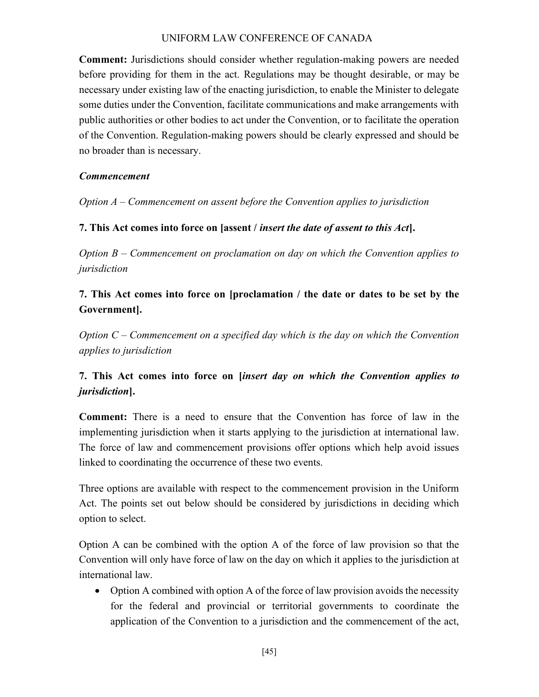Comment: Jurisdictions should consider whether regulation-making powers are needed before providing for them in the act. Regulations may be thought desirable, or may be necessary under existing law of the enacting jurisdiction, to enable the Minister to delegate some duties under the Convention, facilitate communications and make arrangements with public authorities or other bodies to act under the Convention, or to facilitate the operation of the Convention. Regulation-making powers should be clearly expressed and should be no broader than is necessary.

### Commencement

Option A – Commencement on assent before the Convention applies to jurisdiction

### 7. This Act comes into force on [assent / insert the date of assent to this Act].

Option  $B -$  Commencement on proclamation on day on which the Convention applies to jurisdiction

# 7. This Act comes into force on [proclamation / the date or dates to be set by the Government].

Option  $C$  – Commencement on a specified day which is the day on which the Convention applies to jurisdiction

# 7. This Act comes into force on [insert day on which the Convention applies to jurisdiction].

Comment: There is a need to ensure that the Convention has force of law in the implementing jurisdiction when it starts applying to the jurisdiction at international law. The force of law and commencement provisions offer options which help avoid issues linked to coordinating the occurrence of these two events.

Three options are available with respect to the commencement provision in the Uniform Act. The points set out below should be considered by jurisdictions in deciding which option to select.

Option A can be combined with the option A of the force of law provision so that the Convention will only have force of law on the day on which it applies to the jurisdiction at international law.

• Option A combined with option A of the force of law provision avoids the necessity for the federal and provincial or territorial governments to coordinate the application of the Convention to a jurisdiction and the commencement of the act,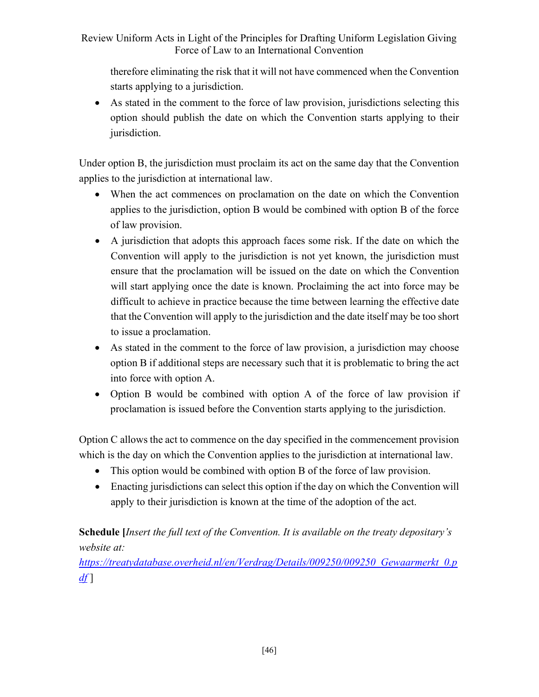therefore eliminating the risk that it will not have commenced when the Convention starts applying to a jurisdiction.

 As stated in the comment to the force of law provision, jurisdictions selecting this option should publish the date on which the Convention starts applying to their jurisdiction.

Under option B, the jurisdiction must proclaim its act on the same day that the Convention applies to the jurisdiction at international law.

- When the act commences on proclamation on the date on which the Convention applies to the jurisdiction, option B would be combined with option B of the force of law provision.
- A jurisdiction that adopts this approach faces some risk. If the date on which the Convention will apply to the jurisdiction is not yet known, the jurisdiction must ensure that the proclamation will be issued on the date on which the Convention will start applying once the date is known. Proclaiming the act into force may be difficult to achieve in practice because the time between learning the effective date that the Convention will apply to the jurisdiction and the date itself may be too short to issue a proclamation.
- As stated in the comment to the force of law provision, a jurisdiction may choose option B if additional steps are necessary such that it is problematic to bring the act into force with option A.
- Option B would be combined with option A of the force of law provision if proclamation is issued before the Convention starts applying to the jurisdiction.

Option C allows the act to commence on the day specified in the commencement provision which is the day on which the Convention applies to the jurisdiction at international law.

- This option would be combined with option B of the force of law provision.
- Enacting jurisdictions can select this option if the day on which the Convention will apply to their jurisdiction is known at the time of the adoption of the act.

Schedule [Insert the full text of the Convention. It is available on the treaty depositary's website at:

https://treatydatabase.overheid.nl/en/Verdrag/Details/009250/009250\_Gewaarmerkt\_0.p  $df$ ]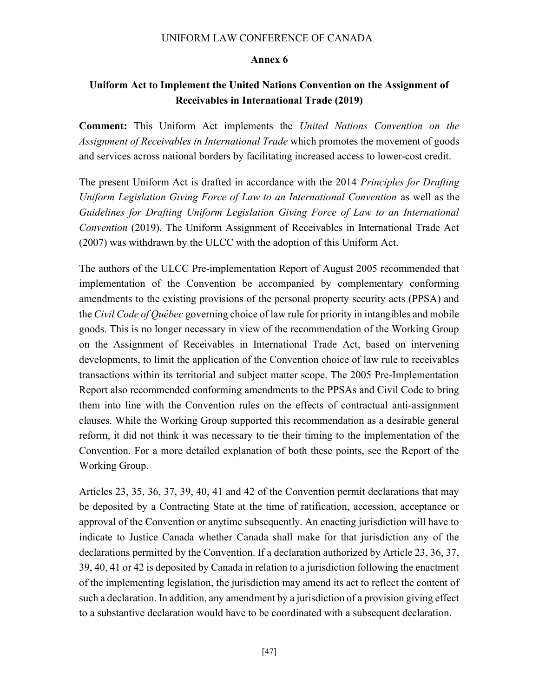#### Annex 6

## Uniform Act to Implement the United Nations Convention on the Assignment of Receivables in International Trade (2019)

Comment: This Uniform Act implements the United Nations Convention on the Assignment of Receivables in International Trade which promotes the movement of goods and services across national borders by facilitating increased access to lower-cost credit.

The present Uniform Act is drafted in accordance with the 2014 *Principles for Drafting* Uniform Legislation Giving Force of Law to an International Convention as well as the Guidelines for Drafting Uniform Legislation Giving Force of Law to an International Convention (2019). The Uniform Assignment of Receivables in International Trade Act (2007) was withdrawn by the ULCC with the adoption of this Uniform Act.

The authors of the ULCC Pre-implementation Report of August 2005 recommended that implementation of the Convention be accompanied by complementary conforming amendments to the existing provisions of the personal property security acts (PPSA) and the Civil Code of Québec governing choice of law rule for priority in intangibles and mobile goods. This is no longer necessary in view of the recommendation of the Working Group on the Assignment of Receivables in International Trade Act, based on intervening developments, to limit the application of the Convention choice of law rule to receivables transactions within its territorial and subject matter scope. The 2005 Pre-Implementation Report also recommended conforming amendments to the PPSAs and Civil Code to bring them into line with the Convention rules on the effects of contractual anti-assignment clauses. While the Working Group supported this recommendation as a desirable general reform, it did not think it was necessary to tie their timing to the implementation of the Convention. For a more detailed explanation of both these points, see the Report of the Working Group.

Articles 23, 35, 36, 37, 39, 40, 41 and 42 of the Convention permit declarations that may be deposited by a Contracting State at the time of ratification, accession, acceptance or approval of the Convention or anytime subsequently. An enacting jurisdiction will have to indicate to Justice Canada whether Canada shall make for that jurisdiction any of the declarations permitted by the Convention. If a declaration authorized by Article 23, 36, 37, 39, 40, 41 or 42 is deposited by Canada in relation to a jurisdiction following the enactment of the implementing legislation, the jurisdiction may amend its act to reflect the content of such a declaration. In addition, any amendment by a jurisdiction of a provision giving effect to a substantive declaration would have to be coordinated with a subsequent declaration.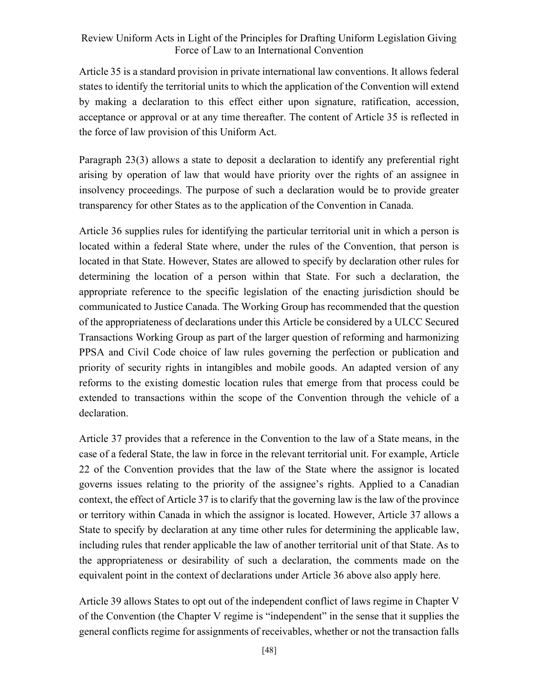Article 35 is a standard provision in private international law conventions. It allows federal states to identify the territorial units to which the application of the Convention will extend by making a declaration to this effect either upon signature, ratification, accession, acceptance or approval or at any time thereafter. The content of Article 35 is reflected in the force of law provision of this Uniform Act.

Paragraph 23(3) allows a state to deposit a declaration to identify any preferential right arising by operation of law that would have priority over the rights of an assignee in insolvency proceedings. The purpose of such a declaration would be to provide greater transparency for other States as to the application of the Convention in Canada.

Article 36 supplies rules for identifying the particular territorial unit in which a person is located within a federal State where, under the rules of the Convention, that person is located in that State. However, States are allowed to specify by declaration other rules for determining the location of a person within that State. For such a declaration, the appropriate reference to the specific legislation of the enacting jurisdiction should be communicated to Justice Canada. The Working Group has recommended that the question of the appropriateness of declarations under this Article be considered by a ULCC Secured Transactions Working Group as part of the larger question of reforming and harmonizing PPSA and Civil Code choice of law rules governing the perfection or publication and priority of security rights in intangibles and mobile goods. An adapted version of any reforms to the existing domestic location rules that emerge from that process could be extended to transactions within the scope of the Convention through the vehicle of a declaration.

Article 37 provides that a reference in the Convention to the law of a State means, in the case of a federal State, the law in force in the relevant territorial unit. For example, Article 22 of the Convention provides that the law of the State where the assignor is located governs issues relating to the priority of the assignee's rights. Applied to a Canadian context, the effect of Article 37 is to clarify that the governing law is the law of the province or territory within Canada in which the assignor is located. However, Article 37 allows a State to specify by declaration at any time other rules for determining the applicable law, including rules that render applicable the law of another territorial unit of that State. As to the appropriateness or desirability of such a declaration, the comments made on the equivalent point in the context of declarations under Article 36 above also apply here.

Article 39 allows States to opt out of the independent conflict of laws regime in Chapter V of the Convention (the Chapter V regime is "independent" in the sense that it supplies the general conflicts regime for assignments of receivables, whether or not the transaction falls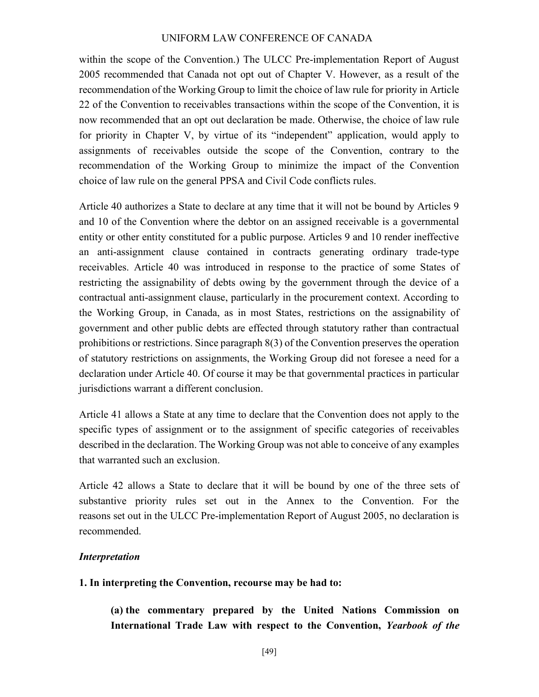within the scope of the Convention.) The ULCC Pre-implementation Report of August 2005 recommended that Canada not opt out of Chapter V. However, as a result of the recommendation of the Working Group to limit the choice of law rule for priority in Article 22 of the Convention to receivables transactions within the scope of the Convention, it is now recommended that an opt out declaration be made. Otherwise, the choice of law rule for priority in Chapter V, by virtue of its "independent" application, would apply to assignments of receivables outside the scope of the Convention, contrary to the recommendation of the Working Group to minimize the impact of the Convention choice of law rule on the general PPSA and Civil Code conflicts rules.

Article 40 authorizes a State to declare at any time that it will not be bound by Articles 9 and 10 of the Convention where the debtor on an assigned receivable is a governmental entity or other entity constituted for a public purpose. Articles 9 and 10 render ineffective an anti-assignment clause contained in contracts generating ordinary trade-type receivables. Article 40 was introduced in response to the practice of some States of restricting the assignability of debts owing by the government through the device of a contractual anti-assignment clause, particularly in the procurement context. According to the Working Group, in Canada, as in most States, restrictions on the assignability of government and other public debts are effected through statutory rather than contractual prohibitions or restrictions. Since paragraph 8(3) of the Convention preserves the operation of statutory restrictions on assignments, the Working Group did not foresee a need for a declaration under Article 40. Of course it may be that governmental practices in particular jurisdictions warrant a different conclusion.

Article 41 allows a State at any time to declare that the Convention does not apply to the specific types of assignment or to the assignment of specific categories of receivables described in the declaration. The Working Group was not able to conceive of any examples that warranted such an exclusion.

Article 42 allows a State to declare that it will be bound by one of the three sets of substantive priority rules set out in the Annex to the Convention. For the reasons set out in the ULCC Pre-implementation Report of August 2005, no declaration is recommended.

#### Interpretation

#### 1. In interpreting the Convention, recourse may be had to:

(a) the commentary prepared by the United Nations Commission on International Trade Law with respect to the Convention, Yearbook of the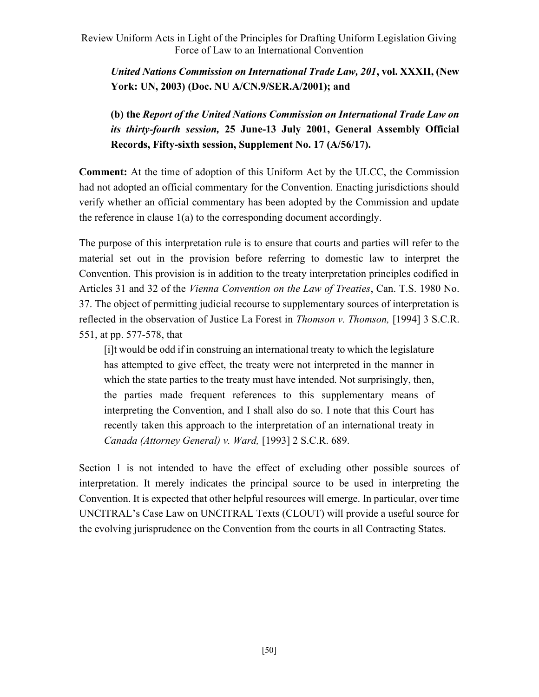United Nations Commission on International Trade Law, 201, vol. XXXII, (New York: UN, 2003) (Doc. NU A/CN.9/SER.A/2001); and

(b) the Report of the United Nations Commission on International Trade Law on its thirty-fourth session, 25 June-13 July 2001, General Assembly Official Records, Fifty-sixth session, Supplement No. 17 (A/56/17).

Comment: At the time of adoption of this Uniform Act by the ULCC, the Commission had not adopted an official commentary for the Convention. Enacting jurisdictions should verify whether an official commentary has been adopted by the Commission and update the reference in clause 1(a) to the corresponding document accordingly.

The purpose of this interpretation rule is to ensure that courts and parties will refer to the material set out in the provision before referring to domestic law to interpret the Convention. This provision is in addition to the treaty interpretation principles codified in Articles 31 and 32 of the Vienna Convention on the Law of Treaties, Can. T.S. 1980 No. 37. The object of permitting judicial recourse to supplementary sources of interpretation is reflected in the observation of Justice La Forest in Thomson v. Thomson, [1994] 3 S.C.R. 551, at pp. 577-578, that

[i]t would be odd if in construing an international treaty to which the legislature has attempted to give effect, the treaty were not interpreted in the manner in which the state parties to the treaty must have intended. Not surprisingly, then, the parties made frequent references to this supplementary means of interpreting the Convention, and I shall also do so. I note that this Court has recently taken this approach to the interpretation of an international treaty in Canada (Attorney General) v. Ward, [1993] 2 S.C.R. 689.

Section 1 is not intended to have the effect of excluding other possible sources of interpretation. It merely indicates the principal source to be used in interpreting the Convention. It is expected that other helpful resources will emerge. In particular, over time UNCITRAL's Case Law on UNCITRAL Texts (CLOUT) will provide a useful source for the evolving jurisprudence on the Convention from the courts in all Contracting States.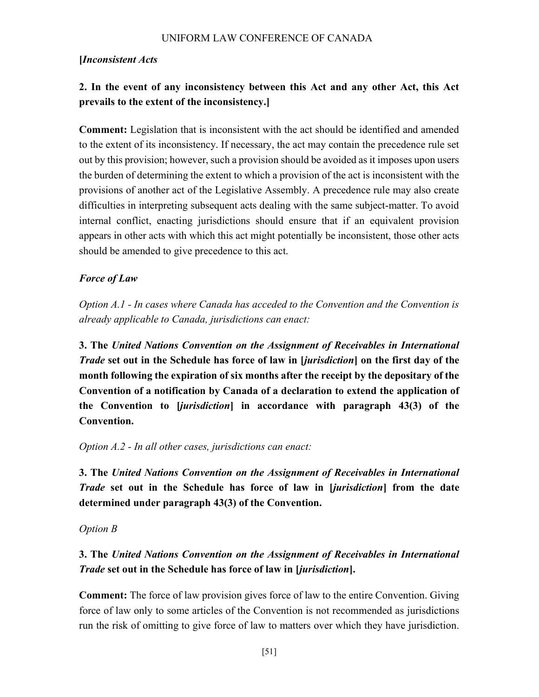### [Inconsistent Acts

# 2. In the event of any inconsistency between this Act and any other Act, this Act prevails to the extent of the inconsistency.]

Comment: Legislation that is inconsistent with the act should be identified and amended to the extent of its inconsistency. If necessary, the act may contain the precedence rule set out by this provision; however, such a provision should be avoided as it imposes upon users the burden of determining the extent to which a provision of the act is inconsistent with the provisions of another act of the Legislative Assembly. A precedence rule may also create difficulties in interpreting subsequent acts dealing with the same subject-matter. To avoid internal conflict, enacting jurisdictions should ensure that if an equivalent provision appears in other acts with which this act might potentially be inconsistent, those other acts should be amended to give precedence to this act.

### Force of Law

Option A.1 - In cases where Canada has acceded to the Convention and the Convention is already applicable to Canada, jurisdictions can enact:

3. The United Nations Convention on the Assignment of Receivables in International Trade set out in the Schedule has force of law in [jurisdiction] on the first day of the month following the expiration of six months after the receipt by the depositary of the Convention of a notification by Canada of a declaration to extend the application of the Convention to [jurisdiction] in accordance with paragraph 43(3) of the Convention.

### Option A.2 - In all other cases, jurisdictions can enact:

3. The United Nations Convention on the Assignment of Receivables in International Trade set out in the Schedule has force of law in [jurisdiction] from the date determined under paragraph 43(3) of the Convention.

### Option B

# 3. The United Nations Convention on the Assignment of Receivables in International Trade set out in the Schedule has force of law in [jurisdiction].

Comment: The force of law provision gives force of law to the entire Convention. Giving force of law only to some articles of the Convention is not recommended as jurisdictions run the risk of omitting to give force of law to matters over which they have jurisdiction.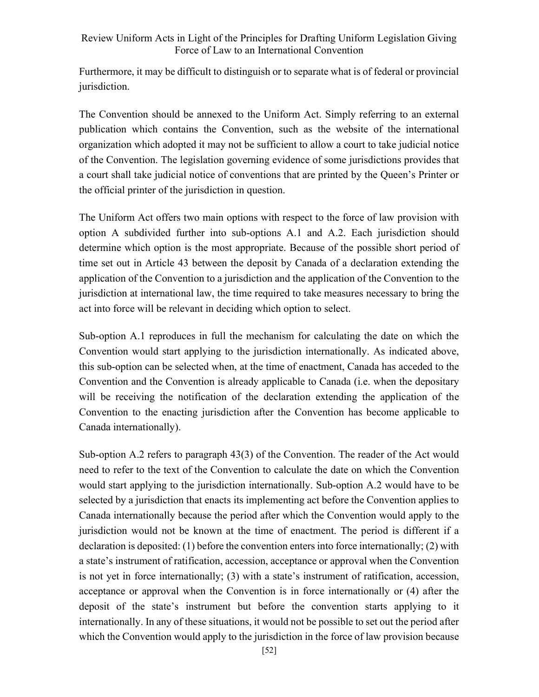Furthermore, it may be difficult to distinguish or to separate what is of federal or provincial jurisdiction.

The Convention should be annexed to the Uniform Act. Simply referring to an external publication which contains the Convention, such as the website of the international organization which adopted it may not be sufficient to allow a court to take judicial notice of the Convention. The legislation governing evidence of some jurisdictions provides that a court shall take judicial notice of conventions that are printed by the Queen's Printer or the official printer of the jurisdiction in question.

The Uniform Act offers two main options with respect to the force of law provision with option A subdivided further into sub-options A.1 and A.2. Each jurisdiction should determine which option is the most appropriate. Because of the possible short period of time set out in Article 43 between the deposit by Canada of a declaration extending the application of the Convention to a jurisdiction and the application of the Convention to the jurisdiction at international law, the time required to take measures necessary to bring the act into force will be relevant in deciding which option to select.

Sub-option A.1 reproduces in full the mechanism for calculating the date on which the Convention would start applying to the jurisdiction internationally. As indicated above, this sub-option can be selected when, at the time of enactment, Canada has acceded to the Convention and the Convention is already applicable to Canada (i.e. when the depositary will be receiving the notification of the declaration extending the application of the Convention to the enacting jurisdiction after the Convention has become applicable to Canada internationally).

Sub-option A.2 refers to paragraph 43(3) of the Convention. The reader of the Act would need to refer to the text of the Convention to calculate the date on which the Convention would start applying to the jurisdiction internationally. Sub-option A.2 would have to be selected by a jurisdiction that enacts its implementing act before the Convention applies to Canada internationally because the period after which the Convention would apply to the jurisdiction would not be known at the time of enactment. The period is different if a declaration is deposited: (1) before the convention enters into force internationally; (2) with a state's instrument of ratification, accession, acceptance or approval when the Convention is not yet in force internationally; (3) with a state's instrument of ratification, accession, acceptance or approval when the Convention is in force internationally or (4) after the deposit of the state's instrument but before the convention starts applying to it internationally. In any of these situations, it would not be possible to set out the period after which the Convention would apply to the jurisdiction in the force of law provision because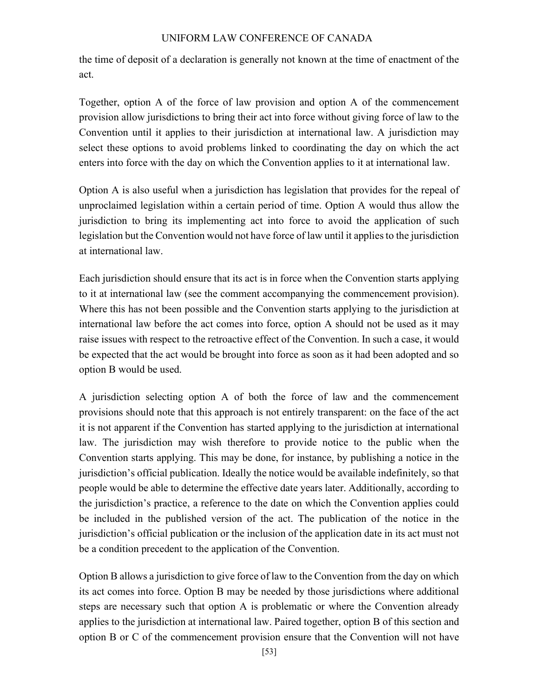the time of deposit of a declaration is generally not known at the time of enactment of the act.

Together, option A of the force of law provision and option A of the commencement provision allow jurisdictions to bring their act into force without giving force of law to the Convention until it applies to their jurisdiction at international law. A jurisdiction may select these options to avoid problems linked to coordinating the day on which the act enters into force with the day on which the Convention applies to it at international law.

Option A is also useful when a jurisdiction has legislation that provides for the repeal of unproclaimed legislation within a certain period of time. Option A would thus allow the jurisdiction to bring its implementing act into force to avoid the application of such legislation but the Convention would not have force of law until it applies to the jurisdiction at international law.

Each jurisdiction should ensure that its act is in force when the Convention starts applying to it at international law (see the comment accompanying the commencement provision). Where this has not been possible and the Convention starts applying to the jurisdiction at international law before the act comes into force, option A should not be used as it may raise issues with respect to the retroactive effect of the Convention. In such a case, it would be expected that the act would be brought into force as soon as it had been adopted and so option B would be used.

A jurisdiction selecting option A of both the force of law and the commencement provisions should note that this approach is not entirely transparent: on the face of the act it is not apparent if the Convention has started applying to the jurisdiction at international law. The jurisdiction may wish therefore to provide notice to the public when the Convention starts applying. This may be done, for instance, by publishing a notice in the jurisdiction's official publication. Ideally the notice would be available indefinitely, so that people would be able to determine the effective date years later. Additionally, according to the jurisdiction's practice, a reference to the date on which the Convention applies could be included in the published version of the act. The publication of the notice in the jurisdiction's official publication or the inclusion of the application date in its act must not be a condition precedent to the application of the Convention.

Option B allows a jurisdiction to give force of law to the Convention from the day on which its act comes into force. Option B may be needed by those jurisdictions where additional steps are necessary such that option A is problematic or where the Convention already applies to the jurisdiction at international law. Paired together, option B of this section and option B or C of the commencement provision ensure that the Convention will not have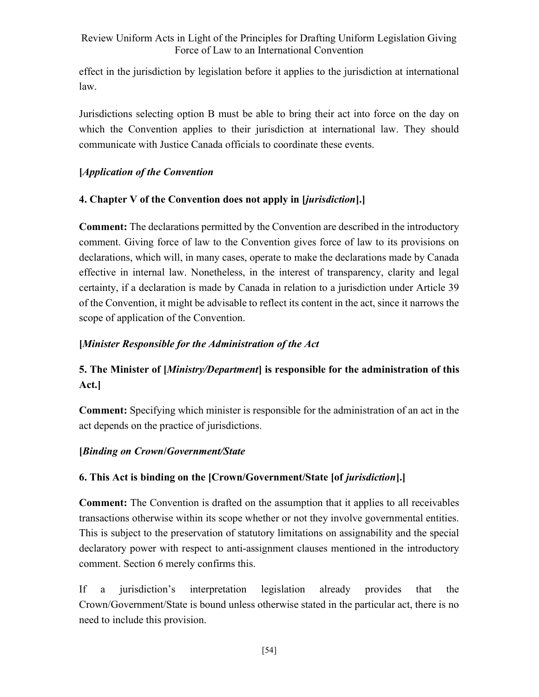effect in the jurisdiction by legislation before it applies to the jurisdiction at international law.

Jurisdictions selecting option B must be able to bring their act into force on the day on which the Convention applies to their jurisdiction at international law. They should communicate with Justice Canada officials to coordinate these events.

## [Application of the Convention

# 4. Chapter V of the Convention does not apply in [jurisdiction].]

Comment: The declarations permitted by the Convention are described in the introductory comment. Giving force of law to the Convention gives force of law to its provisions on declarations, which will, in many cases, operate to make the declarations made by Canada effective in internal law. Nonetheless, in the interest of transparency, clarity and legal certainty, if a declaration is made by Canada in relation to a jurisdiction under Article 39 of the Convention, it might be advisable to reflect its content in the act, since it narrows the scope of application of the Convention.

## [Minister Responsible for the Administration of the Act

# 5. The Minister of [*Ministry/Department*] is responsible for the administration of this Act.]

Comment: Specifying which minister is responsible for the administration of an act in the act depends on the practice of jurisdictions.

## [Binding on Crown/Government/State

# 6. This Act is binding on the [Crown/Government/State [of jurisdiction].]

Comment: The Convention is drafted on the assumption that it applies to all receivables transactions otherwise within its scope whether or not they involve governmental entities. This is subject to the preservation of statutory limitations on assignability and the special declaratory power with respect to anti-assignment clauses mentioned in the introductory comment. Section 6 merely confirms this.

If a jurisdiction's interpretation legislation already provides that the Crown/Government/State is bound unless otherwise stated in the particular act, there is no need to include this provision.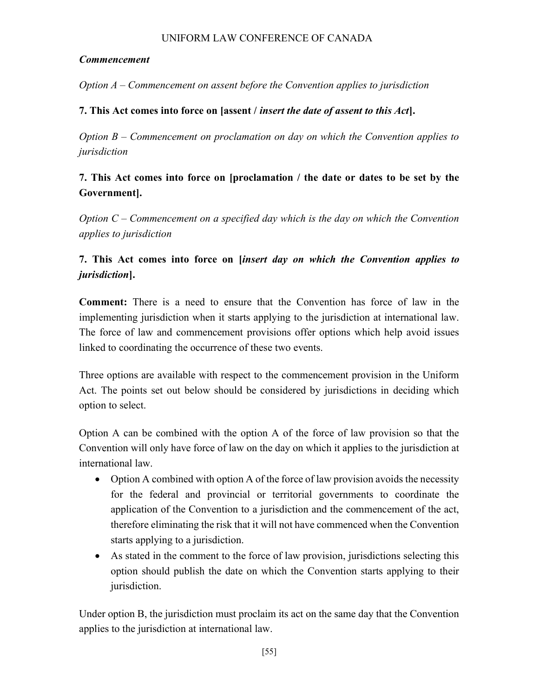### Commencement

Option A – Commencement on assent before the Convention applies to jurisdiction

### 7. This Act comes into force on [assent / insert the date of assent to this Act].

Option  $B -$  Commencement on proclamation on day on which the Convention applies to jurisdiction

# 7. This Act comes into force on [proclamation / the date or dates to be set by the Government].

Option  $C$  – Commencement on a specified day which is the day on which the Convention applies to jurisdiction

# 7. This Act comes into force on [insert day on which the Convention applies to jurisdiction].

Comment: There is a need to ensure that the Convention has force of law in the implementing jurisdiction when it starts applying to the jurisdiction at international law. The force of law and commencement provisions offer options which help avoid issues linked to coordinating the occurrence of these two events.

Three options are available with respect to the commencement provision in the Uniform Act. The points set out below should be considered by jurisdictions in deciding which option to select.

Option A can be combined with the option A of the force of law provision so that the Convention will only have force of law on the day on which it applies to the jurisdiction at international law.

- Option A combined with option A of the force of law provision avoids the necessity for the federal and provincial or territorial governments to coordinate the application of the Convention to a jurisdiction and the commencement of the act, therefore eliminating the risk that it will not have commenced when the Convention starts applying to a jurisdiction.
- As stated in the comment to the force of law provision, jurisdictions selecting this option should publish the date on which the Convention starts applying to their jurisdiction.

Under option B, the jurisdiction must proclaim its act on the same day that the Convention applies to the jurisdiction at international law.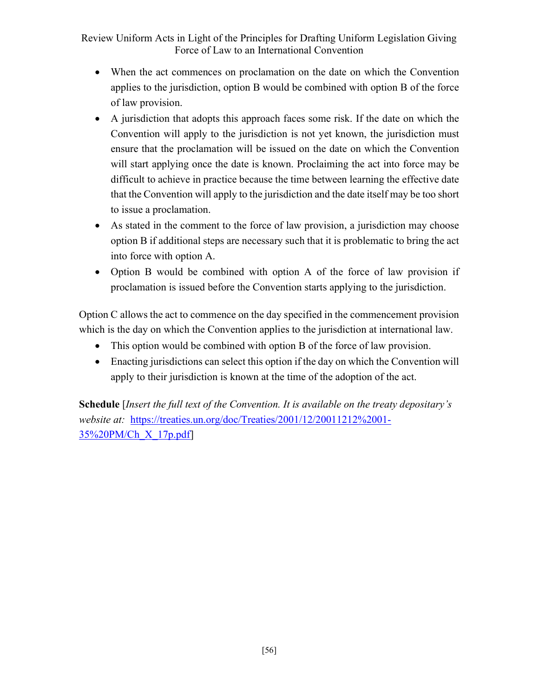- When the act commences on proclamation on the date on which the Convention applies to the jurisdiction, option B would be combined with option B of the force of law provision.
- A jurisdiction that adopts this approach faces some risk. If the date on which the Convention will apply to the jurisdiction is not yet known, the jurisdiction must ensure that the proclamation will be issued on the date on which the Convention will start applying once the date is known. Proclaiming the act into force may be difficult to achieve in practice because the time between learning the effective date that the Convention will apply to the jurisdiction and the date itself may be too short to issue a proclamation.
- As stated in the comment to the force of law provision, a jurisdiction may choose option B if additional steps are necessary such that it is problematic to bring the act into force with option A.
- Option B would be combined with option A of the force of law provision if proclamation is issued before the Convention starts applying to the jurisdiction.

Option C allows the act to commence on the day specified in the commencement provision which is the day on which the Convention applies to the jurisdiction at international law.

- This option would be combined with option B of the force of law provision.
- Enacting jurisdictions can select this option if the day on which the Convention will apply to their jurisdiction is known at the time of the adoption of the act.

Schedule [Insert the full text of the Convention. It is available on the treaty depositary's website at: https://treaties.un.org/doc/Treaties/2001/12/20011212%2001-35%20PM/Ch\_X\_17p.pdf]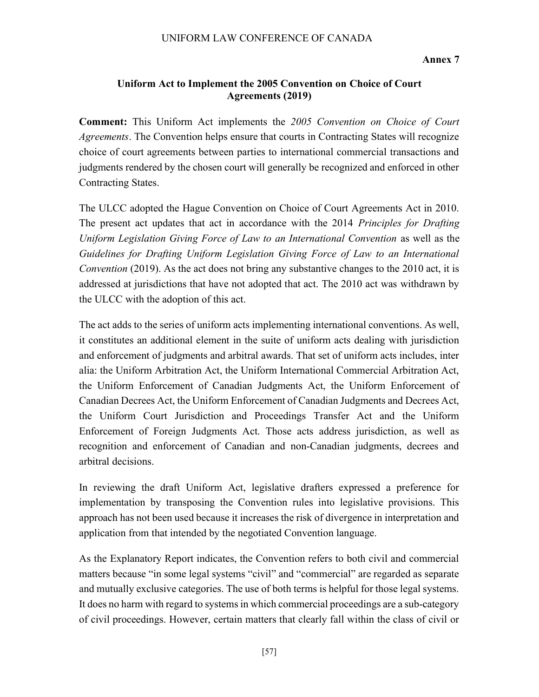Annex 7

#### Uniform Act to Implement the 2005 Convention on Choice of Court Agreements (2019)

Comment: This Uniform Act implements the 2005 Convention on Choice of Court Agreements. The Convention helps ensure that courts in Contracting States will recognize choice of court agreements between parties to international commercial transactions and judgments rendered by the chosen court will generally be recognized and enforced in other Contracting States.

The ULCC adopted the Hague Convention on Choice of Court Agreements Act in 2010. The present act updates that act in accordance with the 2014 Principles for Drafting Uniform Legislation Giving Force of Law to an International Convention as well as the Guidelines for Drafting Uniform Legislation Giving Force of Law to an International Convention (2019). As the act does not bring any substantive changes to the 2010 act, it is addressed at jurisdictions that have not adopted that act. The 2010 act was withdrawn by the ULCC with the adoption of this act.

The act adds to the series of uniform acts implementing international conventions. As well, it constitutes an additional element in the suite of uniform acts dealing with jurisdiction and enforcement of judgments and arbitral awards. That set of uniform acts includes, inter alia: the Uniform Arbitration Act, the Uniform International Commercial Arbitration Act, the Uniform Enforcement of Canadian Judgments Act, the Uniform Enforcement of Canadian Decrees Act, the Uniform Enforcement of Canadian Judgments and Decrees Act, the Uniform Court Jurisdiction and Proceedings Transfer Act and the Uniform Enforcement of Foreign Judgments Act. Those acts address jurisdiction, as well as recognition and enforcement of Canadian and non-Canadian judgments, decrees and arbitral decisions.

In reviewing the draft Uniform Act, legislative drafters expressed a preference for implementation by transposing the Convention rules into legislative provisions. This approach has not been used because it increases the risk of divergence in interpretation and application from that intended by the negotiated Convention language.

As the Explanatory Report indicates, the Convention refers to both civil and commercial matters because "in some legal systems "civil" and "commercial" are regarded as separate and mutually exclusive categories. The use of both terms is helpful for those legal systems. It does no harm with regard to systems in which commercial proceedings are a sub-category of civil proceedings. However, certain matters that clearly fall within the class of civil or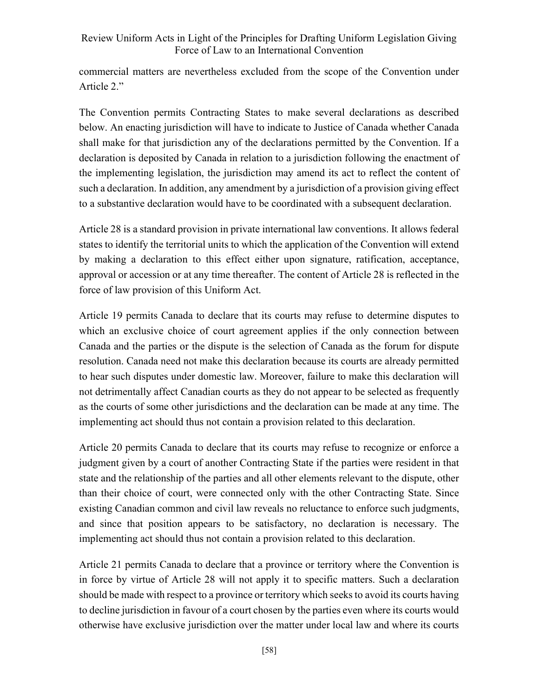commercial matters are nevertheless excluded from the scope of the Convention under Article 2."

The Convention permits Contracting States to make several declarations as described below. An enacting jurisdiction will have to indicate to Justice of Canada whether Canada shall make for that jurisdiction any of the declarations permitted by the Convention. If a declaration is deposited by Canada in relation to a jurisdiction following the enactment of the implementing legislation, the jurisdiction may amend its act to reflect the content of such a declaration. In addition, any amendment by a jurisdiction of a provision giving effect to a substantive declaration would have to be coordinated with a subsequent declaration.

Article 28 is a standard provision in private international law conventions. It allows federal states to identify the territorial units to which the application of the Convention will extend by making a declaration to this effect either upon signature, ratification, acceptance, approval or accession or at any time thereafter. The content of Article 28 is reflected in the force of law provision of this Uniform Act.

Article 19 permits Canada to declare that its courts may refuse to determine disputes to which an exclusive choice of court agreement applies if the only connection between Canada and the parties or the dispute is the selection of Canada as the forum for dispute resolution. Canada need not make this declaration because its courts are already permitted to hear such disputes under domestic law. Moreover, failure to make this declaration will not detrimentally affect Canadian courts as they do not appear to be selected as frequently as the courts of some other jurisdictions and the declaration can be made at any time. The implementing act should thus not contain a provision related to this declaration.

Article 20 permits Canada to declare that its courts may refuse to recognize or enforce a judgment given by a court of another Contracting State if the parties were resident in that state and the relationship of the parties and all other elements relevant to the dispute, other than their choice of court, were connected only with the other Contracting State. Since existing Canadian common and civil law reveals no reluctance to enforce such judgments, and since that position appears to be satisfactory, no declaration is necessary. The implementing act should thus not contain a provision related to this declaration.

Article 21 permits Canada to declare that a province or territory where the Convention is in force by virtue of Article 28 will not apply it to specific matters. Such a declaration should be made with respect to a province or territory which seeks to avoid its courts having to decline jurisdiction in favour of a court chosen by the parties even where its courts would otherwise have exclusive jurisdiction over the matter under local law and where its courts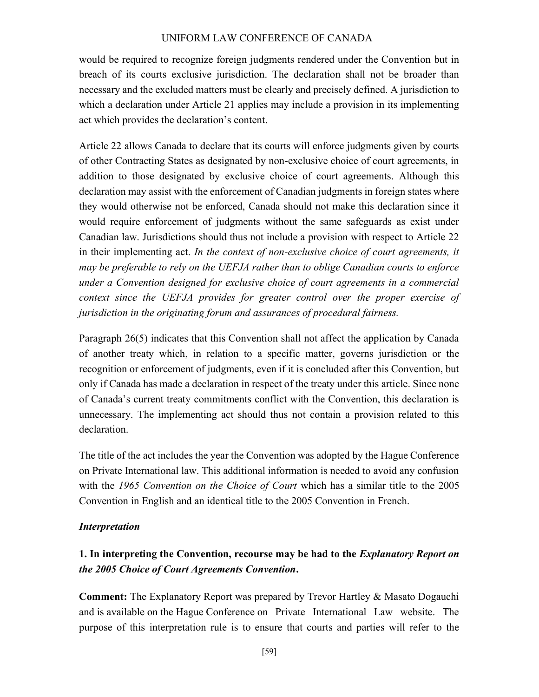would be required to recognize foreign judgments rendered under the Convention but in breach of its courts exclusive jurisdiction. The declaration shall not be broader than necessary and the excluded matters must be clearly and precisely defined. A jurisdiction to which a declaration under Article 21 applies may include a provision in its implementing act which provides the declaration's content.

Article 22 allows Canada to declare that its courts will enforce judgments given by courts of other Contracting States as designated by non-exclusive choice of court agreements, in addition to those designated by exclusive choice of court agreements. Although this declaration may assist with the enforcement of Canadian judgments in foreign states where they would otherwise not be enforced, Canada should not make this declaration since it would require enforcement of judgments without the same safeguards as exist under Canadian law. Jurisdictions should thus not include a provision with respect to Article 22 in their implementing act. In the context of non-exclusive choice of court agreements, it may be preferable to rely on the UEFJA rather than to oblige Canadian courts to enforce under a Convention designed for exclusive choice of court agreements in a commercial context since the UEFJA provides for greater control over the proper exercise of jurisdiction in the originating forum and assurances of procedural fairness.

Paragraph 26(5) indicates that this Convention shall not affect the application by Canada of another treaty which, in relation to a specific matter, governs jurisdiction or the recognition or enforcement of judgments, even if it is concluded after this Convention, but only if Canada has made a declaration in respect of the treaty under this article. Since none of Canada's current treaty commitments conflict with the Convention, this declaration is unnecessary. The implementing act should thus not contain a provision related to this declaration.

The title of the act includes the year the Convention was adopted by the Hague Conference on Private International law. This additional information is needed to avoid any confusion with the 1965 Convention on the Choice of Court which has a similar title to the 2005 Convention in English and an identical title to the 2005 Convention in French.

#### Interpretation

# 1. In interpreting the Convention, recourse may be had to the *Explanatory Report on* the 2005 Choice of Court Agreements Convention.

Comment: The Explanatory Report was prepared by Trevor Hartley & Masato Dogauchi and is available on the Hague Conference on Private International Law website. The purpose of this interpretation rule is to ensure that courts and parties will refer to the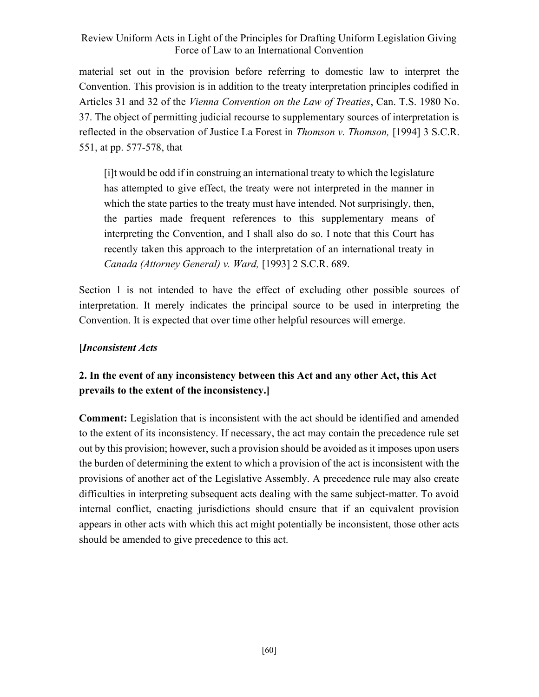material set out in the provision before referring to domestic law to interpret the Convention. This provision is in addition to the treaty interpretation principles codified in Articles 31 and 32 of the Vienna Convention on the Law of Treaties, Can. T.S. 1980 No. 37. The object of permitting judicial recourse to supplementary sources of interpretation is reflected in the observation of Justice La Forest in *Thomson v. Thomson*, [1994] 3 S.C.R. 551, at pp. 577-578, that

[i]t would be odd if in construing an international treaty to which the legislature has attempted to give effect, the treaty were not interpreted in the manner in which the state parties to the treaty must have intended. Not surprisingly, then, the parties made frequent references to this supplementary means of interpreting the Convention, and I shall also do so. I note that this Court has recently taken this approach to the interpretation of an international treaty in Canada (Attorney General) v. Ward, [1993] 2 S.C.R. 689.

Section 1 is not intended to have the effect of excluding other possible sources of interpretation. It merely indicates the principal source to be used in interpreting the Convention. It is expected that over time other helpful resources will emerge.

### [Inconsistent Acts

# 2. In the event of any inconsistency between this Act and any other Act, this Act prevails to the extent of the inconsistency.]

Comment: Legislation that is inconsistent with the act should be identified and amended to the extent of its inconsistency. If necessary, the act may contain the precedence rule set out by this provision; however, such a provision should be avoided as it imposes upon users the burden of determining the extent to which a provision of the act is inconsistent with the provisions of another act of the Legislative Assembly. A precedence rule may also create difficulties in interpreting subsequent acts dealing with the same subject-matter. To avoid internal conflict, enacting jurisdictions should ensure that if an equivalent provision appears in other acts with which this act might potentially be inconsistent, those other acts should be amended to give precedence to this act.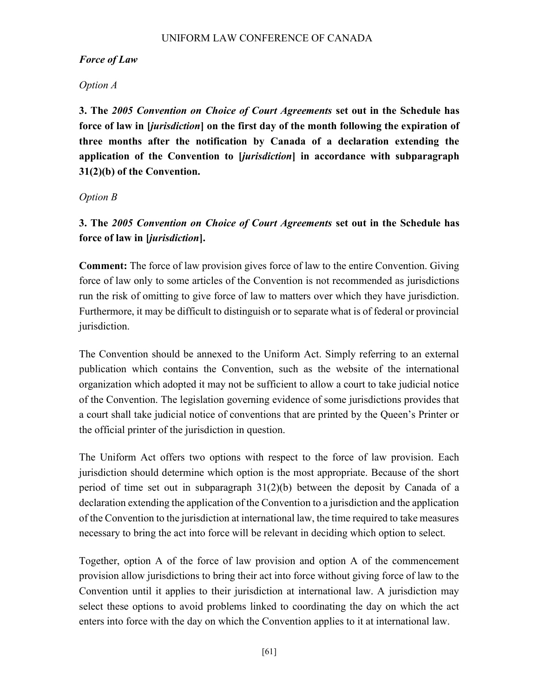#### Force of Law

### Option A

3. The 2005 Convention on Choice of Court Agreements set out in the Schedule has force of law in [jurisdiction] on the first day of the month following the expiration of three months after the notification by Canada of a declaration extending the application of the Convention to [*jurisdiction*] in accordance with subparagraph 31(2)(b) of the Convention.

#### Option B

3. The 2005 Convention on Choice of Court Agreements set out in the Schedule has force of law in [jurisdiction].

Comment: The force of law provision gives force of law to the entire Convention. Giving force of law only to some articles of the Convention is not recommended as jurisdictions run the risk of omitting to give force of law to matters over which they have jurisdiction. Furthermore, it may be difficult to distinguish or to separate what is of federal or provincial jurisdiction.

The Convention should be annexed to the Uniform Act. Simply referring to an external publication which contains the Convention, such as the website of the international organization which adopted it may not be sufficient to allow a court to take judicial notice of the Convention. The legislation governing evidence of some jurisdictions provides that a court shall take judicial notice of conventions that are printed by the Queen's Printer or the official printer of the jurisdiction in question.

The Uniform Act offers two options with respect to the force of law provision. Each jurisdiction should determine which option is the most appropriate. Because of the short period of time set out in subparagraph 31(2)(b) between the deposit by Canada of a declaration extending the application of the Convention to a jurisdiction and the application of the Convention to the jurisdiction at international law, the time required to take measures necessary to bring the act into force will be relevant in deciding which option to select.

Together, option A of the force of law provision and option A of the commencement provision allow jurisdictions to bring their act into force without giving force of law to the Convention until it applies to their jurisdiction at international law. A jurisdiction may select these options to avoid problems linked to coordinating the day on which the act enters into force with the day on which the Convention applies to it at international law.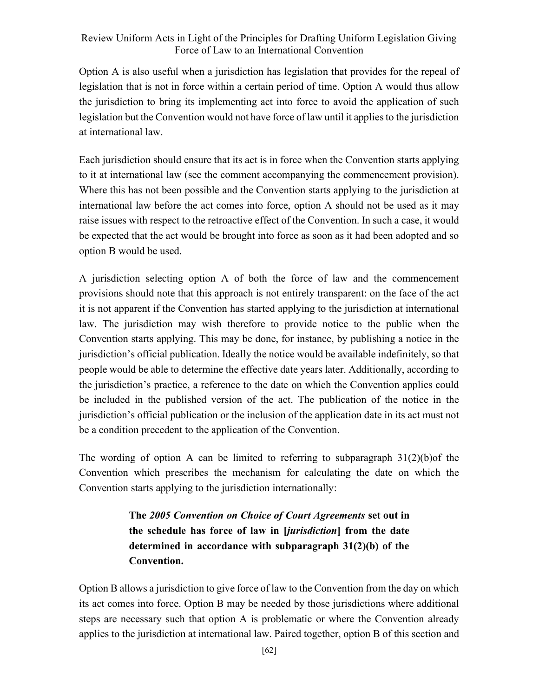Option A is also useful when a jurisdiction has legislation that provides for the repeal of legislation that is not in force within a certain period of time. Option A would thus allow the jurisdiction to bring its implementing act into force to avoid the application of such legislation but the Convention would not have force of law until it applies to the jurisdiction at international law.

Each jurisdiction should ensure that its act is in force when the Convention starts applying to it at international law (see the comment accompanying the commencement provision). Where this has not been possible and the Convention starts applying to the jurisdiction at international law before the act comes into force, option A should not be used as it may raise issues with respect to the retroactive effect of the Convention. In such a case, it would be expected that the act would be brought into force as soon as it had been adopted and so option B would be used.

A jurisdiction selecting option A of both the force of law and the commencement provisions should note that this approach is not entirely transparent: on the face of the act it is not apparent if the Convention has started applying to the jurisdiction at international law. The jurisdiction may wish therefore to provide notice to the public when the Convention starts applying. This may be done, for instance, by publishing a notice in the jurisdiction's official publication. Ideally the notice would be available indefinitely, so that people would be able to determine the effective date years later. Additionally, according to the jurisdiction's practice, a reference to the date on which the Convention applies could be included in the published version of the act. The publication of the notice in the jurisdiction's official publication or the inclusion of the application date in its act must not be a condition precedent to the application of the Convention.

The wording of option A can be limited to referring to subparagraph  $31(2)(b)$  of the Convention which prescribes the mechanism for calculating the date on which the Convention starts applying to the jurisdiction internationally:

> The 2005 Convention on Choice of Court Agreements set out in the schedule has force of law in [jurisdiction] from the date determined in accordance with subparagraph 31(2)(b) of the Convention.

Option B allows a jurisdiction to give force of law to the Convention from the day on which its act comes into force. Option B may be needed by those jurisdictions where additional steps are necessary such that option A is problematic or where the Convention already applies to the jurisdiction at international law. Paired together, option B of this section and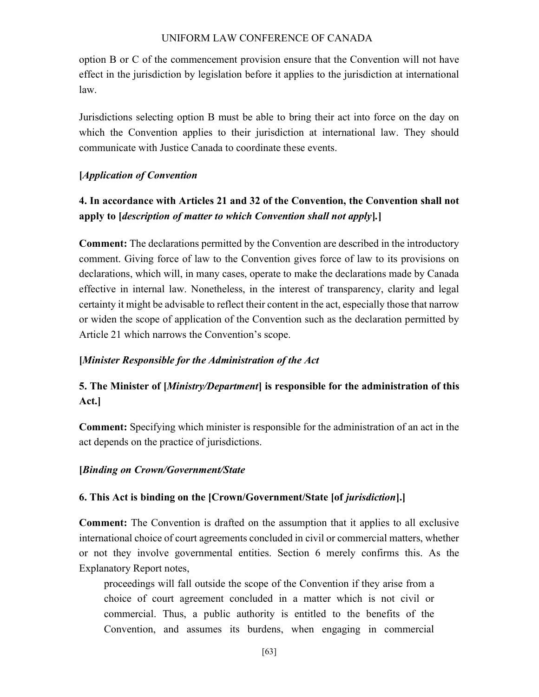option B or C of the commencement provision ensure that the Convention will not have effect in the jurisdiction by legislation before it applies to the jurisdiction at international law.

Jurisdictions selecting option B must be able to bring their act into force on the day on which the Convention applies to their jurisdiction at international law. They should communicate with Justice Canada to coordinate these events.

### [Application of Convention

# 4. In accordance with Articles 21 and 32 of the Convention, the Convention shall not apply to [description of matter to which Convention shall not apply].]

Comment: The declarations permitted by the Convention are described in the introductory comment. Giving force of law to the Convention gives force of law to its provisions on declarations, which will, in many cases, operate to make the declarations made by Canada effective in internal law. Nonetheless, in the interest of transparency, clarity and legal certainty it might be advisable to reflect their content in the act, especially those that narrow or widen the scope of application of the Convention such as the declaration permitted by Article 21 which narrows the Convention's scope.

### [Minister Responsible for the Administration of the Act

# 5. The Minister of [*Ministry/Department*] is responsible for the administration of this Act.]

Comment: Specifying which minister is responsible for the administration of an act in the act depends on the practice of jurisdictions.

### [Binding on Crown/Government/State

### 6. This Act is binding on the [Crown/Government/State [of jurisdiction].]

Comment: The Convention is drafted on the assumption that it applies to all exclusive international choice of court agreements concluded in civil or commercial matters, whether or not they involve governmental entities. Section 6 merely confirms this. As the Explanatory Report notes,

proceedings will fall outside the scope of the Convention if they arise from a choice of court agreement concluded in a matter which is not civil or commercial. Thus, a public authority is entitled to the benefits of the Convention, and assumes its burdens, when engaging in commercial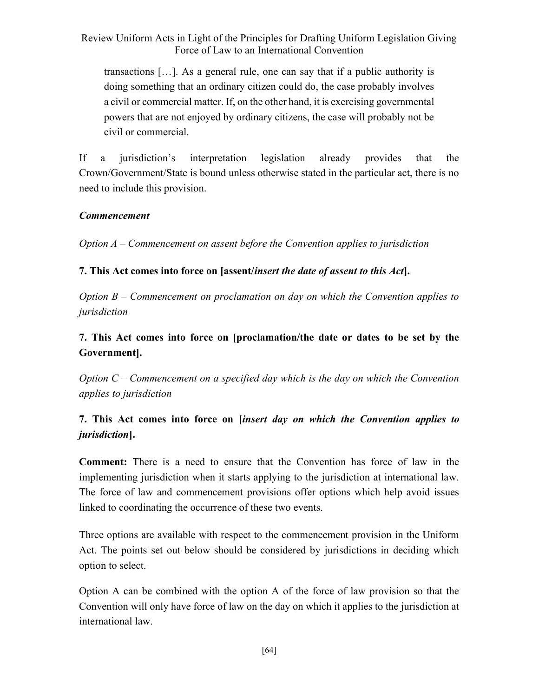transactions […]. As a general rule, one can say that if a public authority is doing something that an ordinary citizen could do, the case probably involves a civil or commercial matter. If, on the other hand, it is exercising governmental powers that are not enjoyed by ordinary citizens, the case will probably not be civil or commercial.

If a jurisdiction's interpretation legislation already provides that the Crown/Government/State is bound unless otherwise stated in the particular act, there is no need to include this provision.

### Commencement

Option A – Commencement on assent before the Convention applies to jurisdiction

## 7. This Act comes into force on [assent/insert the date of assent to this Act].

Option B – Commencement on proclamation on day on which the Convention applies to jurisdiction

# 7. This Act comes into force on [proclamation/the date or dates to be set by the Government].

Option  $C$  – Commencement on a specified day which is the day on which the Convention applies to jurisdiction

# 7. This Act comes into force on [insert day on which the Convention applies to jurisdiction].

Comment: There is a need to ensure that the Convention has force of law in the implementing jurisdiction when it starts applying to the jurisdiction at international law. The force of law and commencement provisions offer options which help avoid issues linked to coordinating the occurrence of these two events.

Three options are available with respect to the commencement provision in the Uniform Act. The points set out below should be considered by jurisdictions in deciding which option to select.

Option A can be combined with the option A of the force of law provision so that the Convention will only have force of law on the day on which it applies to the jurisdiction at international law.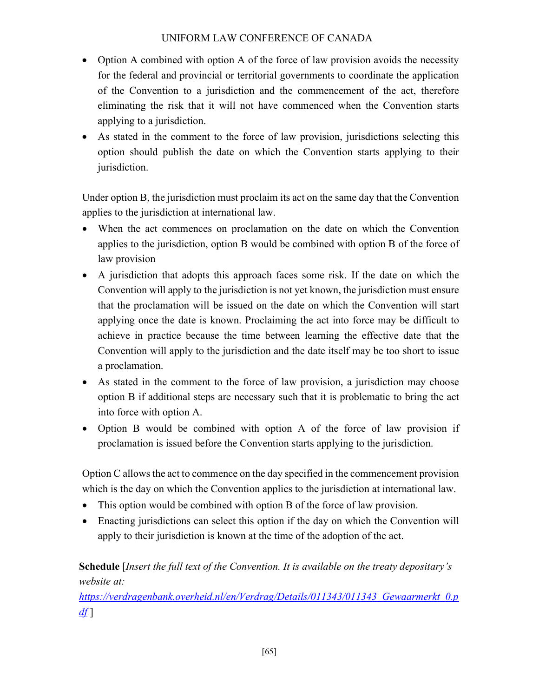- Option A combined with option A of the force of law provision avoids the necessity for the federal and provincial or territorial governments to coordinate the application of the Convention to a jurisdiction and the commencement of the act, therefore eliminating the risk that it will not have commenced when the Convention starts applying to a jurisdiction.
- As stated in the comment to the force of law provision, jurisdictions selecting this option should publish the date on which the Convention starts applying to their jurisdiction.

Under option B, the jurisdiction must proclaim its act on the same day that the Convention applies to the jurisdiction at international law.

- When the act commences on proclamation on the date on which the Convention applies to the jurisdiction, option B would be combined with option B of the force of law provision
- A jurisdiction that adopts this approach faces some risk. If the date on which the Convention will apply to the jurisdiction is not yet known, the jurisdiction must ensure that the proclamation will be issued on the date on which the Convention will start applying once the date is known. Proclaiming the act into force may be difficult to achieve in practice because the time between learning the effective date that the Convention will apply to the jurisdiction and the date itself may be too short to issue a proclamation.
- As stated in the comment to the force of law provision, a jurisdiction may choose option B if additional steps are necessary such that it is problematic to bring the act into force with option A.
- Option B would be combined with option A of the force of law provision if proclamation is issued before the Convention starts applying to the jurisdiction.

Option C allows the act to commence on the day specified in the commencement provision which is the day on which the Convention applies to the jurisdiction at international law.

- This option would be combined with option B of the force of law provision.
- Enacting jurisdictions can select this option if the day on which the Convention will apply to their jurisdiction is known at the time of the adoption of the act.

Schedule [Insert the full text of the Convention. It is available on the treaty depositary's website at:

https://verdragenbank.overheid.nl/en/Verdrag/Details/011343/011343\_Gewaarmerkt\_0.p  $df$ ]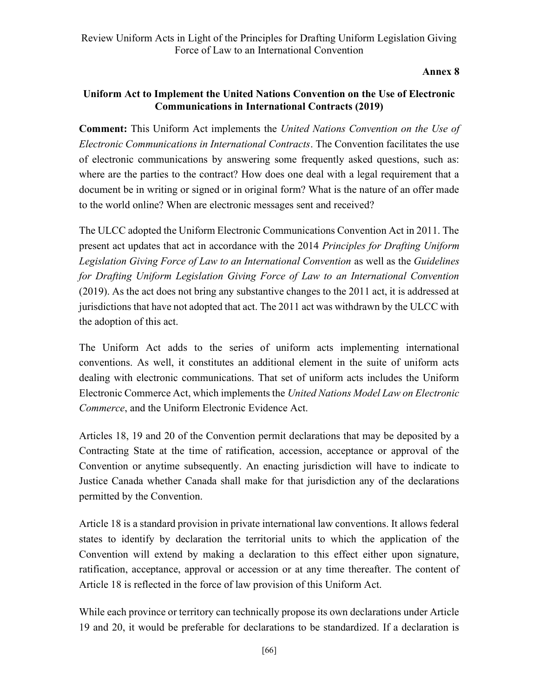Annex 8

## Uniform Act to Implement the United Nations Convention on the Use of Electronic Communications in International Contracts (2019)

**Comment:** This Uniform Act implements the United Nations Convention on the Use of Electronic Communications in International Contracts. The Convention facilitates the use of electronic communications by answering some frequently asked questions, such as: where are the parties to the contract? How does one deal with a legal requirement that a document be in writing or signed or in original form? What is the nature of an offer made to the world online? When are electronic messages sent and received?

The ULCC adopted the Uniform Electronic Communications Convention Act in 2011. The present act updates that act in accordance with the 2014 Principles for Drafting Uniform Legislation Giving Force of Law to an International Convention as well as the Guidelines for Drafting Uniform Legislation Giving Force of Law to an International Convention (2019). As the act does not bring any substantive changes to the 2011 act, it is addressed at jurisdictions that have not adopted that act. The 2011 act was withdrawn by the ULCC with the adoption of this act.

The Uniform Act adds to the series of uniform acts implementing international conventions. As well, it constitutes an additional element in the suite of uniform acts dealing with electronic communications. That set of uniform acts includes the Uniform Electronic Commerce Act, which implements the United Nations Model Law on Electronic Commerce, and the Uniform Electronic Evidence Act.

Articles 18, 19 and 20 of the Convention permit declarations that may be deposited by a Contracting State at the time of ratification, accession, acceptance or approval of the Convention or anytime subsequently. An enacting jurisdiction will have to indicate to Justice Canada whether Canada shall make for that jurisdiction any of the declarations permitted by the Convention.

Article 18 is a standard provision in private international law conventions. It allows federal states to identify by declaration the territorial units to which the application of the Convention will extend by making a declaration to this effect either upon signature, ratification, acceptance, approval or accession or at any time thereafter. The content of Article 18 is reflected in the force of law provision of this Uniform Act.

While each province or territory can technically propose its own declarations under Article 19 and 20, it would be preferable for declarations to be standardized. If a declaration is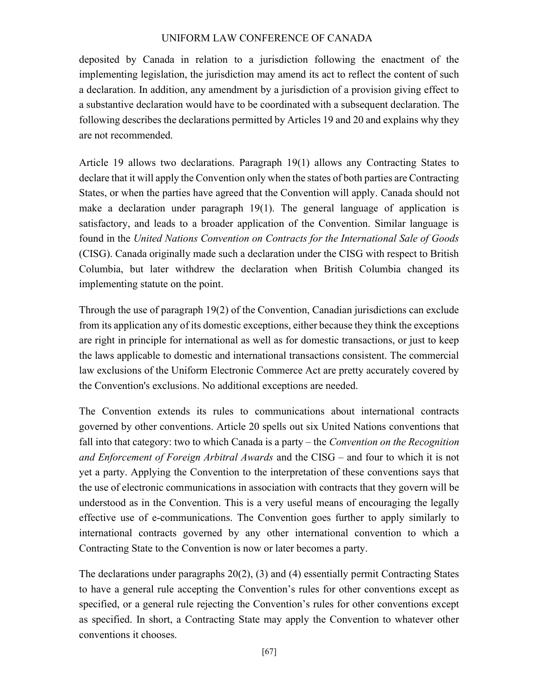deposited by Canada in relation to a jurisdiction following the enactment of the implementing legislation, the jurisdiction may amend its act to reflect the content of such a declaration. In addition, any amendment by a jurisdiction of a provision giving effect to a substantive declaration would have to be coordinated with a subsequent declaration. The following describes the declarations permitted by Articles 19 and 20 and explains why they are not recommended.

Article 19 allows two declarations. Paragraph 19(1) allows any Contracting States to declare that it will apply the Convention only when the states of both parties are Contracting States, or when the parties have agreed that the Convention will apply. Canada should not make a declaration under paragraph 19(1). The general language of application is satisfactory, and leads to a broader application of the Convention. Similar language is found in the United Nations Convention on Contracts for the International Sale of Goods (CISG). Canada originally made such a declaration under the CISG with respect to British Columbia, but later withdrew the declaration when British Columbia changed its implementing statute on the point.

Through the use of paragraph 19(2) of the Convention, Canadian jurisdictions can exclude from its application any of its domestic exceptions, either because they think the exceptions are right in principle for international as well as for domestic transactions, or just to keep the laws applicable to domestic and international transactions consistent. The commercial law exclusions of the Uniform Electronic Commerce Act are pretty accurately covered by the Convention's exclusions. No additional exceptions are needed.

The Convention extends its rules to communications about international contracts governed by other conventions. Article 20 spells out six United Nations conventions that fall into that category: two to which Canada is a party – the Convention on the Recognition and Enforcement of Foreign Arbitral Awards and the CISG – and four to which it is not yet a party. Applying the Convention to the interpretation of these conventions says that the use of electronic communications in association with contracts that they govern will be understood as in the Convention. This is a very useful means of encouraging the legally effective use of e-communications. The Convention goes further to apply similarly to international contracts governed by any other international convention to which a Contracting State to the Convention is now or later becomes a party.

The declarations under paragraphs 20(2), (3) and (4) essentially permit Contracting States to have a general rule accepting the Convention's rules for other conventions except as specified, or a general rule rejecting the Convention's rules for other conventions except as specified. In short, a Contracting State may apply the Convention to whatever other conventions it chooses.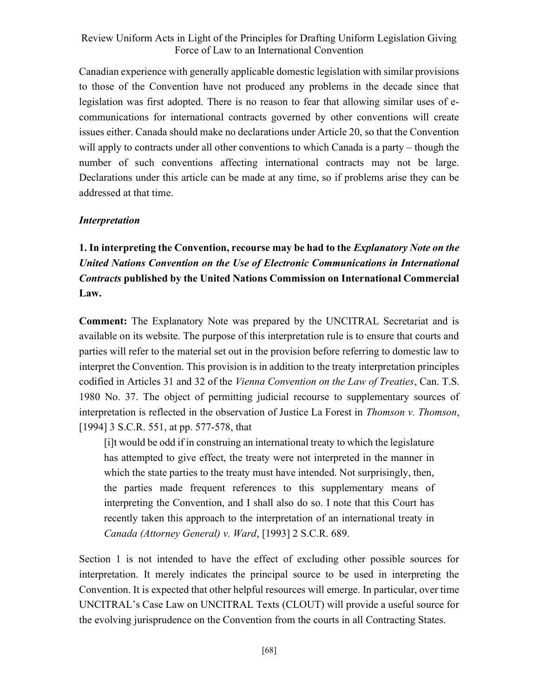Canadian experience with generally applicable domestic legislation with similar provisions to those of the Convention have not produced any problems in the decade since that legislation was first adopted. There is no reason to fear that allowing similar uses of ecommunications for international contracts governed by other conventions will create issues either. Canada should make no declarations under Article 20, so that the Convention will apply to contracts under all other conventions to which Canada is a party – though the number of such conventions affecting international contracts may not be large. Declarations under this article can be made at any time, so if problems arise they can be addressed at that time.

#### Interpretation

1. In interpreting the Convention, recourse may be had to the *Explanatory Note on the* United Nations Convention on the Use of Electronic Communications in International Contracts published by the United Nations Commission on International Commercial Law.

Comment: The Explanatory Note was prepared by the UNCITRAL Secretariat and is available on its website. The purpose of this interpretation rule is to ensure that courts and parties will refer to the material set out in the provision before referring to domestic law to interpret the Convention. This provision is in addition to the treaty interpretation principles codified in Articles 31 and 32 of the *Vienna Convention on the Law of Treaties*, Can. T.S. 1980 No. 37. The object of permitting judicial recourse to supplementary sources of interpretation is reflected in the observation of Justice La Forest in *Thomson v. Thomson*, [1994] 3 S.C.R. 551, at pp. 577-578, that

[i]t would be odd if in construing an international treaty to which the legislature has attempted to give effect, the treaty were not interpreted in the manner in which the state parties to the treaty must have intended. Not surprisingly, then, the parties made frequent references to this supplementary means of interpreting the Convention, and I shall also do so. I note that this Court has recently taken this approach to the interpretation of an international treaty in Canada (Attorney General) v. Ward, [1993] 2 S.C.R. 689.

Section 1 is not intended to have the effect of excluding other possible sources for interpretation. It merely indicates the principal source to be used in interpreting the Convention. It is expected that other helpful resources will emerge. In particular, over time UNCITRAL's Case Law on UNCITRAL Texts (CLOUT) will provide a useful source for the evolving jurisprudence on the Convention from the courts in all Contracting States.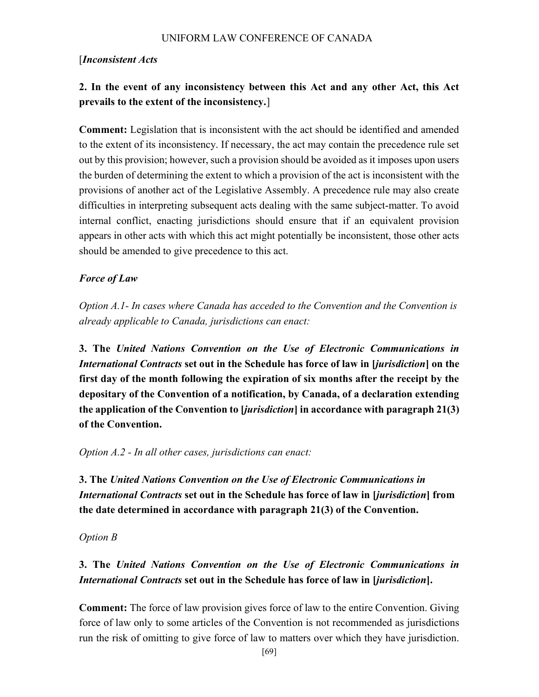### [Inconsistent Acts

## 2. In the event of any inconsistency between this Act and any other Act, this Act prevails to the extent of the inconsistency.]

Comment: Legislation that is inconsistent with the act should be identified and amended to the extent of its inconsistency. If necessary, the act may contain the precedence rule set out by this provision; however, such a provision should be avoided as it imposes upon users the burden of determining the extent to which a provision of the act is inconsistent with the provisions of another act of the Legislative Assembly. A precedence rule may also create difficulties in interpreting subsequent acts dealing with the same subject-matter. To avoid internal conflict, enacting jurisdictions should ensure that if an equivalent provision appears in other acts with which this act might potentially be inconsistent, those other acts should be amended to give precedence to this act.

### Force of Law

Option A.1- In cases where Canada has acceded to the Convention and the Convention is already applicable to Canada, jurisdictions can enact:

3. The United Nations Convention on the Use of Electronic Communications in International Contracts set out in the Schedule has force of law in *[jurisdiction]* on the first day of the month following the expiration of six months after the receipt by the depositary of the Convention of a notification, by Canada, of a declaration extending the application of the Convention to [jurisdiction] in accordance with paragraph 21(3) of the Convention.

Option A.2 - In all other cases, jurisdictions can enact:

3. The United Nations Convention on the Use of Electronic Communications in International Contracts set out in the Schedule has force of law in [jurisdiction] from the date determined in accordance with paragraph 21(3) of the Convention.

#### Option B

## 3. The United Nations Convention on the Use of Electronic Communications in International Contracts set out in the Schedule has force of law in [jurisdiction].

Comment: The force of law provision gives force of law to the entire Convention. Giving force of law only to some articles of the Convention is not recommended as jurisdictions run the risk of omitting to give force of law to matters over which they have jurisdiction.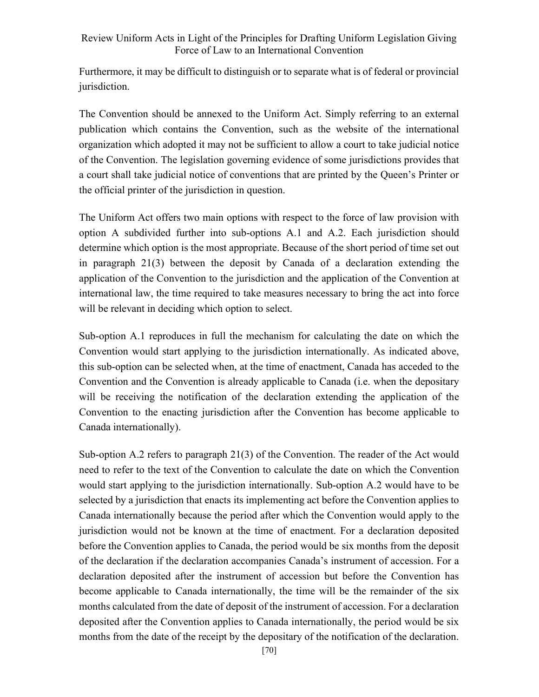Furthermore, it may be difficult to distinguish or to separate what is of federal or provincial jurisdiction.

The Convention should be annexed to the Uniform Act. Simply referring to an external publication which contains the Convention, such as the website of the international organization which adopted it may not be sufficient to allow a court to take judicial notice of the Convention. The legislation governing evidence of some jurisdictions provides that a court shall take judicial notice of conventions that are printed by the Queen's Printer or the official printer of the jurisdiction in question.

The Uniform Act offers two main options with respect to the force of law provision with option A subdivided further into sub-options A.1 and A.2. Each jurisdiction should determine which option is the most appropriate. Because of the short period of time set out in paragraph 21(3) between the deposit by Canada of a declaration extending the application of the Convention to the jurisdiction and the application of the Convention at international law, the time required to take measures necessary to bring the act into force will be relevant in deciding which option to select.

Sub-option A.1 reproduces in full the mechanism for calculating the date on which the Convention would start applying to the jurisdiction internationally. As indicated above, this sub-option can be selected when, at the time of enactment, Canada has acceded to the Convention and the Convention is already applicable to Canada (i.e. when the depositary will be receiving the notification of the declaration extending the application of the Convention to the enacting jurisdiction after the Convention has become applicable to Canada internationally).

Sub-option A.2 refers to paragraph 21(3) of the Convention. The reader of the Act would need to refer to the text of the Convention to calculate the date on which the Convention would start applying to the jurisdiction internationally. Sub-option A.2 would have to be selected by a jurisdiction that enacts its implementing act before the Convention applies to Canada internationally because the period after which the Convention would apply to the jurisdiction would not be known at the time of enactment. For a declaration deposited before the Convention applies to Canada, the period would be six months from the deposit of the declaration if the declaration accompanies Canada's instrument of accession. For a declaration deposited after the instrument of accession but before the Convention has become applicable to Canada internationally, the time will be the remainder of the six months calculated from the date of deposit of the instrument of accession. For a declaration deposited after the Convention applies to Canada internationally, the period would be six months from the date of the receipt by the depositary of the notification of the declaration.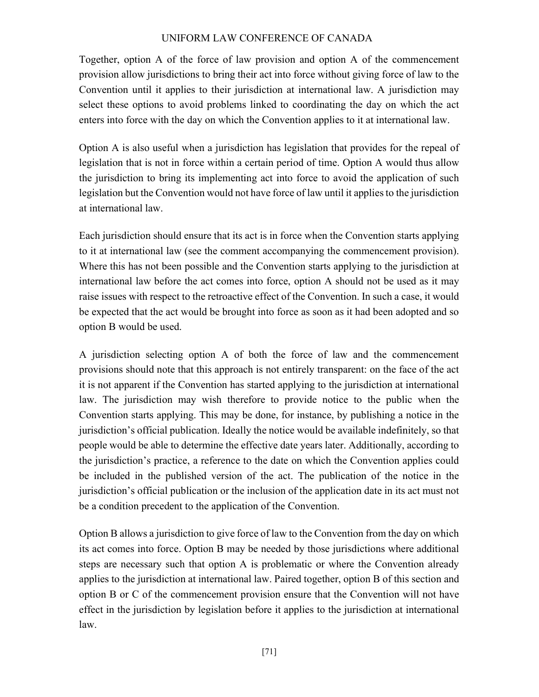Together, option A of the force of law provision and option A of the commencement provision allow jurisdictions to bring their act into force without giving force of law to the Convention until it applies to their jurisdiction at international law. A jurisdiction may select these options to avoid problems linked to coordinating the day on which the act enters into force with the day on which the Convention applies to it at international law.

Option A is also useful when a jurisdiction has legislation that provides for the repeal of legislation that is not in force within a certain period of time. Option A would thus allow the jurisdiction to bring its implementing act into force to avoid the application of such legislation but the Convention would not have force of law until it applies to the jurisdiction at international law.

Each jurisdiction should ensure that its act is in force when the Convention starts applying to it at international law (see the comment accompanying the commencement provision). Where this has not been possible and the Convention starts applying to the jurisdiction at international law before the act comes into force, option A should not be used as it may raise issues with respect to the retroactive effect of the Convention. In such a case, it would be expected that the act would be brought into force as soon as it had been adopted and so option B would be used.

A jurisdiction selecting option A of both the force of law and the commencement provisions should note that this approach is not entirely transparent: on the face of the act it is not apparent if the Convention has started applying to the jurisdiction at international law. The jurisdiction may wish therefore to provide notice to the public when the Convention starts applying. This may be done, for instance, by publishing a notice in the jurisdiction's official publication. Ideally the notice would be available indefinitely, so that people would be able to determine the effective date years later. Additionally, according to the jurisdiction's practice, a reference to the date on which the Convention applies could be included in the published version of the act. The publication of the notice in the jurisdiction's official publication or the inclusion of the application date in its act must not be a condition precedent to the application of the Convention.

Option B allows a jurisdiction to give force of law to the Convention from the day on which its act comes into force. Option B may be needed by those jurisdictions where additional steps are necessary such that option A is problematic or where the Convention already applies to the jurisdiction at international law. Paired together, option B of this section and option B or C of the commencement provision ensure that the Convention will not have effect in the jurisdiction by legislation before it applies to the jurisdiction at international law.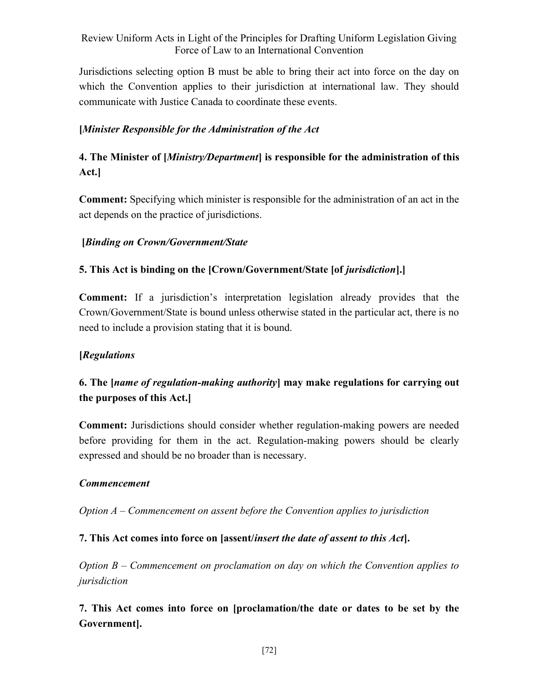Jurisdictions selecting option B must be able to bring their act into force on the day on which the Convention applies to their jurisdiction at international law. They should communicate with Justice Canada to coordinate these events.

## [Minister Responsible for the Administration of the Act

## 4. The Minister of [*Ministry/Department*] is responsible for the administration of this Act.]

Comment: Specifying which minister is responsible for the administration of an act in the act depends on the practice of jurisdictions.

### [Binding on Crown/Government/State

## 5. This Act is binding on the [Crown/Government/State [of jurisdiction].]

Comment: If a jurisdiction's interpretation legislation already provides that the Crown/Government/State is bound unless otherwise stated in the particular act, there is no need to include a provision stating that it is bound.

### [Regulations]

## 6. The *[name of regulation-making authority*] may make regulations for carrying out the purposes of this Act.]

Comment: Jurisdictions should consider whether regulation-making powers are needed before providing for them in the act. Regulation-making powers should be clearly expressed and should be no broader than is necessary.

#### Commencement

Option  $A -$  Commencement on assent before the Convention applies to jurisdiction

### 7. This Act comes into force on [assent/insert the date of assent to this Act].

Option B – Commencement on proclamation on day on which the Convention applies to jurisdiction

7. This Act comes into force on [proclamation/the date or dates to be set by the Government].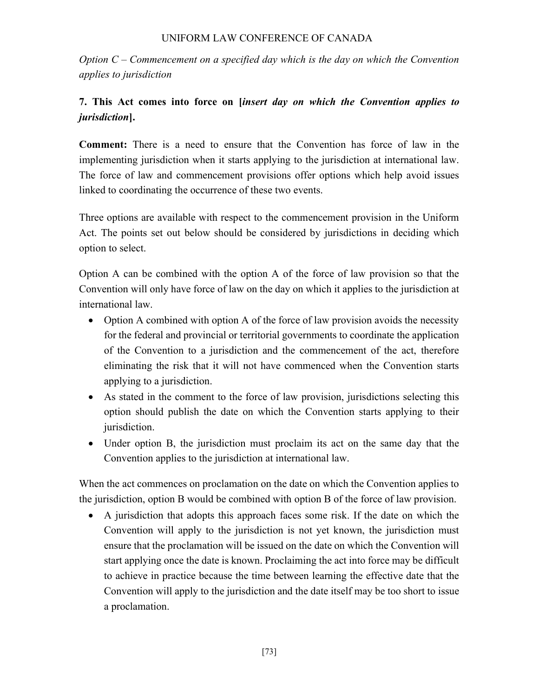Option  $C$  – Commencement on a specified day which is the day on which the Convention applies to jurisdiction

# 7. This Act comes into force on [insert day on which the Convention applies to jurisdiction].

Comment: There is a need to ensure that the Convention has force of law in the implementing jurisdiction when it starts applying to the jurisdiction at international law. The force of law and commencement provisions offer options which help avoid issues linked to coordinating the occurrence of these two events.

Three options are available with respect to the commencement provision in the Uniform Act. The points set out below should be considered by jurisdictions in deciding which option to select.

Option A can be combined with the option A of the force of law provision so that the Convention will only have force of law on the day on which it applies to the jurisdiction at international law.

- Option A combined with option A of the force of law provision avoids the necessity for the federal and provincial or territorial governments to coordinate the application of the Convention to a jurisdiction and the commencement of the act, therefore eliminating the risk that it will not have commenced when the Convention starts applying to a jurisdiction.
- As stated in the comment to the force of law provision, jurisdictions selecting this option should publish the date on which the Convention starts applying to their jurisdiction.
- Under option B, the jurisdiction must proclaim its act on the same day that the Convention applies to the jurisdiction at international law.

When the act commences on proclamation on the date on which the Convention applies to the jurisdiction, option B would be combined with option B of the force of law provision.

 A jurisdiction that adopts this approach faces some risk. If the date on which the Convention will apply to the jurisdiction is not yet known, the jurisdiction must ensure that the proclamation will be issued on the date on which the Convention will start applying once the date is known. Proclaiming the act into force may be difficult to achieve in practice because the time between learning the effective date that the Convention will apply to the jurisdiction and the date itself may be too short to issue a proclamation.